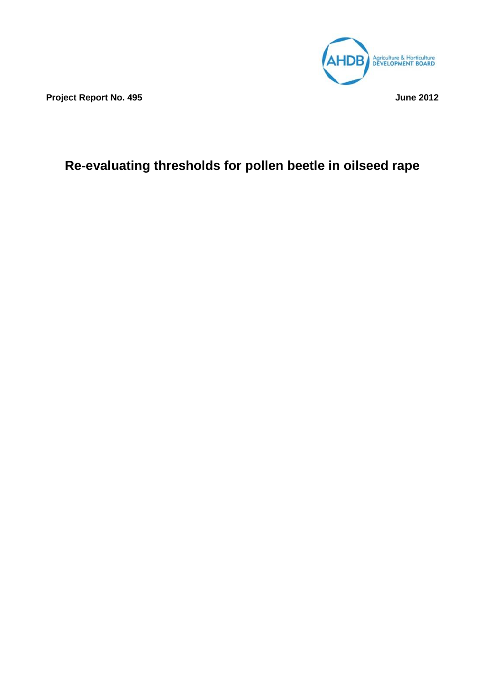

**Project Report No. 495 June 2012**

# **Re-evaluating thresholds for pollen beetle in oilseed rape**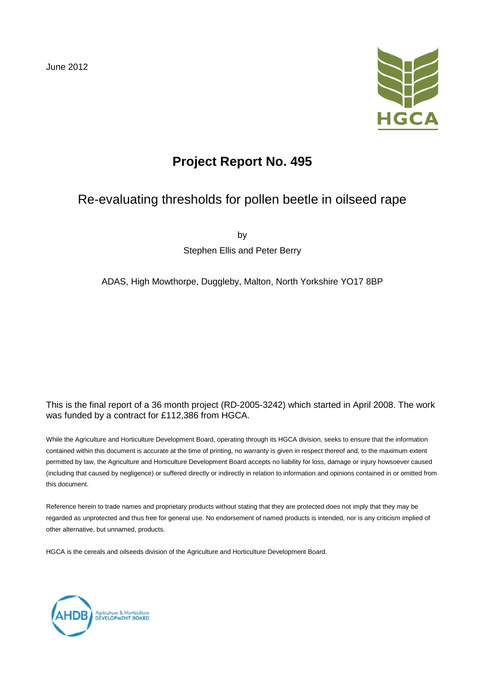June 2012



# **Project Report No. 495**

# Re-evaluating thresholds for pollen beetle in oilseed rape

by

Stephen Ellis and Peter Berry

### ADAS, High Mowthorpe, Duggleby, Malton, North Yorkshire YO17 8BP

### This is the final report of a 36 month project (RD-2005-3242) which started in April 2008. The work was funded by a contract for £112,386 from HGCA.

While the Agriculture and Horticulture Development Board, operating through its HGCA division, seeks to ensure that the information contained within this document is accurate at the time of printing, no warranty is given in respect thereof and, to the maximum extent permitted by law, the Agriculture and Horticulture Development Board accepts no liability for loss, damage or injury howsoever caused (including that caused by negligence) or suffered directly or indirectly in relation to information and opinions contained in or omitted from this document.

Reference herein to trade names and proprietary products without stating that they are protected does not imply that they may be regarded as unprotected and thus free for general use. No endorsement of named products is intended, nor is any criticism implied of other alternative, but unnamed, products.

HGCA is the cereals and oilseeds division of the Agriculture and Horticulture Development Board.

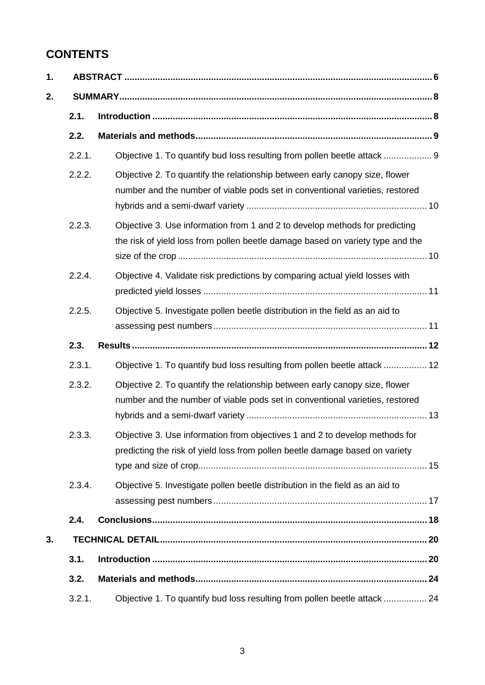# **CONTENTS**

| 2.1.   |                                                                                                                                                               |
|--------|---------------------------------------------------------------------------------------------------------------------------------------------------------------|
| 2.2.   |                                                                                                                                                               |
| 2.2.1. | Objective 1. To quantify bud loss resulting from pollen beetle attack  9                                                                                      |
| 2.2.2. | Objective 2. To quantify the relationship between early canopy size, flower<br>number and the number of viable pods set in conventional varieties, restored   |
| 2.2.3. | Objective 3. Use information from 1 and 2 to develop methods for predicting<br>the risk of yield loss from pollen beetle damage based on variety type and the |
| 2.2.4. | Objective 4. Validate risk predictions by comparing actual yield losses with                                                                                  |
| 2.2.5. | Objective 5. Investigate pollen beetle distribution in the field as an aid to                                                                                 |
| 2.3.   |                                                                                                                                                               |
| 2.3.1. | Objective 1. To quantify bud loss resulting from pollen beetle attack  12                                                                                     |
| 2.3.2. | Objective 2. To quantify the relationship between early canopy size, flower<br>number and the number of viable pods set in conventional varieties, restored   |
| 2.3.3  | Objective 3. Use information from objectives 1 and 2 to develop methods for<br>predicting the risk of yield loss from pollen beetle damage based on variety   |
| 2.3.4. | Objective 5. Investigate pollen beetle distribution in the field as an aid to                                                                                 |
| 2.4.   |                                                                                                                                                               |
|        |                                                                                                                                                               |
| 3.1.   |                                                                                                                                                               |
| 3.2.   |                                                                                                                                                               |
| 3.2.1. | Objective 1. To quantify bud loss resulting from pollen beetle attack  24                                                                                     |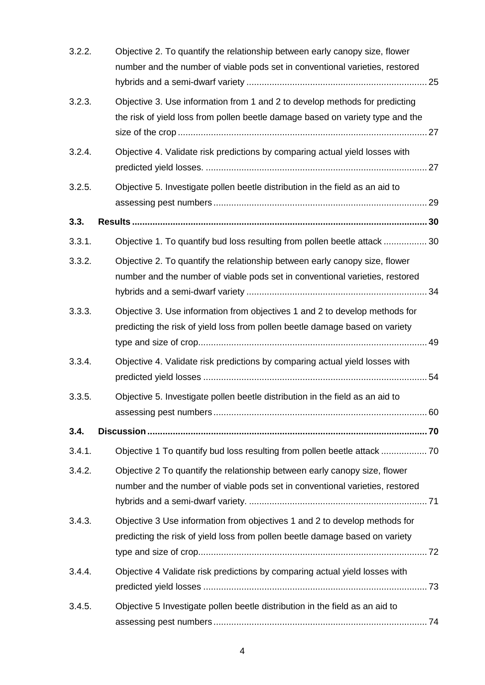| 3.2.2. | Objective 2. To quantify the relationship between early canopy size, flower<br>number and the number of viable pods set in conventional varieties, restored   |
|--------|---------------------------------------------------------------------------------------------------------------------------------------------------------------|
| 3.2.3. | Objective 3. Use information from 1 and 2 to develop methods for predicting<br>the risk of yield loss from pollen beetle damage based on variety type and the |
| 3.2.4. | Objective 4. Validate risk predictions by comparing actual yield losses with                                                                                  |
| 3.2.5. | Objective 5. Investigate pollen beetle distribution in the field as an aid to                                                                                 |
| 3.3.   |                                                                                                                                                               |
| 3.3.1. | Objective 1. To quantify bud loss resulting from pollen beetle attack  30                                                                                     |
| 3.3.2. | Objective 2. To quantify the relationship between early canopy size, flower<br>number and the number of viable pods set in conventional varieties, restored   |
| 3.3.3. | Objective 3. Use information from objectives 1 and 2 to develop methods for<br>predicting the risk of yield loss from pollen beetle damage based on variety   |
| 3.3.4. | Objective 4. Validate risk predictions by comparing actual yield losses with                                                                                  |
| 3.3.5. | Objective 5. Investigate pollen beetle distribution in the field as an aid to                                                                                 |
| 3.4.   |                                                                                                                                                               |
| 3.4.1. | Objective 1 To quantify bud loss resulting from pollen beetle attack  70                                                                                      |
| 3.4.2. | Objective 2 To quantify the relationship between early canopy size, flower<br>number and the number of viable pods set in conventional varieties, restored    |
| 3.4.3. | Objective 3 Use information from objectives 1 and 2 to develop methods for<br>predicting the risk of yield loss from pollen beetle damage based on variety    |
| 3.4.4. | Objective 4 Validate risk predictions by comparing actual yield losses with                                                                                   |
| 3.4.5. | Objective 5 Investigate pollen beetle distribution in the field as an aid to                                                                                  |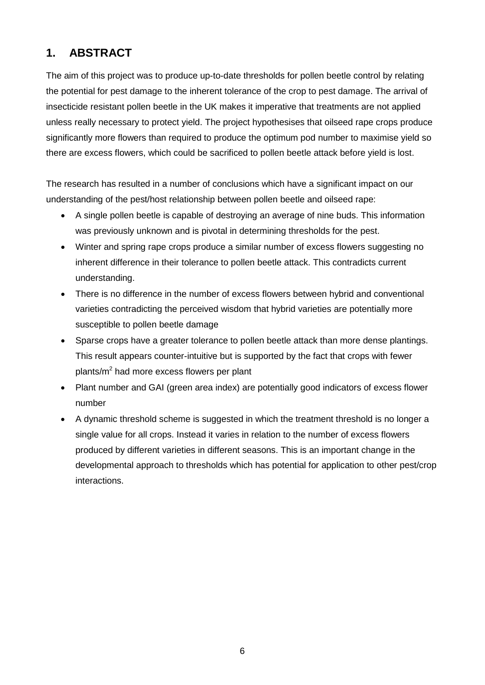# **1. ABSTRACT**

The aim of this project was to produce up-to-date thresholds for pollen beetle control by relating the potential for pest damage to the inherent tolerance of the crop to pest damage. The arrival of insecticide resistant pollen beetle in the UK makes it imperative that treatments are not applied unless really necessary to protect yield. The project hypothesises that oilseed rape crops produce significantly more flowers than required to produce the optimum pod number to maximise yield so there are excess flowers, which could be sacrificed to pollen beetle attack before yield is lost.

The research has resulted in a number of conclusions which have a significant impact on our understanding of the pest/host relationship between pollen beetle and oilseed rape:

- A single pollen beetle is capable of destroying an average of nine buds. This information was previously unknown and is pivotal in determining thresholds for the pest.
- Winter and spring rape crops produce a similar number of excess flowers suggesting no inherent difference in their tolerance to pollen beetle attack. This contradicts current understanding.
- There is no difference in the number of excess flowers between hybrid and conventional varieties contradicting the perceived wisdom that hybrid varieties are potentially more susceptible to pollen beetle damage
- Sparse crops have a greater tolerance to pollen beetle attack than more dense plantings. This result appears counter-intuitive but is supported by the fact that crops with fewer plants/m2 had more excess flowers per plant
- Plant number and GAI (green area index) are potentially good indicators of excess flower number
- A dynamic threshold scheme is suggested in which the treatment threshold is no longer a single value for all crops. Instead it varies in relation to the number of excess flowers produced by different varieties in different seasons. This is an important change in the developmental approach to thresholds which has potential for application to other pest/crop interactions.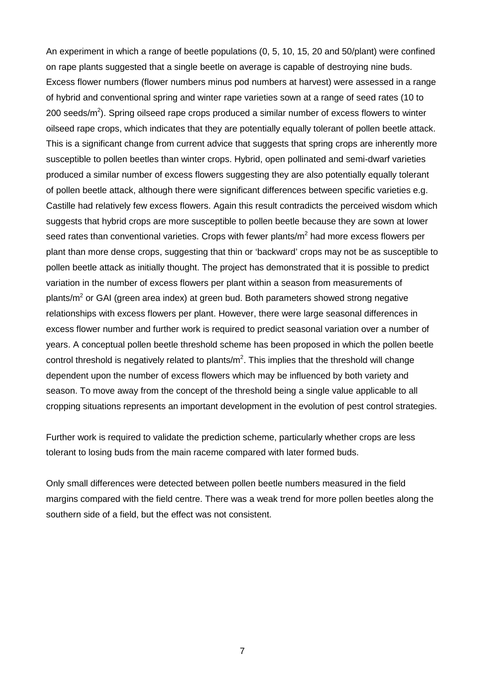An experiment in which a range of beetle populations (0, 5, 10, 15, 20 and 50/plant) were confined on rape plants suggested that a single beetle on average is capable of destroying nine buds. Excess flower numbers (flower numbers minus pod numbers at harvest) were assessed in a range of hybrid and conventional spring and winter rape varieties sown at a range of seed rates (10 to 200 seeds/ $m^2$ ). Spring oilseed rape crops produced a similar number of excess flowers to winter oilseed rape crops, which indicates that they are potentially equally tolerant of pollen beetle attack. This is a significant change from current advice that suggests that spring crops are inherently more susceptible to pollen beetles than winter crops. Hybrid, open pollinated and semi-dwarf varieties produced a similar number of excess flowers suggesting they are also potentially equally tolerant of pollen beetle attack, although there were significant differences between specific varieties e.g. Castille had relatively few excess flowers. Again this result contradicts the perceived wisdom which suggests that hybrid crops are more susceptible to pollen beetle because they are sown at lower seed rates than conventional varieties. Crops with fewer plants/ $m<sup>2</sup>$  had more excess flowers per plant than more dense crops, suggesting that thin or 'backward' crops may not be as susceptible to pollen beetle attack as initially thought. The project has demonstrated that it is possible to predict variation in the number of excess flowers per plant within a season from measurements of plants/ $m<sup>2</sup>$  or GAI (green area index) at green bud. Both parameters showed strong negative relationships with excess flowers per plant. However, there were large seasonal differences in excess flower number and further work is required to predict seasonal variation over a number of years. A conceptual pollen beetle threshold scheme has been proposed in which the pollen beetle control threshold is negatively related to plants/ $m^2$ . This implies that the threshold will change dependent upon the number of excess flowers which may be influenced by both variety and season. To move away from the concept of the threshold being a single value applicable to all cropping situations represents an important development in the evolution of pest control strategies.

Further work is required to validate the prediction scheme, particularly whether crops are less tolerant to losing buds from the main raceme compared with later formed buds.

Only small differences were detected between pollen beetle numbers measured in the field margins compared with the field centre. There was a weak trend for more pollen beetles along the southern side of a field, but the effect was not consistent.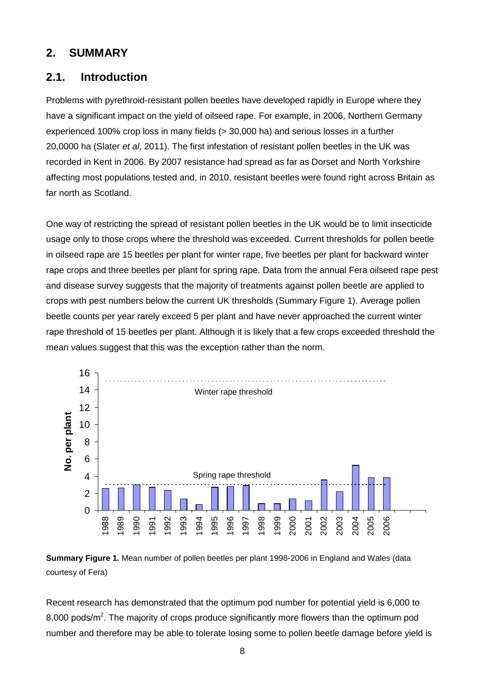## **2. SUMMARY**

## **2.1. Introduction**

Problems with pyrethroid-resistant pollen beetles have developed rapidly in Europe where they have a significant impact on the yield of oilseed rape. For example, in 2006, Northern Germany experienced 100% crop loss in many fields (> 30,000 ha) and serious losses in a further 20,0000 ha (Slater *et al*, 2011). The first infestation of resistant pollen beetles in the UK was recorded in Kent in 2006. By 2007 resistance had spread as far as Dorset and North Yorkshire affecting most populations tested and, in 2010, resistant beetles were found right across Britain as far north as Scotland.

One way of restricting the spread of resistant pollen beetles in the UK would be to limit insecticide usage only to those crops where the threshold was exceeded. Current thresholds for pollen beetle in oilseed rape are 15 beetles per plant for winter rape, five beetles per plant for backward winter rape crops and three beetles per plant for spring rape. Data from the annual Fera oilseed rape pest and disease survey suggests that the majority of treatments against pollen beetle are applied to crops with pest numbers below the current UK thresholds (Summary Figure 1). Average pollen beetle counts per year rarely exceed 5 per plant and have never approached the current winter rape threshold of 15 beetles per plant. Although it is likely that a few crops exceeded threshold the mean values suggest that this was the exception rather than the norm.





Recent research has demonstrated that the optimum pod number for potential yield is 6,000 to 8,000 pods/m<sup>2</sup>. The majority of crops produce significantly more flowers than the optimum pod number and therefore may be able to tolerate losing some to pollen beetle damage before yield is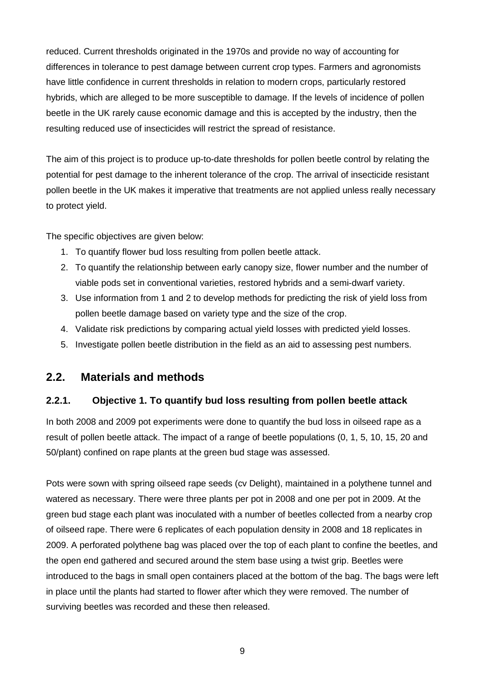reduced. Current thresholds originated in the 1970s and provide no way of accounting for differences in tolerance to pest damage between current crop types. Farmers and agronomists have little confidence in current thresholds in relation to modern crops, particularly restored hybrids, which are alleged to be more susceptible to damage. If the levels of incidence of pollen beetle in the UK rarely cause economic damage and this is accepted by the industry, then the resulting reduced use of insecticides will restrict the spread of resistance.

The aim of this project is to produce up-to-date thresholds for pollen beetle control by relating the potential for pest damage to the inherent tolerance of the crop. The arrival of insecticide resistant pollen beetle in the UK makes it imperative that treatments are not applied unless really necessary to protect yield.

The specific objectives are given below:

- 1. To quantify flower bud loss resulting from pollen beetle attack.
- 2. To quantify the relationship between early canopy size, flower number and the number of viable pods set in conventional varieties, restored hybrids and a semi-dwarf variety.
- 3. Use information from 1 and 2 to develop methods for predicting the risk of yield loss from pollen beetle damage based on variety type and the size of the crop.
- 4. Validate risk predictions by comparing actual yield losses with predicted yield losses.
- 5. Investigate pollen beetle distribution in the field as an aid to assessing pest numbers.

## **2.2. Materials and methods**

### **2.2.1. Objective 1. To quantify bud loss resulting from pollen beetle attack**

In both 2008 and 2009 pot experiments were done to quantify the bud loss in oilseed rape as a result of pollen beetle attack. The impact of a range of beetle populations (0, 1, 5, 10, 15, 20 and 50/plant) confined on rape plants at the green bud stage was assessed.

Pots were sown with spring oilseed rape seeds (cv Delight), maintained in a polythene tunnel and watered as necessary. There were three plants per pot in 2008 and one per pot in 2009. At the green bud stage each plant was inoculated with a number of beetles collected from a nearby crop of oilseed rape. There were 6 replicates of each population density in 2008 and 18 replicates in 2009. A perforated polythene bag was placed over the top of each plant to confine the beetles, and the open end gathered and secured around the stem base using a twist grip. Beetles were introduced to the bags in small open containers placed at the bottom of the bag. The bags were left in place until the plants had started to flower after which they were removed. The number of surviving beetles was recorded and these then released.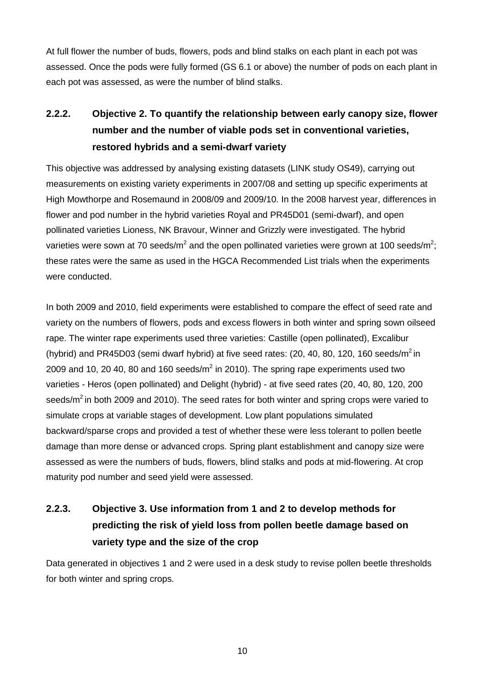At full flower the number of buds, flowers, pods and blind stalks on each plant in each pot was assessed. Once the pods were fully formed (GS 6.1 or above) the number of pods on each plant in each pot was assessed, as were the number of blind stalks.

# **2.2.2. Objective 2. To quantify the relationship between early canopy size, flower number and the number of viable pods set in conventional varieties, restored hybrids and a semi-dwarf variety**

This objective was addressed by analysing existing datasets (LINK study OS49), carrying out measurements on existing variety experiments in 2007/08 and setting up specific experiments at High Mowthorpe and Rosemaund in 2008/09 and 2009/10. In the 2008 harvest year, differences in flower and pod number in the hybrid varieties Royal and PR45D01 (semi-dwarf), and open pollinated varieties Lioness, NK Bravour, Winner and Grizzly were investigated. The hybrid varieties were sown at 70 seeds/m<sup>2</sup> and the open pollinated varieties were grown at 100 seeds/m<sup>2</sup>; these rates were the same as used in the HGCA Recommended List trials when the experiments were conducted.

In both 2009 and 2010, field experiments were established to compare the effect of seed rate and variety on the numbers of flowers, pods and excess flowers in both winter and spring sown oilseed rape. The winter rape experiments used three varieties: Castille (open pollinated), Excalibur (hybrid) and PR45D03 (semi dwarf hybrid) at five seed rates:  $(20, 40, 80, 120, 160$  seeds/m<sup>2</sup> in 2009 and 10, 20 40, 80 and 160 seeds/ $m^2$  in 2010). The spring rape experiments used two varieties - Heros (open pollinated) and Delight (hybrid) - at five seed rates (20, 40, 80, 120, 200 seeds/ $m^2$  in both 2009 and 2010). The seed rates for both winter and spring crops were varied to simulate crops at variable stages of development. Low plant populations simulated backward/sparse crops and provided a test of whether these were less tolerant to pollen beetle damage than more dense or advanced crops. Spring plant establishment and canopy size were assessed as were the numbers of buds, flowers, blind stalks and pods at mid-flowering. At crop maturity pod number and seed yield were assessed.

# **2.2.3. Objective 3. Use information from 1 and 2 to develop methods for predicting the risk of yield loss from pollen beetle damage based on variety type and the size of the crop**

Data generated in objectives 1 and 2 were used in a desk study to revise pollen beetle thresholds for both winter and spring crops.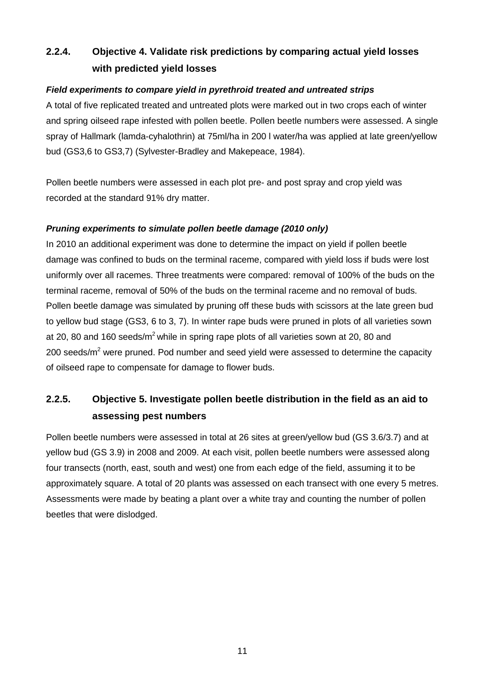## **2.2.4. Objective 4. Validate risk predictions by comparing actual yield losses with predicted yield losses**

### *Field experiments to compare yield in pyrethroid treated and untreated strips*

A total of five replicated treated and untreated plots were marked out in two crops each of winter and spring oilseed rape infested with pollen beetle. Pollen beetle numbers were assessed. A single spray of Hallmark (lamda-cyhalothrin) at 75ml/ha in 200 l water/ha was applied at late green/yellow bud (GS3,6 to GS3,7) (Sylvester-Bradley and Makepeace, 1984).

Pollen beetle numbers were assessed in each plot pre- and post spray and crop yield was recorded at the standard 91% dry matter.

### *Pruning experiments to simulate pollen beetle damage (2010 only)*

In 2010 an additional experiment was done to determine the impact on yield if pollen beetle damage was confined to buds on the terminal raceme, compared with yield loss if buds were lost uniformly over all racemes. Three treatments were compared: removal of 100% of the buds on the terminal raceme, removal of 50% of the buds on the terminal raceme and no removal of buds. Pollen beetle damage was simulated by pruning off these buds with scissors at the late green bud to yellow bud stage (GS3, 6 to 3, 7). In winter rape buds were pruned in plots of all varieties sown at 20, 80 and 160 seeds/ $m^2$  while in spring rape plots of all varieties sown at 20, 80 and 200 seeds/ $m<sup>2</sup>$  were pruned. Pod number and seed yield were assessed to determine the capacity of oilseed rape to compensate for damage to flower buds.

## **2.2.5. Objective 5. Investigate pollen beetle distribution in the field as an aid to assessing pest numbers**

Pollen beetle numbers were assessed in total at 26 sites at green/yellow bud (GS 3.6/3.7) and at yellow bud (GS 3.9) in 2008 and 2009. At each visit, pollen beetle numbers were assessed along four transects (north, east, south and west) one from each edge of the field, assuming it to be approximately square. A total of 20 plants was assessed on each transect with one every 5 metres. Assessments were made by beating a plant over a white tray and counting the number of pollen beetles that were dislodged.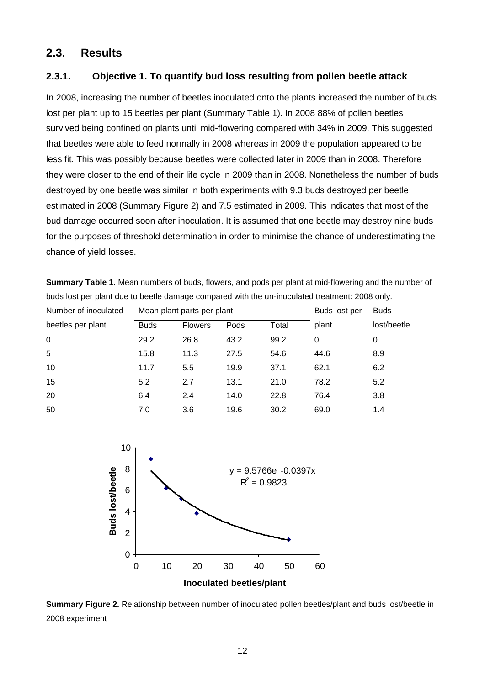## **2.3. Results**

### **2.3.1. Objective 1. To quantify bud loss resulting from pollen beetle attack**

In 2008, increasing the number of beetles inoculated onto the plants increased the number of buds lost per plant up to 15 beetles per plant (Summary Table 1). In 2008 88% of pollen beetles survived being confined on plants until mid-flowering compared with 34% in 2009. This suggested that beetles were able to feed normally in 2008 whereas in 2009 the population appeared to be less fit. This was possibly because beetles were collected later in 2009 than in 2008. Therefore they were closer to the end of their life cycle in 2009 than in 2008. Nonetheless the number of buds destroyed by one beetle was similar in both experiments with 9.3 buds destroyed per beetle estimated in 2008 (Summary Figure 2) and 7.5 estimated in 2009. This indicates that most of the bud damage occurred soon after inoculation. It is assumed that one beetle may destroy nine buds for the purposes of threshold determination in order to minimise the chance of underestimating the chance of yield losses.

| buds lost per plant due to beetle damage compared with the un-inoculated treatment: 2008 only. |                            |                |      |       |               |             |  |
|------------------------------------------------------------------------------------------------|----------------------------|----------------|------|-------|---------------|-------------|--|
| Number of inoculated                                                                           | Mean plant parts per plant |                |      |       | Buds lost per | <b>Buds</b> |  |
| beetles per plant                                                                              | <b>Buds</b>                | <b>Flowers</b> | Pods | Total | plant         | lost/beetle |  |
| $\Omega$                                                                                       | 29.2                       | 26.8           | 43.2 | 99.2  | 0             | O           |  |
| 5                                                                                              | 15.8                       | 11.3           | 27.5 | 54.6  | 44.6          | 8.9         |  |
| 10                                                                                             | 11.7                       | 5.5            | 19.9 | 37.1  | 62.1          | 6.2         |  |
| 15                                                                                             | 5.2                        | 2.7            | 13.1 | 21.0  | 78.2          | 5.2         |  |
| 20                                                                                             | 6.4                        | 2.4            | 14.0 | 22.8  | 76.4          | 3.8         |  |

**Summary Table 1.** Mean numbers of buds, flowers, and pods per plant at mid-flowering and the number of



50 7.0 3.6 19.6 30.2 69.0 1.4

**Summary Figure 2.** Relationship between number of inoculated pollen beetles/plant and buds lost/beetle in 2008 experiment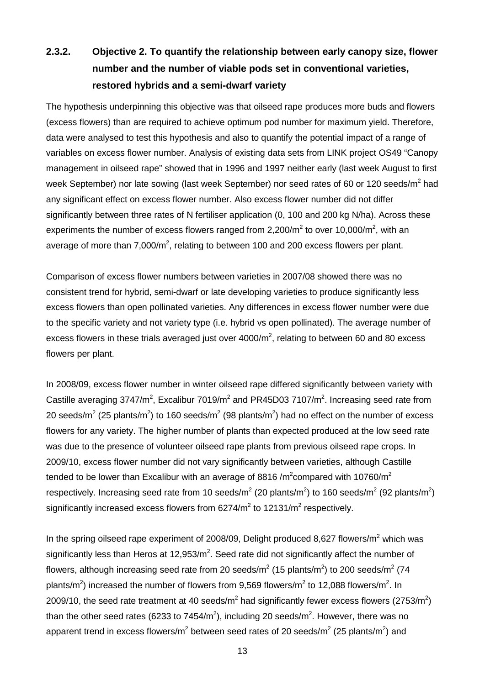# **2.3.2. Objective 2. To quantify the relationship between early canopy size, flower number and the number of viable pods set in conventional varieties, restored hybrids and a semi-dwarf variety**

The hypothesis underpinning this objective was that oilseed rape produces more buds and flowers (excess flowers) than are required to achieve optimum pod number for maximum yield. Therefore, data were analysed to test this hypothesis and also to quantify the potential impact of a range of variables on excess flower number. Analysis of existing data sets from LINK project OS49 "Canopy management in oilseed rape" showed that in 1996 and 1997 neither early (last week August to first week September) nor late sowing (last week September) nor seed rates of 60 or 120 seeds/m<sup>2</sup> had any significant effect on excess flower number. Also excess flower number did not differ significantly between three rates of N fertiliser application (0, 100 and 200 kg N/ha). Across these experiments the number of excess flowers ranged from 2,200/ $m^2$  to over 10,000/ $m^2$ , with an average of more than 7,000/m<sup>2</sup>, relating to between 100 and 200 excess flowers per plant.

Comparison of excess flower numbers between varieties in 2007/08 showed there was no consistent trend for hybrid, semi-dwarf or late developing varieties to produce significantly less excess flowers than open pollinated varieties. Any differences in excess flower number were due to the specific variety and not variety type (i.e. hybrid vs open pollinated). The average number of excess flowers in these trials averaged just over  $4000/m^2$ , relating to between 60 and 80 excess flowers per plant.

In 2008/09, excess flower number in winter oilseed rape differed significantly between variety with Castille averaging 3747/m<sup>2</sup>, Excalibur 7019/m<sup>2</sup> and PR45D03 7107/m<sup>2</sup>. Increasing seed rate from 20 seeds/m<sup>2</sup> (25 plants/m<sup>2</sup>) to 160 seeds/m<sup>2</sup> (98 plants/m<sup>2</sup>) had no effect on the number of excess flowers for any variety. The higher number of plants than expected produced at the low seed rate was due to the presence of volunteer oilseed rape plants from previous oilseed rape crops. In 2009/10, excess flower number did not vary significantly between varieties, although Castille tended to be lower than Excalibur with an average of 8816 /m<sup>2</sup>compared with 10760/m<sup>2</sup> respectively. Increasing seed rate from 10 seeds/m<sup>2</sup> (20 plants/m<sup>2</sup>) to 160 seeds/m<sup>2</sup> (92 plants/m<sup>2</sup>) significantly increased excess flowers from  $6274/m^2$  to  $12131/m^2$  respectively.

In the spring oilseed rape experiment of 2008/09, Delight produced 8,627 flowers/ $m^2$  which was significantly less than Heros at 12,953/ $m^2$ . Seed rate did not significantly affect the number of flowers, although increasing seed rate from 20 seeds/m<sup>2</sup> (15 plants/m<sup>2</sup>) to 200 seeds/m<sup>2</sup> (74 plants/m<sup>2</sup>) increased the number of flowers from 9,569 flowers/m<sup>2</sup> to 12,088 flowers/m<sup>2</sup>. In 2009/10, the seed rate treatment at 40 seeds/m<sup>2</sup> had significantly fewer excess flowers (2753/m<sup>2</sup>) than the other seed rates (6233 to 7454/m<sup>2</sup>), including 20 seeds/m<sup>2</sup>. However, there was no apparent trend in excess flowers/m<sup>2</sup> between seed rates of 20 seeds/m<sup>2</sup> (25 plants/m<sup>2</sup>) and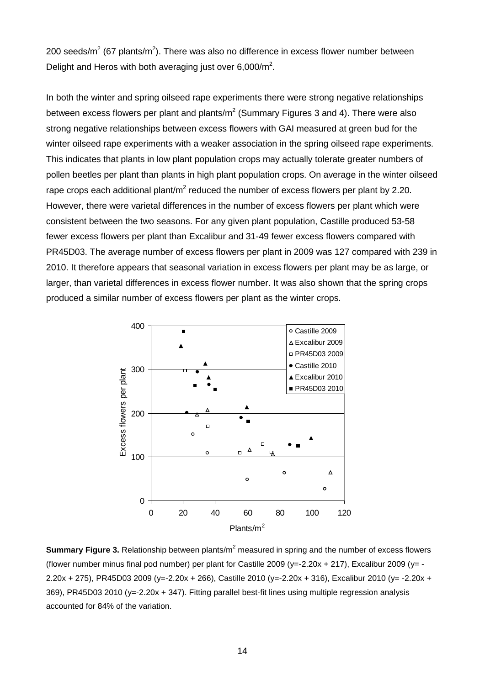200 seeds/m<sup>2</sup> (67 plants/m<sup>2</sup>). There was also no difference in excess flower number between Delight and Heros with both averaging just over  $6,000/m^2$ .

In both the winter and spring oilseed rape experiments there were strong negative relationships between excess flowers per plant and plants/ $m^2$  (Summary Figures 3 and 4). There were also strong negative relationships between excess flowers with GAI measured at green bud for the winter oilseed rape experiments with a weaker association in the spring oilseed rape experiments. This indicates that plants in low plant population crops may actually tolerate greater numbers of pollen beetles per plant than plants in high plant population crops. On average in the winter oilseed rape crops each additional plant/ $m^2$  reduced the number of excess flowers per plant by 2.20. However, there were varietal differences in the number of excess flowers per plant which were consistent between the two seasons. For any given plant population, Castille produced 53-58 fewer excess flowers per plant than Excalibur and 31-49 fewer excess flowers compared with PR45D03. The average number of excess flowers per plant in 2009 was 127 compared with 239 in 2010. It therefore appears that seasonal variation in excess flowers per plant may be as large, or larger, than varietal differences in excess flower number. It was also shown that the spring crops produced a similar number of excess flowers per plant as the winter crops.



**Summary Figure 3.** Relationship between plants/m<sup>2</sup> measured in spring and the number of excess flowers (flower number minus final pod number) per plant for Castille 2009 ( $y=-2.20x + 217$ ), Excalibur 2009 ( $y=-$ 2.20x + 275), PR45D03 2009 (y=-2.20x + 266), Castille 2010 (y=-2.20x + 316), Excalibur 2010 (y= -2.20x + 369), PR45D03 2010 (y=-2.20x + 347). Fitting parallel best-fit lines using multiple regression analysis accounted for 84% of the variation.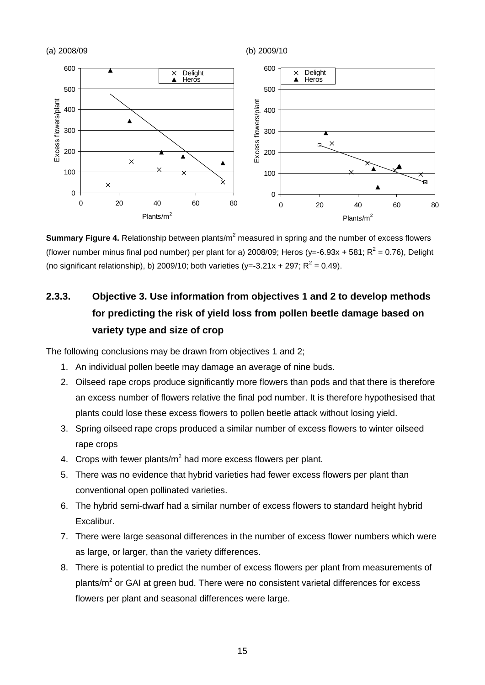

**Summary Figure 4.** Relationship between plants/m<sup>2</sup> measured in spring and the number of excess flowers (flower number minus final pod number) per plant for a) 2008/09; Heros (y=-6.93x + 581;  $R^2$  = 0.76), Delight (no significant relationship), b) 2009/10; both varieties (y=-3.21x + 297;  $R^2$  = 0.49).

# **2.3.3. Objective 3. Use information from objectives 1 and 2 to develop methods for predicting the risk of yield loss from pollen beetle damage based on variety type and size of crop**

The following conclusions may be drawn from objectives 1 and 2;

- 1. An individual pollen beetle may damage an average of nine buds.
- 2. Oilseed rape crops produce significantly more flowers than pods and that there is therefore an excess number of flowers relative the final pod number. It is therefore hypothesised that plants could lose these excess flowers to pollen beetle attack without losing yield.
- 3. Spring oilseed rape crops produced a similar number of excess flowers to winter oilseed rape crops
- 4. Crops with fewer plants/ $m<sup>2</sup>$  had more excess flowers per plant.
- 5. There was no evidence that hybrid varieties had fewer excess flowers per plant than conventional open pollinated varieties.
- 6. The hybrid semi-dwarf had a similar number of excess flowers to standard height hybrid Excalibur.
- 7. There were large seasonal differences in the number of excess flower numbers which were as large, or larger, than the variety differences.
- 8. There is potential to predict the number of excess flowers per plant from measurements of plants/ $m<sup>2</sup>$  or GAI at green bud. There were no consistent varietal differences for excess flowers per plant and seasonal differences were large.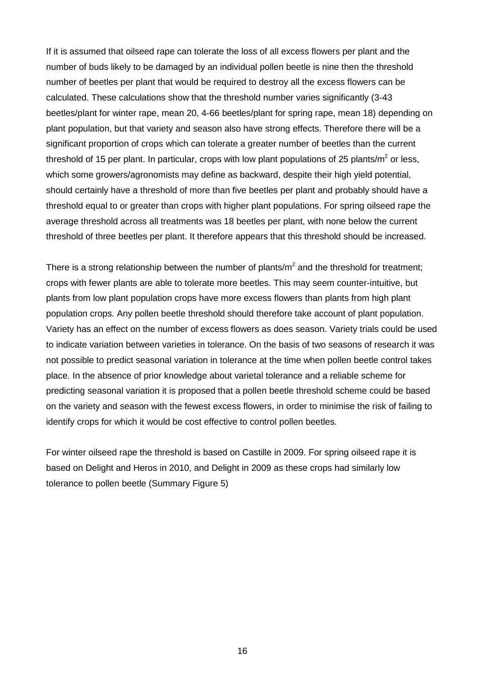If it is assumed that oilseed rape can tolerate the loss of all excess flowers per plant and the number of buds likely to be damaged by an individual pollen beetle is nine then the threshold number of beetles per plant that would be required to destroy all the excess flowers can be calculated. These calculations show that the threshold number varies significantly (3-43 beetles/plant for winter rape, mean 20, 4-66 beetles/plant for spring rape, mean 18) depending on plant population, but that variety and season also have strong effects. Therefore there will be a significant proportion of crops which can tolerate a greater number of beetles than the current threshold of 15 per plant. In particular, crops with low plant populations of 25 plants/ $m^2$  or less, which some growers/agronomists may define as backward, despite their high yield potential, should certainly have a threshold of more than five beetles per plant and probably should have a threshold equal to or greater than crops with higher plant populations. For spring oilseed rape the average threshold across all treatments was 18 beetles per plant, with none below the current threshold of three beetles per plant. It therefore appears that this threshold should be increased.

There is a strong relationship between the number of plants/ $m^2$  and the threshold for treatment: crops with fewer plants are able to tolerate more beetles. This may seem counter-intuitive, but plants from low plant population crops have more excess flowers than plants from high plant population crops. Any pollen beetle threshold should therefore take account of plant population. Variety has an effect on the number of excess flowers as does season. Variety trials could be used to indicate variation between varieties in tolerance. On the basis of two seasons of research it was not possible to predict seasonal variation in tolerance at the time when pollen beetle control takes place. In the absence of prior knowledge about varietal tolerance and a reliable scheme for predicting seasonal variation it is proposed that a pollen beetle threshold scheme could be based on the variety and season with the fewest excess flowers, in order to minimise the risk of failing to identify crops for which it would be cost effective to control pollen beetles.

For winter oilseed rape the threshold is based on Castille in 2009. For spring oilseed rape it is based on Delight and Heros in 2010, and Delight in 2009 as these crops had similarly low tolerance to pollen beetle (Summary Figure 5)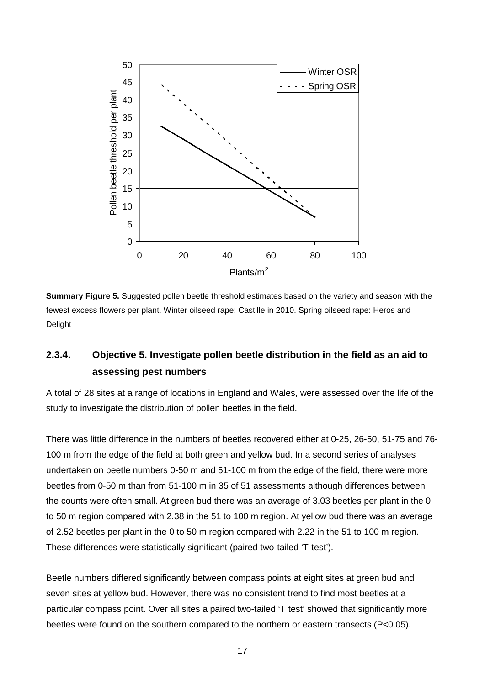

**Summary Figure 5.** Suggested pollen beetle threshold estimates based on the variety and season with the fewest excess flowers per plant. Winter oilseed rape: Castille in 2010. Spring oilseed rape: Heros and Delight

## **2.3.4. Objective 5. Investigate pollen beetle distribution in the field as an aid to assessing pest numbers**

A total of 28 sites at a range of locations in England and Wales, were assessed over the life of the study to investigate the distribution of pollen beetles in the field.

There was little difference in the numbers of beetles recovered either at 0-25, 26-50, 51-75 and 76- 100 m from the edge of the field at both green and yellow bud. In a second series of analyses undertaken on beetle numbers 0-50 m and 51-100 m from the edge of the field, there were more beetles from 0-50 m than from 51-100 m in 35 of 51 assessments although differences between the counts were often small. At green bud there was an average of 3.03 beetles per plant in the 0 to 50 m region compared with 2.38 in the 51 to 100 m region. At yellow bud there was an average of 2.52 beetles per plant in the 0 to 50 m region compared with 2.22 in the 51 to 100 m region. These differences were statistically significant (paired two-tailed 'T-test').

Beetle numbers differed significantly between compass points at eight sites at green bud and seven sites at yellow bud. However, there was no consistent trend to find most beetles at a particular compass point. Over all sites a paired two-tailed 'T test' showed that significantly more beetles were found on the southern compared to the northern or eastern transects (P<0.05).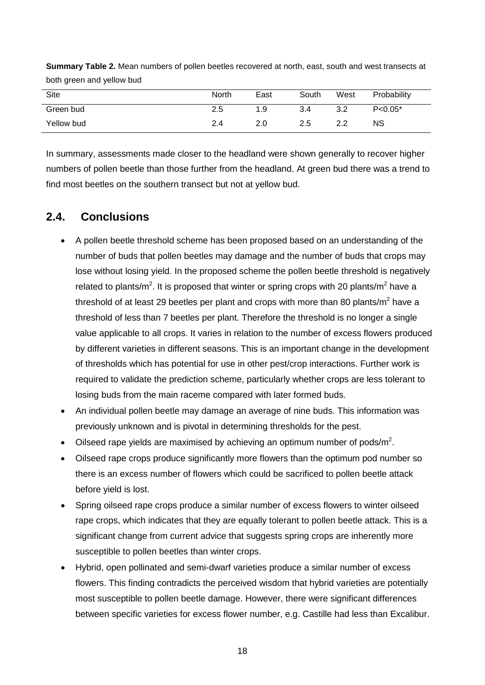| Site       | North | East | South | West | Probability  |
|------------|-------|------|-------|------|--------------|
| Green bud  | 2.5   | 1.9  | 3.4   | 3.2  | $P < 0.05^*$ |
| Yellow bud | 2.4   | 2.0  | 2.5   | 2.2  | NS           |

**Summary Table 2.** Mean numbers of pollen beetles recovered at north, east, south and west transects at both green and yellow bud

In summary, assessments made closer to the headland were shown generally to recover higher numbers of pollen beetle than those further from the headland. At green bud there was a trend to find most beetles on the southern transect but not at yellow bud.

## **2.4. Conclusions**

- A pollen beetle threshold scheme has been proposed based on an understanding of the number of buds that pollen beetles may damage and the number of buds that crops may lose without losing yield. In the proposed scheme the pollen beetle threshold is negatively related to plants/m<sup>2</sup>. It is proposed that winter or spring crops with 20 plants/m<sup>2</sup> have a threshold of at least 29 beetles per plant and crops with more than 80 plants/ $m^2$  have a threshold of less than 7 beetles per plant. Therefore the threshold is no longer a single value applicable to all crops. It varies in relation to the number of excess flowers produced by different varieties in different seasons. This is an important change in the development of thresholds which has potential for use in other pest/crop interactions. Further work is required to validate the prediction scheme, particularly whether crops are less tolerant to losing buds from the main raceme compared with later formed buds.
- An individual pollen beetle may damage an average of nine buds. This information was previously unknown and is pivotal in determining thresholds for the pest.
- Oilseed rape yields are maximised by achieving an optimum number of pods/ $m^2$ .
- Oilseed rape crops produce significantly more flowers than the optimum pod number so there is an excess number of flowers which could be sacrificed to pollen beetle attack before yield is lost.
- Spring oilseed rape crops produce a similar number of excess flowers to winter oilseed rape crops, which indicates that they are equally tolerant to pollen beetle attack. This is a significant change from current advice that suggests spring crops are inherently more susceptible to pollen beetles than winter crops.
- Hybrid, open pollinated and semi-dwarf varieties produce a similar number of excess flowers. This finding contradicts the perceived wisdom that hybrid varieties are potentially most susceptible to pollen beetle damage. However, there were significant differences between specific varieties for excess flower number, e.g. Castille had less than Excalibur.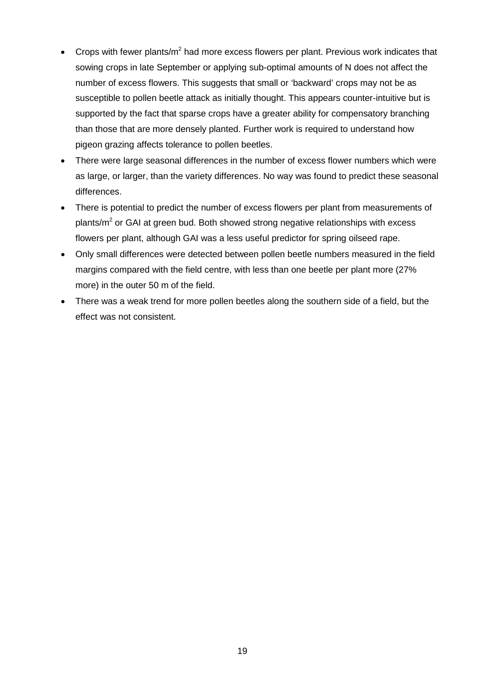- Crops with fewer plants/ $m^2$  had more excess flowers per plant. Previous work indicates that sowing crops in late September or applying sub-optimal amounts of N does not affect the number of excess flowers. This suggests that small or 'backward' crops may not be as susceptible to pollen beetle attack as initially thought. This appears counter-intuitive but is supported by the fact that sparse crops have a greater ability for compensatory branching than those that are more densely planted. Further work is required to understand how pigeon grazing affects tolerance to pollen beetles.
- There were large seasonal differences in the number of excess flower numbers which were as large, or larger, than the variety differences. No way was found to predict these seasonal differences.
- There is potential to predict the number of excess flowers per plant from measurements of plants/ $m<sup>2</sup>$  or GAI at green bud. Both showed strong negative relationships with excess flowers per plant, although GAI was a less useful predictor for spring oilseed rape.
- Only small differences were detected between pollen beetle numbers measured in the field margins compared with the field centre, with less than one beetle per plant more (27% more) in the outer 50 m of the field.
- There was a weak trend for more pollen beetles along the southern side of a field, but the effect was not consistent.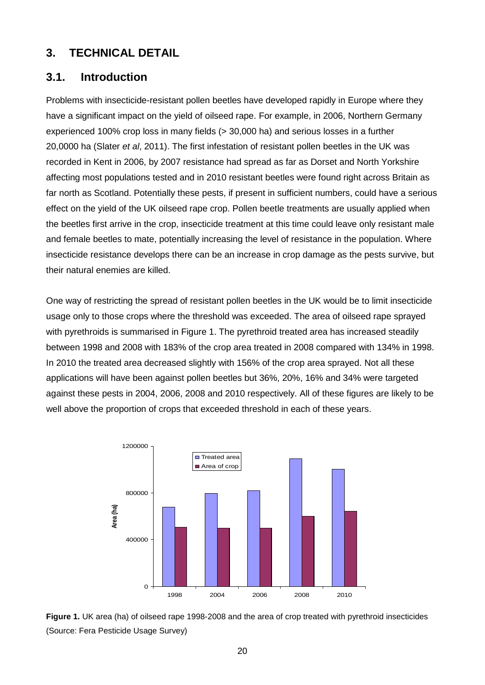## **3. TECHNICAL DETAIL**

## **3.1. Introduction**

Problems with insecticide-resistant pollen beetles have developed rapidly in Europe where they have a significant impact on the yield of oilseed rape. For example, in 2006, Northern Germany experienced 100% crop loss in many fields (> 30,000 ha) and serious losses in a further 20,0000 ha (Slater *et al*, 2011). The first infestation of resistant pollen beetles in the UK was recorded in Kent in 2006, by 2007 resistance had spread as far as Dorset and North Yorkshire affecting most populations tested and in 2010 resistant beetles were found right across Britain as far north as Scotland. Potentially these pests, if present in sufficient numbers, could have a serious effect on the yield of the UK oilseed rape crop. Pollen beetle treatments are usually applied when the beetles first arrive in the crop, insecticide treatment at this time could leave only resistant male and female beetles to mate, potentially increasing the level of resistance in the population. Where insecticide resistance develops there can be an increase in crop damage as the pests survive, but their natural enemies are killed.

One way of restricting the spread of resistant pollen beetles in the UK would be to limit insecticide usage only to those crops where the threshold was exceeded. The area of oilseed rape sprayed with pyrethroids is summarised in Figure 1. The pyrethroid treated area has increased steadily between 1998 and 2008 with 183% of the crop area treated in 2008 compared with 134% in 1998. In 2010 the treated area decreased slightly with 156% of the crop area sprayed. Not all these applications will have been against pollen beetles but 36%, 20%, 16% and 34% were targeted against these pests in 2004, 2006, 2008 and 2010 respectively. All of these figures are likely to be well above the proportion of crops that exceeded threshold in each of these years.



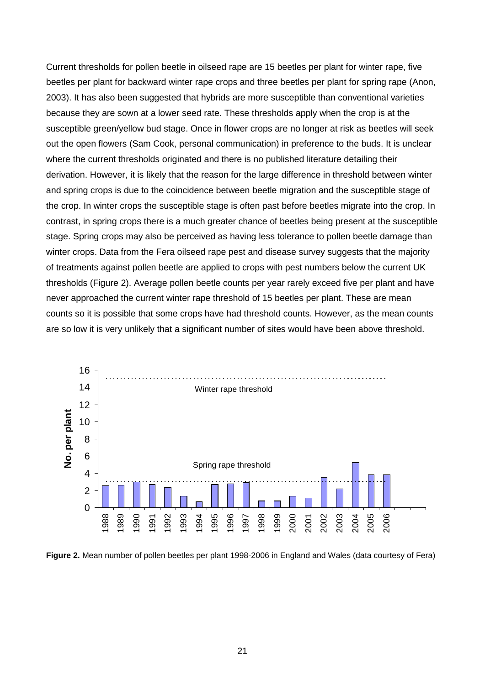Current thresholds for pollen beetle in oilseed rape are 15 beetles per plant for winter rape, five beetles per plant for backward winter rape crops and three beetles per plant for spring rape (Anon, 2003). It has also been suggested that hybrids are more susceptible than conventional varieties because they are sown at a lower seed rate. These thresholds apply when the crop is at the susceptible green/yellow bud stage. Once in flower crops are no longer at risk as beetles will seek out the open flowers (Sam Cook, personal communication) in preference to the buds. It is unclear where the current thresholds originated and there is no published literature detailing their derivation. However, it is likely that the reason for the large difference in threshold between winter and spring crops is due to the coincidence between beetle migration and the susceptible stage of the crop. In winter crops the susceptible stage is often past before beetles migrate into the crop. In contrast, in spring crops there is a much greater chance of beetles being present at the susceptible stage. Spring crops may also be perceived as having less tolerance to pollen beetle damage than winter crops. Data from the Fera oilseed rape pest and disease survey suggests that the majority of treatments against pollen beetle are applied to crops with pest numbers below the current UK thresholds (Figure 2). Average pollen beetle counts per year rarely exceed five per plant and have never approached the current winter rape threshold of 15 beetles per plant. These are mean counts so it is possible that some crops have had threshold counts. However, as the mean counts are so low it is very unlikely that a significant number of sites would have been above threshold.



**Figure 2.** Mean number of pollen beetles per plant 1998-2006 in England and Wales (data courtesy of Fera)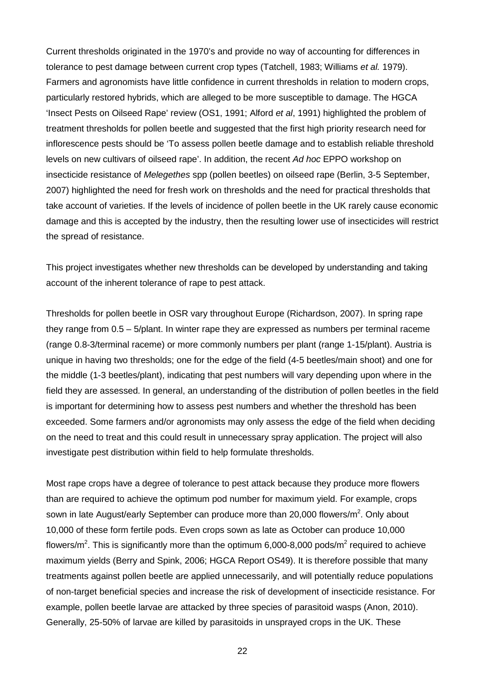Current thresholds originated in the 1970's and provide no way of accounting for differences in tolerance to pest damage between current crop types (Tatchell, 1983; Williams *et al.* 1979). Farmers and agronomists have little confidence in current thresholds in relation to modern crops, particularly restored hybrids, which are alleged to be more susceptible to damage. The HGCA 'Insect Pests on Oilseed Rape' review (OS1, 1991; Alford *et al*, 1991) highlighted the problem of treatment thresholds for pollen beetle and suggested that the first high priority research need for inflorescence pests should be 'To assess pollen beetle damage and to establish reliable threshold levels on new cultivars of oilseed rape'. In addition, the recent *Ad hoc* EPPO workshop on insecticide resistance of *Melegethes* spp (pollen beetles) on oilseed rape (Berlin, 3-5 September, 2007) highlighted the need for fresh work on thresholds and the need for practical thresholds that take account of varieties. If the levels of incidence of pollen beetle in the UK rarely cause economic damage and this is accepted by the industry, then the resulting lower use of insecticides will restrict the spread of resistance.

This project investigates whether new thresholds can be developed by understanding and taking account of the inherent tolerance of rape to pest attack.

Thresholds for pollen beetle in OSR vary throughout Europe (Richardson, 2007). In spring rape they range from 0.5 – 5/plant. In winter rape they are expressed as numbers per terminal raceme (range 0.8-3/terminal raceme) or more commonly numbers per plant (range 1-15/plant). Austria is unique in having two thresholds; one for the edge of the field (4-5 beetles/main shoot) and one for the middle (1-3 beetles/plant), indicating that pest numbers will vary depending upon where in the field they are assessed. In general, an understanding of the distribution of pollen beetles in the field is important for determining how to assess pest numbers and whether the threshold has been exceeded. Some farmers and/or agronomists may only assess the edge of the field when deciding on the need to treat and this could result in unnecessary spray application. The project will also investigate pest distribution within field to help formulate thresholds.

Most rape crops have a degree of tolerance to pest attack because they produce more flowers than are required to achieve the optimum pod number for maximum yield. For example, crops sown in late August/early September can produce more than 20,000 flowers/m<sup>2</sup>. Only about 10,000 of these form fertile pods. Even crops sown as late as October can produce 10,000 flowers/m<sup>2</sup>. This is significantly more than the optimum 6,000-8,000 pods/m<sup>2</sup> required to achieve maximum yields (Berry and Spink, 2006; HGCA Report OS49). It is therefore possible that many treatments against pollen beetle are applied unnecessarily, and will potentially reduce populations of non-target beneficial species and increase the risk of development of insecticide resistance. For example, pollen beetle larvae are attacked by three species of parasitoid wasps (Anon, 2010). Generally, 25-50% of larvae are killed by parasitoids in unsprayed crops in the UK. These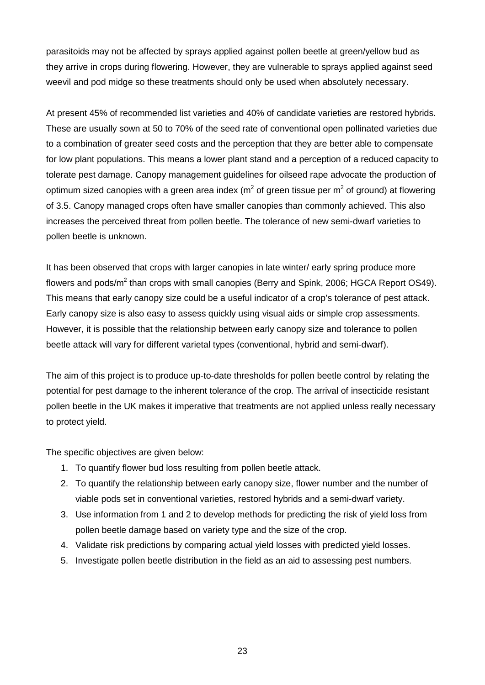parasitoids may not be affected by sprays applied against pollen beetle at green/yellow bud as they arrive in crops during flowering. However, they are vulnerable to sprays applied against seed weevil and pod midge so these treatments should only be used when absolutely necessary.

At present 45% of recommended list varieties and 40% of candidate varieties are restored hybrids. These are usually sown at 50 to 70% of the seed rate of conventional open pollinated varieties due to a combination of greater seed costs and the perception that they are better able to compensate for low plant populations. This means a lower plant stand and a perception of a reduced capacity to tolerate pest damage. Canopy management guidelines for oilseed rape advocate the production of optimum sized canopies with a green area index ( $m<sup>2</sup>$  of green tissue per  $m<sup>2</sup>$  of ground) at flowering of 3.5. Canopy managed crops often have smaller canopies than commonly achieved. This also increases the perceived threat from pollen beetle. The tolerance of new semi-dwarf varieties to pollen beetle is unknown.

It has been observed that crops with larger canopies in late winter/ early spring produce more flowers and pods/ $m^2$  than crops with small canopies (Berry and Spink, 2006; HGCA Report OS49). This means that early canopy size could be a useful indicator of a crop's tolerance of pest attack. Early canopy size is also easy to assess quickly using visual aids or simple crop assessments. However, it is possible that the relationship between early canopy size and tolerance to pollen beetle attack will vary for different varietal types (conventional, hybrid and semi-dwarf).

The aim of this project is to produce up-to-date thresholds for pollen beetle control by relating the potential for pest damage to the inherent tolerance of the crop. The arrival of insecticide resistant pollen beetle in the UK makes it imperative that treatments are not applied unless really necessary to protect yield.

The specific objectives are given below:

- 1. To quantify flower bud loss resulting from pollen beetle attack.
- 2. To quantify the relationship between early canopy size, flower number and the number of viable pods set in conventional varieties, restored hybrids and a semi-dwarf variety.
- 3. Use information from 1 and 2 to develop methods for predicting the risk of yield loss from pollen beetle damage based on variety type and the size of the crop.
- 4. Validate risk predictions by comparing actual yield losses with predicted yield losses.
- 5. Investigate pollen beetle distribution in the field as an aid to assessing pest numbers.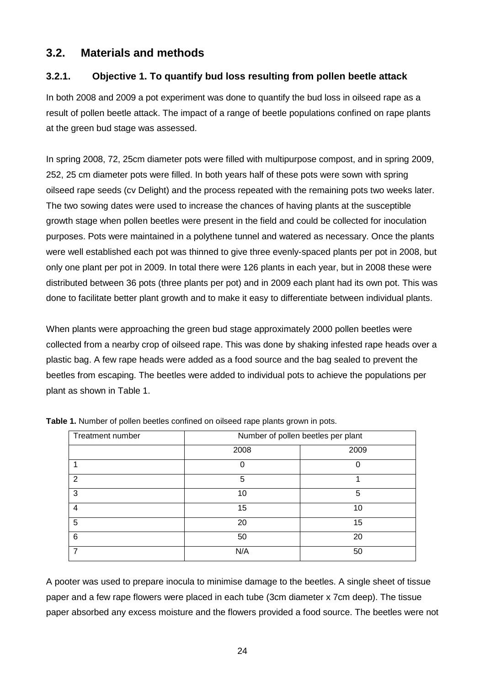## **3.2. Materials and methods**

## **3.2.1. Objective 1. To quantify bud loss resulting from pollen beetle attack**

In both 2008 and 2009 a pot experiment was done to quantify the bud loss in oilseed rape as a result of pollen beetle attack. The impact of a range of beetle populations confined on rape plants at the green bud stage was assessed.

In spring 2008, 72, 25cm diameter pots were filled with multipurpose compost, and in spring 2009, 252, 25 cm diameter pots were filled. In both years half of these pots were sown with spring oilseed rape seeds (cv Delight) and the process repeated with the remaining pots two weeks later. The two sowing dates were used to increase the chances of having plants at the susceptible growth stage when pollen beetles were present in the field and could be collected for inoculation purposes. Pots were maintained in a polythene tunnel and watered as necessary. Once the plants were well established each pot was thinned to give three evenly-spaced plants per pot in 2008, but only one plant per pot in 2009. In total there were 126 plants in each year, but in 2008 these were distributed between 36 pots (three plants per pot) and in 2009 each plant had its own pot. This was done to facilitate better plant growth and to make it easy to differentiate between individual plants.

When plants were approaching the green bud stage approximately 2000 pollen beetles were collected from a nearby crop of oilseed rape. This was done by shaking infested rape heads over a plastic bag. A few rape heads were added as a food source and the bag sealed to prevent the beetles from escaping. The beetles were added to individual pots to achieve the populations per plant as shown in Table 1.

| Treatment number | Number of pollen beetles per plant |      |  |  |
|------------------|------------------------------------|------|--|--|
|                  | 2008                               | 2009 |  |  |
|                  | $\Omega$                           | 0    |  |  |
| 2                | 5                                  |      |  |  |
| 3                | 10                                 | 5    |  |  |
| 4                | 15                                 | 10   |  |  |
| 5                | 20                                 | 15   |  |  |
| 6                | 50                                 | 20   |  |  |
|                  | N/A                                | 50   |  |  |

**Table 1.** Number of pollen beetles confined on oilseed rape plants grown in pots.

A pooter was used to prepare inocula to minimise damage to the beetles. A single sheet of tissue paper and a few rape flowers were placed in each tube (3cm diameter x 7cm deep). The tissue paper absorbed any excess moisture and the flowers provided a food source. The beetles were not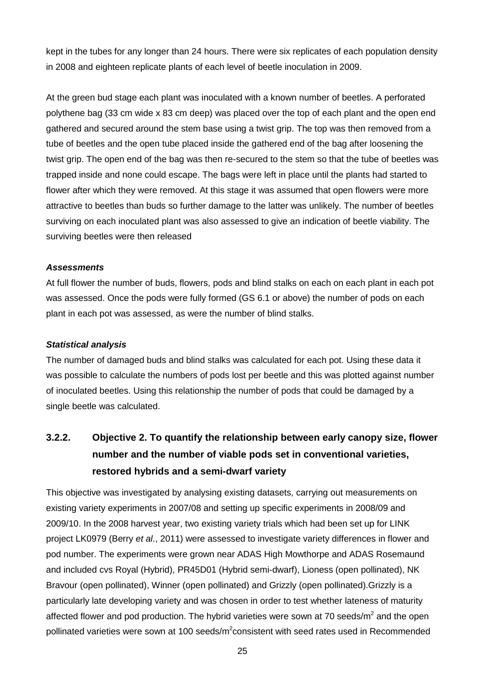kept in the tubes for any longer than 24 hours. There were six replicates of each population density in 2008 and eighteen replicate plants of each level of beetle inoculation in 2009.

At the green bud stage each plant was inoculated with a known number of beetles. A perforated polythene bag (33 cm wide x 83 cm deep) was placed over the top of each plant and the open end gathered and secured around the stem base using a twist grip. The top was then removed from a tube of beetles and the open tube placed inside the gathered end of the bag after loosening the twist grip. The open end of the bag was then re-secured to the stem so that the tube of beetles was trapped inside and none could escape. The bags were left in place until the plants had started to flower after which they were removed. At this stage it was assumed that open flowers were more attractive to beetles than buds so further damage to the latter was unlikely. The number of beetles surviving on each inoculated plant was also assessed to give an indication of beetle viability. The surviving beetles were then released

#### *Assessments*

At full flower the number of buds, flowers, pods and blind stalks on each on each plant in each pot was assessed. Once the pods were fully formed (GS 6.1 or above) the number of pods on each plant in each pot was assessed, as were the number of blind stalks.

#### *Statistical analysis*

The number of damaged buds and blind stalks was calculated for each pot. Using these data it was possible to calculate the numbers of pods lost per beetle and this was plotted against number of inoculated beetles. Using this relationship the number of pods that could be damaged by a single beetle was calculated.

## **3.2.2. Objective 2. To quantify the relationship between early canopy size, flower number and the number of viable pods set in conventional varieties, restored hybrids and a semi-dwarf variety**

This objective was investigated by analysing existing datasets, carrying out measurements on existing variety experiments in 2007/08 and setting up specific experiments in 2008/09 and 2009/10. In the 2008 harvest year, two existing variety trials which had been set up for LINK project LK0979 (Berry *et al*., 2011) were assessed to investigate variety differences in flower and pod number. The experiments were grown near ADAS High Mowthorpe and ADAS Rosemaund and included cvs Royal (Hybrid), PR45D01 (Hybrid semi-dwarf), Lioness (open pollinated), NK Bravour (open pollinated), Winner (open pollinated) and Grizzly (open pollinated).Grizzly is a particularly late developing variety and was chosen in order to test whether lateness of maturity affected flower and pod production. The hybrid varieties were sown at 70 seeds/ $m<sup>2</sup>$  and the open pollinated varieties were sown at 100 seeds/m<sup>2</sup>consistent with seed rates used in Recommended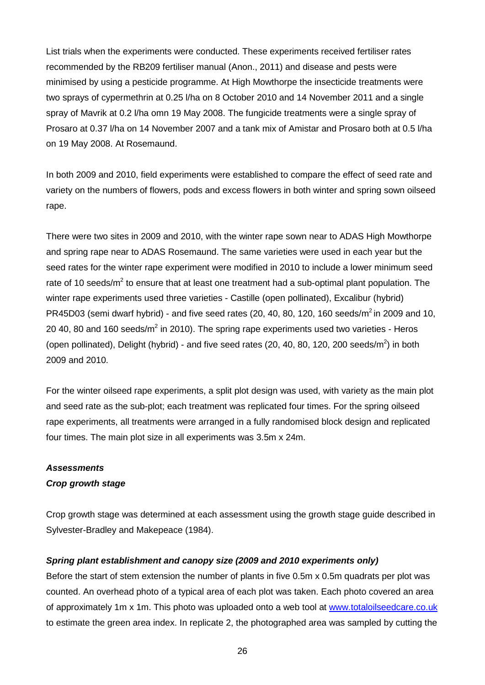List trials when the experiments were conducted. These experiments received fertiliser rates recommended by the RB209 fertiliser manual (Anon., 2011) and disease and pests were minimised by using a pesticide programme. At High Mowthorpe the insecticide treatments were two sprays of cypermethrin at 0.25 l/ha on 8 October 2010 and 14 November 2011 and a single spray of Mavrik at 0.2 l/ha omn 19 May 2008. The fungicide treatments were a single spray of Prosaro at 0.37 l/ha on 14 November 2007 and a tank mix of Amistar and Prosaro both at 0.5 l/ha on 19 May 2008. At Rosemaund.

In both 2009 and 2010, field experiments were established to compare the effect of seed rate and variety on the numbers of flowers, pods and excess flowers in both winter and spring sown oilseed rape.

There were two sites in 2009 and 2010, with the winter rape sown near to ADAS High Mowthorpe and spring rape near to ADAS Rosemaund. The same varieties were used in each year but the seed rates for the winter rape experiment were modified in 2010 to include a lower minimum seed rate of 10 seeds/ $m^2$  to ensure that at least one treatment had a sub-optimal plant population. The winter rape experiments used three varieties - Castille (open pollinated), Excalibur (hybrid) PR45D03 (semi dwarf hybrid) - and five seed rates (20, 40, 80, 120, 160 seeds/ $m^2$  in 2009 and 10, 20 40, 80 and 160 seeds/ $m^2$  in 2010). The spring rape experiments used two varieties - Heros (open pollinated), Delight (hybrid) - and five seed rates (20, 40, 80, 120, 200 seeds/ $m^2$ ) in both 2009 and 2010.

For the winter oilseed rape experiments, a split plot design was used, with variety as the main plot and seed rate as the sub-plot; each treatment was replicated four times. For the spring oilseed rape experiments, all treatments were arranged in a fully randomised block design and replicated four times. The main plot size in all experiments was 3.5m x 24m.

### *Assessments*

### *Crop growth stage*

Crop growth stage was determined at each assessment using the growth stage guide described in Sylvester-Bradley and Makepeace (1984).

### *Spring plant establishment and canopy size (2009 and 2010 experiments only)*

Before the start of stem extension the number of plants in five 0.5m x 0.5m quadrats per plot was counted. An overhead photo of a typical area of each plot was taken. Each photo covered an area of approximately 1m x 1m. This photo was uploaded onto a web tool at [www.totaloilseedcare.co.uk](http://www.totaloilseedcare.co.uk/) to estimate the green area index. In replicate 2, the photographed area was sampled by cutting the

26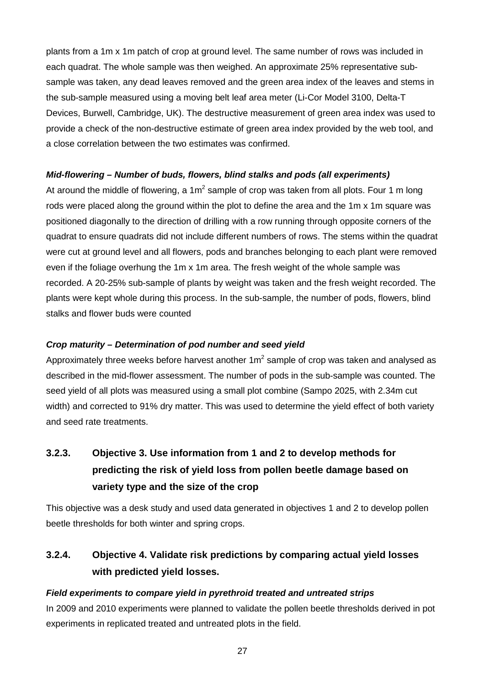plants from a 1m x 1m patch of crop at ground level. The same number of rows was included in each quadrat. The whole sample was then weighed. An approximate 25% representative subsample was taken, any dead leaves removed and the green area index of the leaves and stems in the sub-sample measured using a moving belt leaf area meter (Li-Cor Model 3100, Delta-T Devices, Burwell, Cambridge, UK). The destructive measurement of green area index was used to provide a check of the non-destructive estimate of green area index provided by the web tool, and a close correlation between the two estimates was confirmed.

### *Mid-flowering – Number of buds, flowers, blind stalks and pods (all experiments)*

At around the middle of flowering, a  $1m^2$  sample of crop was taken from all plots. Four 1 m long rods were placed along the ground within the plot to define the area and the 1m x 1m square was positioned diagonally to the direction of drilling with a row running through opposite corners of the quadrat to ensure quadrats did not include different numbers of rows. The stems within the quadrat were cut at ground level and all flowers, pods and branches belonging to each plant were removed even if the foliage overhung the 1m x 1m area. The fresh weight of the whole sample was recorded. A 20-25% sub-sample of plants by weight was taken and the fresh weight recorded. The plants were kept whole during this process. In the sub-sample, the number of pods, flowers, blind stalks and flower buds were counted

### *Crop maturity – Determination of pod number and seed yield*

Approximately three weeks before harvest another  $1m^2$  sample of crop was taken and analysed as described in the mid-flower assessment. The number of pods in the sub-sample was counted. The seed yield of all plots was measured using a small plot combine (Sampo 2025, with 2.34m cut width) and corrected to 91% dry matter. This was used to determine the yield effect of both variety and seed rate treatments.

# **3.2.3. Objective 3. Use information from 1 and 2 to develop methods for predicting the risk of yield loss from pollen beetle damage based on variety type and the size of the crop**

This objective was a desk study and used data generated in objectives 1 and 2 to develop pollen beetle thresholds for both winter and spring crops.

## **3.2.4. Objective 4. Validate risk predictions by comparing actual yield losses with predicted yield losses.**

### *Field experiments to compare yield in pyrethroid treated and untreated strips*

In 2009 and 2010 experiments were planned to validate the pollen beetle thresholds derived in pot experiments in replicated treated and untreated plots in the field.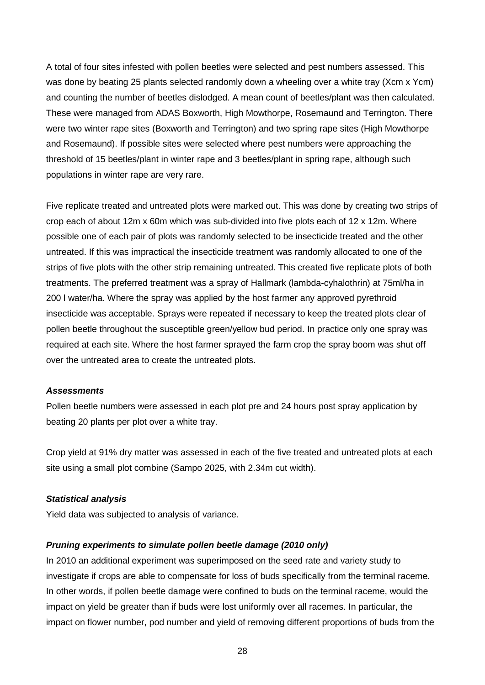A total of four sites infested with pollen beetles were selected and pest numbers assessed. This was done by beating 25 plants selected randomly down a wheeling over a white tray (Xcm x Ycm) and counting the number of beetles dislodged. A mean count of beetles/plant was then calculated. These were managed from ADAS Boxworth, High Mowthorpe, Rosemaund and Terrington. There were two winter rape sites (Boxworth and Terrington) and two spring rape sites (High Mowthorpe and Rosemaund). If possible sites were selected where pest numbers were approaching the threshold of 15 beetles/plant in winter rape and 3 beetles/plant in spring rape, although such populations in winter rape are very rare.

Five replicate treated and untreated plots were marked out. This was done by creating two strips of crop each of about 12m x 60m which was sub-divided into five plots each of 12 x 12m. Where possible one of each pair of plots was randomly selected to be insecticide treated and the other untreated. If this was impractical the insecticide treatment was randomly allocated to one of the strips of five plots with the other strip remaining untreated. This created five replicate plots of both treatments. The preferred treatment was a spray of Hallmark (lambda-cyhalothrin) at 75ml/ha in 200 l water/ha. Where the spray was applied by the host farmer any approved pyrethroid insecticide was acceptable. Sprays were repeated if necessary to keep the treated plots clear of pollen beetle throughout the susceptible green/yellow bud period. In practice only one spray was required at each site. Where the host farmer sprayed the farm crop the spray boom was shut off over the untreated area to create the untreated plots.

#### *Assessments*

Pollen beetle numbers were assessed in each plot pre and 24 hours post spray application by beating 20 plants per plot over a white tray.

Crop yield at 91% dry matter was assessed in each of the five treated and untreated plots at each site using a small plot combine (Sampo 2025, with 2.34m cut width).

#### *Statistical analysis*

Yield data was subjected to analysis of variance.

#### *Pruning experiments to simulate pollen beetle damage (2010 only)*

In 2010 an additional experiment was superimposed on the seed rate and variety study to investigate if crops are able to compensate for loss of buds specifically from the terminal raceme. In other words, if pollen beetle damage were confined to buds on the terminal raceme, would the impact on yield be greater than if buds were lost uniformly over all racemes. In particular, the impact on flower number, pod number and yield of removing different proportions of buds from the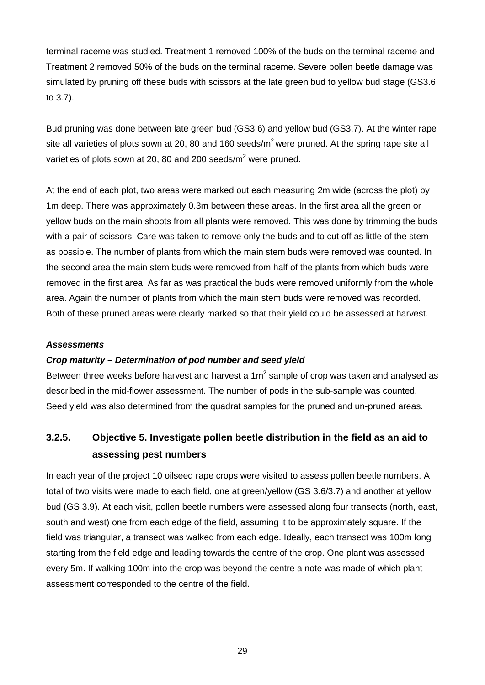terminal raceme was studied. Treatment 1 removed 100% of the buds on the terminal raceme and Treatment 2 removed 50% of the buds on the terminal raceme. Severe pollen beetle damage was simulated by pruning off these buds with scissors at the late green bud to yellow bud stage (GS3.6 to 3.7).

Bud pruning was done between late green bud (GS3.6) and yellow bud (GS3.7). At the winter rape site all varieties of plots sown at 20, 80 and 160 seeds/ $m^2$  were pruned. At the spring rape site all varieties of plots sown at 20, 80 and 200 seeds/ $m^2$  were pruned.

At the end of each plot, two areas were marked out each measuring 2m wide (across the plot) by 1m deep. There was approximately 0.3m between these areas. In the first area all the green or yellow buds on the main shoots from all plants were removed. This was done by trimming the buds with a pair of scissors. Care was taken to remove only the buds and to cut off as little of the stem as possible. The number of plants from which the main stem buds were removed was counted. In the second area the main stem buds were removed from half of the plants from which buds were removed in the first area. As far as was practical the buds were removed uniformly from the whole area. Again the number of plants from which the main stem buds were removed was recorded. Both of these pruned areas were clearly marked so that their yield could be assessed at harvest.

#### *Assessments*

#### *Crop maturity – Determination of pod number and seed yield*

Between three weeks before harvest and harvest a  $1m<sup>2</sup>$  sample of crop was taken and analysed as described in the mid-flower assessment. The number of pods in the sub-sample was counted. Seed yield was also determined from the quadrat samples for the pruned and un-pruned areas.

## **3.2.5. Objective 5. Investigate pollen beetle distribution in the field as an aid to assessing pest numbers**

In each year of the project 10 oilseed rape crops were visited to assess pollen beetle numbers. A total of two visits were made to each field, one at green/yellow (GS 3.6/3.7) and another at yellow bud (GS 3.9). At each visit, pollen beetle numbers were assessed along four transects (north, east, south and west) one from each edge of the field, assuming it to be approximately square. If the field was triangular, a transect was walked from each edge. Ideally, each transect was 100m long starting from the field edge and leading towards the centre of the crop. One plant was assessed every 5m. If walking 100m into the crop was beyond the centre a note was made of which plant assessment corresponded to the centre of the field.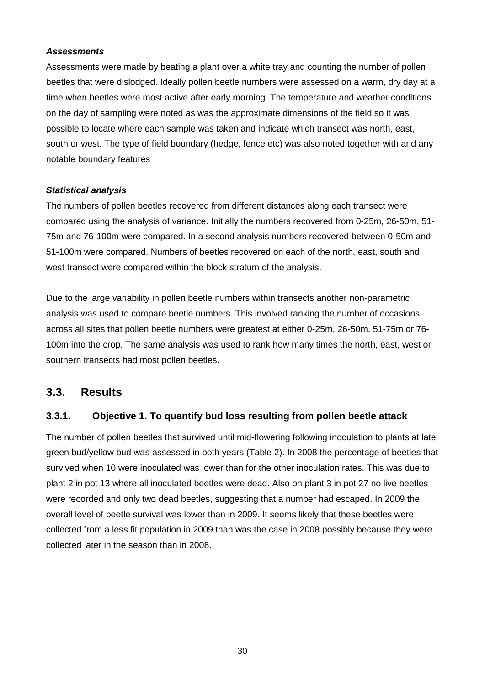#### *Assessments*

Assessments were made by beating a plant over a white tray and counting the number of pollen beetles that were dislodged. Ideally pollen beetle numbers were assessed on a warm, dry day at a time when beetles were most active after early morning. The temperature and weather conditions on the day of sampling were noted as was the approximate dimensions of the field so it was possible to locate where each sample was taken and indicate which transect was north, east, south or west. The type of field boundary (hedge, fence etc) was also noted together with and any notable boundary features

#### *Statistical analysis*

The numbers of pollen beetles recovered from different distances along each transect were compared using the analysis of variance. Initially the numbers recovered from 0-25m, 26-50m, 51- 75m and 76-100m were compared. In a second analysis numbers recovered between 0-50m and 51-100m were compared. Numbers of beetles recovered on each of the north, east, south and west transect were compared within the block stratum of the analysis.

Due to the large variability in pollen beetle numbers within transects another non-parametric analysis was used to compare beetle numbers. This involved ranking the number of occasions across all sites that pollen beetle numbers were greatest at either 0-25m, 26-50m, 51-75m or 76- 100m into the crop. The same analysis was used to rank how many times the north, east, west or southern transects had most pollen beetles.

## **3.3. Results**

## **3.3.1. Objective 1. To quantify bud loss resulting from pollen beetle attack**

The number of pollen beetles that survived until mid-flowering following inoculation to plants at late green bud/yellow bud was assessed in both years (Table 2). In 2008 the percentage of beetles that survived when 10 were inoculated was lower than for the other inoculation rates. This was due to plant 2 in pot 13 where all inoculated beetles were dead. Also on plant 3 in pot 27 no live beetles were recorded and only two dead beetles, suggesting that a number had escaped. In 2009 the overall level of beetle survival was lower than in 2009. It seems likely that these beetles were collected from a less fit population in 2009 than was the case in 2008 possibly because they were collected later in the season than in 2008.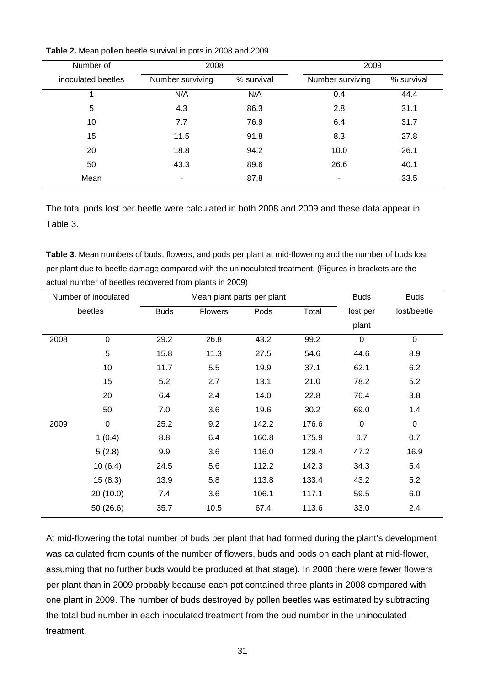| Number of          | 2008             |            | 2009             |            |  |
|--------------------|------------------|------------|------------------|------------|--|
| inoculated beetles | Number surviving | % survival | Number surviving | % survival |  |
|                    | N/A              | N/A        | 0.4              | 44.4       |  |
| 5                  | 4.3              | 86.3       | 2.8              | 31.1       |  |
| 10                 | 7.7              | 76.9       | 6.4              | 31.7       |  |
| 15                 | 11.5             | 91.8       | 8.3              | 27.8       |  |
| 20                 | 18.8             | 94.2       | 10.0             | 26.1       |  |
| 50                 | 43.3             | 89.6       | 26.6             | 40.1       |  |
| Mean               | ۰                | 87.8       | -                | 33.5       |  |

**Table 2.** Mean pollen beetle survival in pots in 2008 and 2009

The total pods lost per beetle were calculated in both 2008 and 2009 and these data appear in Table 3.

**Table 3.** Mean numbers of buds, flowers, and pods per plant at mid-flowering and the number of buds lost per plant due to beetle damage compared with the uninoculated treatment. (Figures in brackets are the actual number of beetles recovered from plants in 2009)

| Number of inoculated |           | Mean plant parts per plant |                |       |       | <b>Buds</b>      | <b>Buds</b> |
|----------------------|-----------|----------------------------|----------------|-------|-------|------------------|-------------|
| beetles              |           | <b>Buds</b>                | <b>Flowers</b> | Pods  | Total | lost per         | lost/beetle |
|                      |           |                            |                |       |       | plant            |             |
| 2008                 | $\pmb{0}$ | 29.2                       | 26.8           | 43.2  | 99.2  | $\mathbf 0$      | 0           |
|                      | 5         | 15.8                       | 11.3           | 27.5  | 54.6  | 44.6             | 8.9         |
|                      | 10        | 11.7                       | 5.5            | 19.9  | 37.1  | 62.1             | 6.2         |
|                      | 15        | 5.2                        | 2.7            | 13.1  | 21.0  | 78.2             | 5.2         |
|                      | 20        | 6.4                        | 2.4            | 14.0  | 22.8  | 76.4             | 3.8         |
|                      | 50        | 7.0                        | 3.6            | 19.6  | 30.2  | 69.0             | 1.4         |
| 2009                 | $\pmb{0}$ | 25.2                       | 9.2            | 142.2 | 176.6 | $\boldsymbol{0}$ | $\pmb{0}$   |
|                      | 1(0.4)    | 8.8                        | 6.4            | 160.8 | 175.9 | 0.7              | 0.7         |
|                      | 5(2.8)    | 9.9                        | 3.6            | 116.0 | 129.4 | 47.2             | 16.9        |
|                      | 10(6.4)   | 24.5                       | 5.6            | 112.2 | 142.3 | 34.3             | 5.4         |
|                      | 15(8.3)   | 13.9                       | 5.8            | 113.8 | 133.4 | 43.2             | 5.2         |
|                      | 20(10.0)  | 7.4                        | 3.6            | 106.1 | 117.1 | 59.5             | 6.0         |
|                      | 50(26.6)  | 35.7                       | 10.5           | 67.4  | 113.6 | 33.0             | 2.4         |
|                      |           |                            |                |       |       |                  |             |

At mid-flowering the total number of buds per plant that had formed during the plant's development was calculated from counts of the number of flowers, buds and pods on each plant at mid-flower, assuming that no further buds would be produced at that stage). In 2008 there were fewer flowers per plant than in 2009 probably because each pot contained three plants in 2008 compared with one plant in 2009. The number of buds destroyed by pollen beetles was estimated by subtracting the total bud number in each inoculated treatment from the bud number in the uninoculated treatment.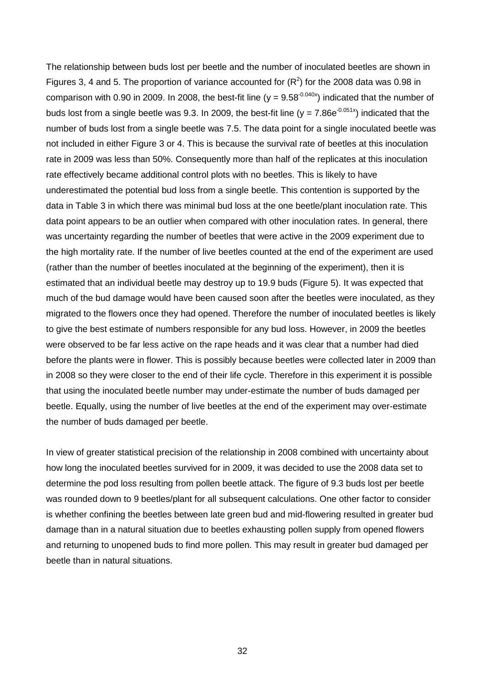The relationship between buds lost per beetle and the number of inoculated beetles are shown in Figures 3, 4 and 5. The proportion of variance accounted for  $(R^2)$  for the 2008 data was 0.98 in comparison with 0.90 in 2009. In 2008, the best-fit line ( $y = 9.58<sup>-0.040x</sup>$ ) indicated that the number of buds lost from a single beetle was 9.3. In 2009, the best-fit line ( $v = 7.86e^{-0.051x}$ ) indicated that the number of buds lost from a single beetle was 7.5. The data point for a single inoculated beetle was not included in either Figure 3 or 4. This is because the survival rate of beetles at this inoculation rate in 2009 was less than 50%. Consequently more than half of the replicates at this inoculation rate effectively became additional control plots with no beetles. This is likely to have underestimated the potential bud loss from a single beetle. This contention is supported by the data in Table 3 in which there was minimal bud loss at the one beetle/plant inoculation rate. This data point appears to be an outlier when compared with other inoculation rates. In general, there was uncertainty regarding the number of beetles that were active in the 2009 experiment due to the high mortality rate. If the number of live beetles counted at the end of the experiment are used (rather than the number of beetles inoculated at the beginning of the experiment), then it is estimated that an individual beetle may destroy up to 19.9 buds (Figure 5). It was expected that much of the bud damage would have been caused soon after the beetles were inoculated, as they migrated to the flowers once they had opened. Therefore the number of inoculated beetles is likely to give the best estimate of numbers responsible for any bud loss. However, in 2009 the beetles were observed to be far less active on the rape heads and it was clear that a number had died before the plants were in flower. This is possibly because beetles were collected later in 2009 than in 2008 so they were closer to the end of their life cycle. Therefore in this experiment it is possible that using the inoculated beetle number may under-estimate the number of buds damaged per beetle. Equally, using the number of live beetles at the end of the experiment may over-estimate the number of buds damaged per beetle.

In view of greater statistical precision of the relationship in 2008 combined with uncertainty about how long the inoculated beetles survived for in 2009, it was decided to use the 2008 data set to determine the pod loss resulting from pollen beetle attack. The figure of 9.3 buds lost per beetle was rounded down to 9 beetles/plant for all subsequent calculations. One other factor to consider is whether confining the beetles between late green bud and mid-flowering resulted in greater bud damage than in a natural situation due to beetles exhausting pollen supply from opened flowers and returning to unopened buds to find more pollen. This may result in greater bud damaged per beetle than in natural situations.

32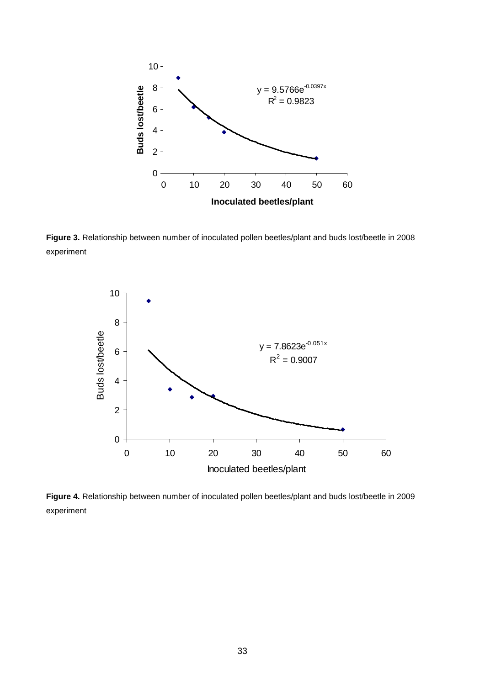

**Figure 3.** Relationship between number of inoculated pollen beetles/plant and buds lost/beetle in 2008 experiment



**Figure 4.** Relationship between number of inoculated pollen beetles/plant and buds lost/beetle in 2009 experiment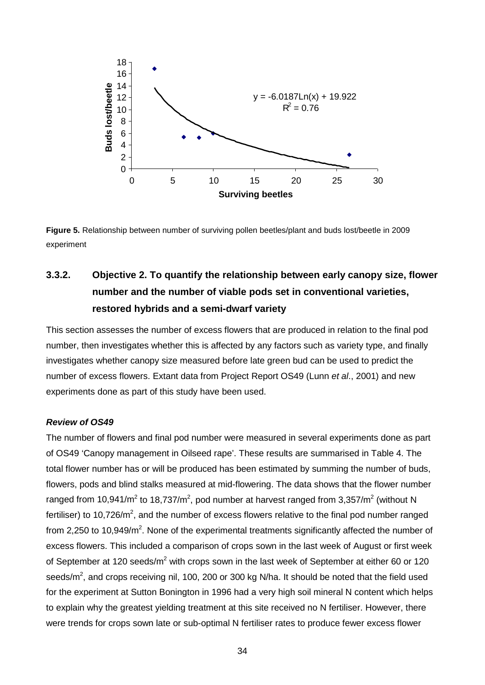

**Figure 5.** Relationship between number of surviving pollen beetles/plant and buds lost/beetle in 2009 experiment

# **3.3.2. Objective 2. To quantify the relationship between early canopy size, flower number and the number of viable pods set in conventional varieties, restored hybrids and a semi-dwarf variety**

This section assesses the number of excess flowers that are produced in relation to the final pod number, then investigates whether this is affected by any factors such as variety type, and finally investigates whether canopy size measured before late green bud can be used to predict the number of excess flowers. Extant data from Project Report OS49 (Lunn *et al*., 2001) and new experiments done as part of this study have been used.

#### *Review of OS49*

The number of flowers and final pod number were measured in several experiments done as part of OS49 'Canopy management in Oilseed rape'. These results are summarised in Table 4. The total flower number has or will be produced has been estimated by summing the number of buds, flowers, pods and blind stalks measured at mid-flowering. The data shows that the flower number ranged from 10,941/m<sup>2</sup> to 18,737/m<sup>2</sup>, pod number at harvest ranged from 3,357/m<sup>2</sup> (without N fertiliser) to 10,726/m<sup>2</sup>, and the number of excess flowers relative to the final pod number ranged from 2,250 to 10,949/m<sup>2</sup>. None of the experimental treatments significantly affected the number of excess flowers. This included a comparison of crops sown in the last week of August or first week of September at 120 seeds/m<sup>2</sup> with crops sown in the last week of September at either 60 or 120 seeds/m<sup>2</sup>, and crops receiving nil, 100, 200 or 300 kg N/ha. It should be noted that the field used for the experiment at Sutton Bonington in 1996 had a very high soil mineral N content which helps to explain why the greatest yielding treatment at this site received no N fertiliser. However, there were trends for crops sown late or sub-optimal N fertiliser rates to produce fewer excess flower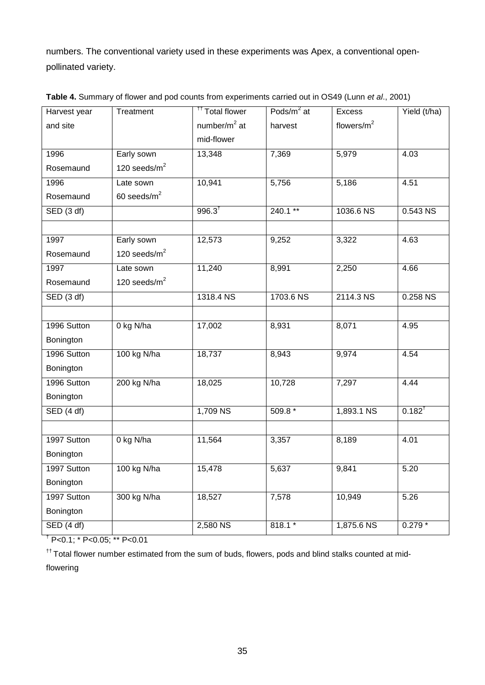numbers. The conventional variety used in these experiments was Apex, a conventional openpollinated variety.

| Harvest year                   | Treatment       | <sup>††</sup> Total flower | Pods/m <sup>2</sup> at | <b>Excess</b>  | Yield (t/ha)          |
|--------------------------------|-----------------|----------------------------|------------------------|----------------|-----------------------|
| and site                       |                 | number/ $m2$ at            | harvest                | flowers/ $m^2$ |                       |
|                                |                 | mid-flower                 |                        |                |                       |
| 1996                           | Early sown      | 13,348                     | 7,369                  | 5,979          | 4.03                  |
| Rosemaund                      | 120 seeds/ $m2$ |                            |                        |                |                       |
| 1996                           | Late sown       | 10,941                     | 5,756                  | 5,186          | 4.51                  |
| Rosemaund                      | 60 seeds/ $m^2$ |                            |                        |                |                       |
| SED (3 df)                     |                 | $996.3^{†}$                | $240.1***$             | 1036.6 NS      | $0.543$ NS            |
|                                |                 |                            |                        |                |                       |
| 1997                           | Early sown      | 12,573                     | 9,252                  | 3,322          | 4.63                  |
| Rosemaund                      | 120 seeds/ $m2$ |                            |                        |                |                       |
| 1997                           | Late sown       | 11,240                     | 8,991                  | 2,250          | 4.66                  |
| Rosemaund                      | 120 seeds/ $m2$ |                            |                        |                |                       |
| $\overline{\text{SED}$ (3 df)  |                 | 1318.4 NS                  | 1703.6 NS              | 2114.3 NS      | $0.258$ <sub>NS</sub> |
|                                |                 |                            |                        |                |                       |
| 1996 Sutton                    | 0 kg N/ha       | 17,002                     | 8,931                  | 8,071          | 4.95                  |
| Bonington                      |                 |                            |                        |                |                       |
| 1996 Sutton                    | 100 kg N/ha     | 18,737                     | 8,943                  | 9,974          | 4.54                  |
| Bonington                      |                 |                            |                        |                |                       |
| 1996 Sutton                    | 200 kg N/ha     | 18,025                     | 10,728                 | 7,297          | 4.44                  |
| Bonington                      |                 |                            |                        |                |                       |
| $\overline{\text{SED} (4 df)}$ |                 | 1,709 NS                   | $509.8*$               | 1,893.1 NS     | $0.182^{t}$           |
|                                |                 |                            |                        |                |                       |
| 1997 Sutton                    | 0 kg N/ha       | 11,564                     | 3,357                  | 8,189          | 4.01                  |
| Bonington                      |                 |                            |                        |                |                       |
| 1997 Sutton                    | 100 kg N/ha     | 15,478                     | 5,637                  | 9,841          | 5.20                  |
| Bonington                      |                 |                            |                        |                |                       |
| 1997 Sutton                    | 300 kg N/ha     | 18,527                     | 7,578                  | 10,949         | 5.26                  |
| Bonington                      |                 |                            |                        |                |                       |
| $\overline{\text{SED} (4 df)}$ |                 | 2,580 NS                   | $818.1*$               | 1,875.6 NS     | $0.279*$              |

**Table 4.** Summary of flower and pod counts from experiments carried out in OS49 (Lunn *et al*., 2001)

 $^{\dagger}$  P<0.1;  $^{\ast}$  P<0.05;  $^{\ast\ast}$  P<0.01

†† Total flower number estimated from the sum of buds, flowers, pods and blind stalks counted at midflowering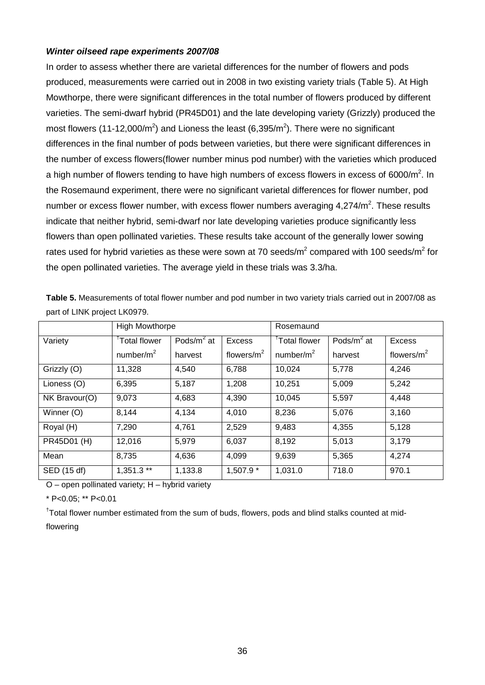#### *Winter oilseed rape experiments 2007/08*

In order to assess whether there are varietal differences for the number of flowers and pods produced, measurements were carried out in 2008 in two existing variety trials (Table 5). At High Mowthorpe, there were significant differences in the total number of flowers produced by different varieties. The semi-dwarf hybrid (PR45D01) and the late developing variety (Grizzly) produced the most flowers (11-12,000/m<sup>2</sup>) and Lioness the least (6,395/m<sup>2</sup>). There were no significant differences in the final number of pods between varieties, but there were significant differences in the number of excess flowers(flower number minus pod number) with the varieties which produced a high number of flowers tending to have high numbers of excess flowers in excess of 6000/m<sup>2</sup>. In the Rosemaund experiment, there were no significant varietal differences for flower number, pod number or excess flower number, with excess flower numbers averaging  $4,274/m^2$ . These results indicate that neither hybrid, semi-dwarf nor late developing varieties produce significantly less flowers than open pollinated varieties. These results take account of the generally lower sowing rates used for hybrid varieties as these were sown at 70 seeds/ $m^2$  compared with 100 seeds/ $m^2$  for the open pollinated varieties. The average yield in these trials was 3.3/ha.

|               | <b>High Mowthorpe</b>     |                |                | Rosemaund                |                |                |
|---------------|---------------------------|----------------|----------------|--------------------------|----------------|----------------|
| Variety       | <sup>T</sup> Total flower | Pods/ $m^2$ at | <b>Excess</b>  | <sup>T</sup> otal flower | Pods/ $m^2$ at | Excess         |
|               | number/ $m2$              | harvest        | flowers/ $m^2$ | number/ $m2$             | harvest        | flowers/ $m^2$ |
| Grizzly (O)   | 11,328                    | 4,540          | 6,788          | 10,024                   | 5,778          | 4,246          |
| Lioness (O)   | 6,395                     | 5,187          | 1,208          | 10,251                   | 5,009          | 5,242          |
| NK Bravour(O) | 9,073                     | 4,683          | 4,390          | 10,045                   | 5,597          | 4,448          |
| Winner (O)    | 8,144                     | 4,134          | 4,010          | 8,236                    | 5,076          | 3,160          |
| Royal (H)     | 7,290                     | 4,761          | 2,529          | 9,483                    | 4,355          | 5,128          |
| PR45D01 (H)   | 12,016                    | 5,979          | 6,037          | 8,192                    | 5,013          | 3,179          |
| Mean          | 8,735                     | 4,636          | 4,099          | 9,639                    | 5,365          | 4,274          |
| SED (15 df)   | $1,351.3**$               | 1,133.8        | 1,507.9 *      | 1,031.0                  | 718.0          | 970.1          |

**Table 5.** Measurements of total flower number and pod number in two variety trials carried out in 2007/08 as part of LINK project LK0979.

O – open pollinated variety; H – hybrid variety

\* P<0.05; \*\* P<0.01

<sup>†</sup>Total flower number estimated from the sum of buds, flowers, pods and blind stalks counted at midflowering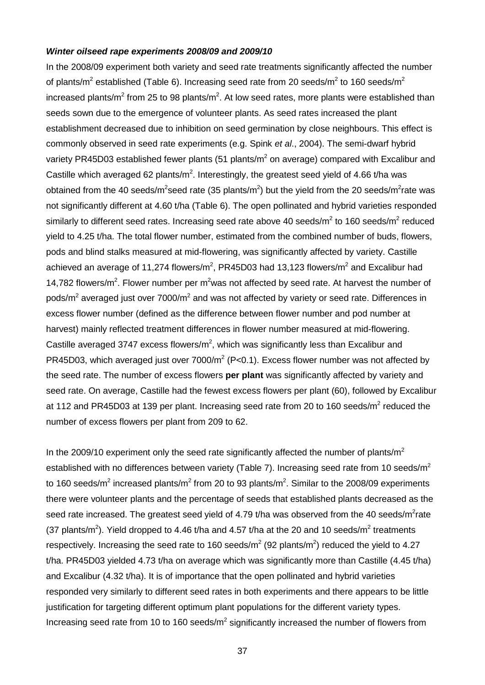#### *Winter oilseed rape experiments 2008/09 and 2009/10*

In the 2008/09 experiment both variety and seed rate treatments significantly affected the number of plants/m<sup>2</sup> established (Table 6). Increasing seed rate from 20 seeds/m<sup>2</sup> to 160 seeds/m<sup>2</sup> increased plants/m<sup>2</sup> from 25 to 98 plants/m<sup>2</sup>. At low seed rates, more plants were established than seeds sown due to the emergence of volunteer plants. As seed rates increased the plant establishment decreased due to inhibition on seed germination by close neighbours. This effect is commonly observed in seed rate experiments (e.g. Spink *et al*., 2004). The semi-dwarf hybrid variety PR45D03 established fewer plants (51 plants/ $m^2$  on average) compared with Excalibur and Castille which averaged 62 plants/ $m^2$ . Interestingly, the greatest seed yield of 4.66 t/ha was obtained from the 40 seeds/m<sup>2</sup>seed rate (35 plants/m<sup>2</sup>) but the yield from the 20 seeds/m<sup>2</sup>rate was not significantly different at 4.60 t/ha (Table 6). The open pollinated and hybrid varieties responded similarly to different seed rates. Increasing seed rate above 40 seeds/ $m^2$  to 160 seeds/ $m^2$  reduced yield to 4.25 t/ha. The total flower number, estimated from the combined number of buds, flowers, pods and blind stalks measured at mid-flowering, was significantly affected by variety. Castille achieved an average of 11,274 flowers/m<sup>2</sup>, PR45D03 had 13,123 flowers/m<sup>2</sup> and Excalibur had 14,782 flowers/ $m^2$ . Flower number per  $m^2$ was not affected by seed rate. At harvest the number of pods/m<sup>2</sup> averaged just over 7000/m<sup>2</sup> and was not affected by variety or seed rate. Differences in excess flower number (defined as the difference between flower number and pod number at harvest) mainly reflected treatment differences in flower number measured at mid-flowering. Castille averaged 3747 excess flowers/ $m^2$ , which was significantly less than Excalibur and PR45D03, which averaged just over  $7000/m^2$  (P<0.1). Excess flower number was not affected by the seed rate. The number of excess flowers **per plant** was significantly affected by variety and seed rate. On average, Castille had the fewest excess flowers per plant (60), followed by Excalibur at 112 and PR45D03 at 139 per plant. Increasing seed rate from 20 to 160 seeds/m<sup>2</sup> reduced the number of excess flowers per plant from 209 to 62.

In the 2009/10 experiment only the seed rate significantly affected the number of plants/ $m<sup>2</sup>$ established with no differences between variety (Table 7). Increasing seed rate from 10 seeds/ $m^2$ to 160 seeds/m<sup>2</sup> increased plants/m<sup>2</sup> from 20 to 93 plants/m<sup>2</sup>. Similar to the 2008/09 experiments there were volunteer plants and the percentage of seeds that established plants decreased as the seed rate increased. The greatest seed yield of 4.79 t/ha was observed from the 40 seeds/m<sup>2</sup>rate (37 plants/m<sup>2</sup>). Yield dropped to 4.46 t/ha and 4.57 t/ha at the 20 and 10 seeds/m<sup>2</sup> treatments respectively. Increasing the seed rate to 160 seeds/ $m^2$  (92 plants/m<sup>2</sup>) reduced the yield to 4.27 t/ha. PR45D03 yielded 4.73 t/ha on average which was significantly more than Castille (4.45 t/ha) and Excalibur (4.32 t/ha). It is of importance that the open pollinated and hybrid varieties responded very similarly to different seed rates in both experiments and there appears to be little justification for targeting different optimum plant populations for the different variety types. Increasing seed rate from 10 to 160 seeds/m<sup>2</sup> significantly increased the number of flowers from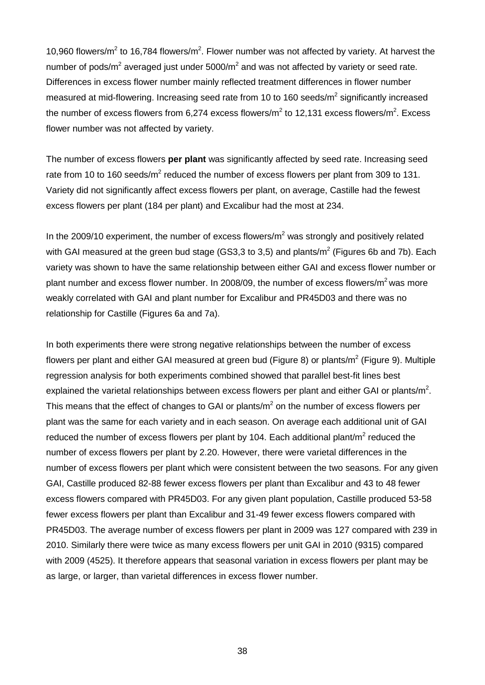10,960 flowers/ $m^2$  to 16,784 flowers/ $m^2$ . Flower number was not affected by variety. At harvest the number of pods/ $m^2$  averaged just under 5000/ $m^2$  and was not affected by variety or seed rate. Differences in excess flower number mainly reflected treatment differences in flower number measured at mid-flowering. Increasing seed rate from 10 to 160 seeds/m<sup>2</sup> significantly increased the number of excess flowers from 6,274 excess flowers/m<sup>2</sup> to 12,131 excess flowers/m<sup>2</sup>. Excess flower number was not affected by variety.

The number of excess flowers **per plant** was significantly affected by seed rate. Increasing seed rate from 10 to 160 seeds/ $m^2$  reduced the number of excess flowers per plant from 309 to 131. Variety did not significantly affect excess flowers per plant, on average, Castille had the fewest excess flowers per plant (184 per plant) and Excalibur had the most at 234.

In the 2009/10 experiment, the number of excess flowers/ $m^2$  was strongly and positively related with GAI measured at the green bud stage (GS3,3 to 3,5) and plants/ $m^2$  (Figures 6b and 7b). Each variety was shown to have the same relationship between either GAI and excess flower number or plant number and excess flower number. In 2008/09, the number of excess flowers/ $m^2$  was more weakly correlated with GAI and plant number for Excalibur and PR45D03 and there was no relationship for Castille (Figures 6a and 7a).

In both experiments there were strong negative relationships between the number of excess flowers per plant and either GAI measured at green bud (Figure 8) or plants/ $m^2$  (Figure 9). Multiple regression analysis for both experiments combined showed that parallel best-fit lines best explained the varietal relationships between excess flowers per plant and either GAI or plants/ $m^2$ . This means that the effect of changes to GAI or plants/ $m<sup>2</sup>$  on the number of excess flowers per plant was the same for each variety and in each season. On average each additional unit of GAI reduced the number of excess flowers per plant by 104. Each additional plant/ $m<sup>2</sup>$  reduced the number of excess flowers per plant by 2.20. However, there were varietal differences in the number of excess flowers per plant which were consistent between the two seasons. For any given GAI, Castille produced 82-88 fewer excess flowers per plant than Excalibur and 43 to 48 fewer excess flowers compared with PR45D03. For any given plant population, Castille produced 53-58 fewer excess flowers per plant than Excalibur and 31-49 fewer excess flowers compared with PR45D03. The average number of excess flowers per plant in 2009 was 127 compared with 239 in 2010. Similarly there were twice as many excess flowers per unit GAI in 2010 (9315) compared with 2009 (4525). It therefore appears that seasonal variation in excess flowers per plant may be as large, or larger, than varietal differences in excess flower number.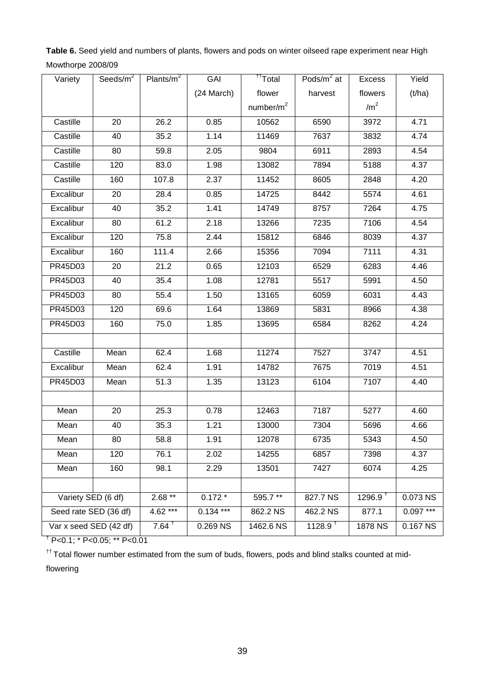**Table 6.** Seed yield and numbers of plants, flowers and pods on winter oilseed rape experiment near High Mowthorpe 2008/09

| Variety                | Seeds/ $m2$ | Plants/ $m^2$     | GAI        | <sup>††</sup> Total | Pods/ $m2$ at         | Excess          | Yield      |
|------------------------|-------------|-------------------|------------|---------------------|-----------------------|-----------------|------------|
|                        |             |                   | (24 March) | flower              | harvest               | flowers         | (t/ha)     |
|                        |             |                   |            | number/ $m2$        |                       | /m <sup>2</sup> |            |
| Castille               | 20          | 26.2              | 0.85       | 10562               | 6590                  | 3972            | 4.71       |
| Castille               | 40          | 35.2              | 1.14       | 11469               | 7637                  | 3832            | 4.74       |
| Castille               | 80          | 59.8              | 2.05       | 9804                | 6911                  | 2893            | 4.54       |
| Castille               | 120         | 83.0              | 1.98       | 13082               | 7894                  | 5188            | 4.37       |
| Castille               | 160         | 107.8             | 2.37       | 11452               | 8605                  | 2848            | 4.20       |
| Excalibur              | 20          | 28.4              | 0.85       | 14725               | 8442                  | 5574            | 4.61       |
| Excalibur              | 40          | 35.2              | 1.41       | 14749               | 8757                  | 7264            | 4.75       |
| Excalibur              | 80          | 61.2              | 2.18       | 13266               | 7235                  | 7106            | 4.54       |
| Excalibur              | 120         | 75.8              | 2.44       | 15812               | 6846                  | 8039            | 4.37       |
| Excalibur              | 160         | 111.4             | 2.66       | 15356               | 7094                  | 7111            | 4.31       |
| PR45D03                | 20          | 21.2              | 0.65       | 12103               | 6529                  | 6283            | 4.46       |
| PR45D03                | 40          | 35.4              | 1.08       | 12781               | 5517                  | 5991            | 4.50       |
| PR45D03                | 80          | 55.4              | 1.50       | 13165               | 6059                  | 6031            | 4.43       |
| PR45D03                | 120         | 69.6              | 1.64       | 13869               | 5831                  | 8966            | 4.38       |
| PR45D03                | 160         | 75.0              | 1.85       | 13695               | 6584                  | 8262            | 4.24       |
|                        |             |                   |            |                     |                       |                 |            |
| Castille               | Mean        | 62.4              | 1.68       | 11274               | 7527                  | 3747            | 4.51       |
| Excalibur              | Mean        | 62.4              | 1.91       | 14782               | 7675                  | 7019            | 4.51       |
| PR45D03                | Mean        | 51.3              | 1.35       | 13123               | 6104                  | 7107            | 4.40       |
|                        |             |                   |            |                     |                       |                 |            |
| Mean                   | 20          | 25.3              | 0.78       | 12463               | 7187                  | 5277            | 4.60       |
| Mean                   | 40          | 35.3              | 1.21       | 13000               | 7304                  | 5696            | 4.66       |
| Mean                   | 80          | 58.8              | 1.91       | 12078               | 6735                  | 5343            | 4.50       |
| Mean                   | 120         | 76.1              | 2.02       | 14255               | 6857                  | 7398            | 4.37       |
| Mean                   | 160         | 98.1              | 2.29       | 13501               | 7427                  | 6074            | 4.25       |
|                        |             |                   |            |                     |                       |                 |            |
| Variety SED (6 df)     |             | $2.68**$          | $0.172*$   | 595.7**             | 827.7 NS              | $1296.9^{+}$    | 0.073 NS   |
| Seed rate SED (36 df)  |             | 4.62 ***          | $0.134***$ | 862.2 NS            | 462.2 NS              | 877.1           | $0.097***$ |
| Var x seed SED (42 df) |             | $7.64^{\text{+}}$ | 0.269 NS   | 1462.6 NS           | $1128.9$ <sup>t</sup> | 1878 NS         | 0.167 NS   |

† P<0.1; \* P<0.05; \*\* P<0.01

 $<sup>††</sup>$  Total flower number estimated from the sum of buds, flowers, pods and blind stalks counted at mid-</sup>

flowering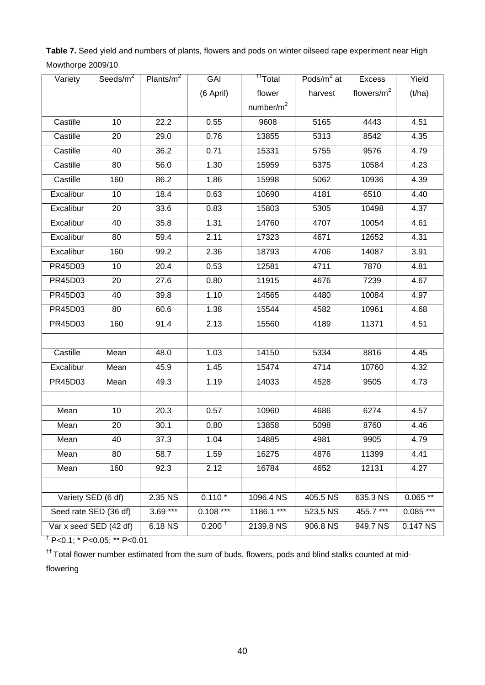**Table 7.** Seed yield and numbers of plants, flowers and pods on winter oilseed rape experiment near High Mowthorpe 2009/10

| Variety                | Seeds/ $m2$ | Plants/ $m^2$     | GAI                | <sup>††</sup> Total | Pods/ $m^2$ at | Excess        | Yield      |
|------------------------|-------------|-------------------|--------------------|---------------------|----------------|---------------|------------|
|                        |             |                   | (6 April)          | flower              | harvest        | flowers/ $m2$ | (t/ha)     |
|                        |             |                   |                    | number/ $m2$        |                |               |            |
| Castille               | 10          | 22.2              | 0.55               | 9608                | 5165           | 4443          | 4.51       |
| Castille               | 20          | 29.0              | 0.76               | 13855               | 5313           | 8542          | 4.35       |
| Castille               | 40          | 36.2              | 0.71               | 15331               | 5755           | 9576          | 4.79       |
| Castille               | 80          | 56.0              | 1.30               | 15959               | 5375           | 10584         | 4.23       |
| Castille               | 160         | 86.2              | 1.86               | 15998               | 5062           | 10936         | 4.39       |
| Excalibur              | 10          | 18.4              | 0.63               | 10690               | 4181           | 6510          | 4.40       |
| Excalibur              | 20          | 33.6              | 0.83               | 15803               | 5305           | 10498         | 4.37       |
| Excalibur              | 40          | 35.8              | 1.31               | 14760               | 4707           | 10054         | 4.61       |
| Excalibur              | 80          | 59.4              | 2.11               | 17323               | 4671           | 12652         | 4.31       |
| Excalibur              | 160         | 99.2              | 2.36               | 18793               | 4706           | 14087         | 3.91       |
| PR45D03                | 10          | $\overline{2}0.4$ | 0.53               | 12581               | 4711           | 7870          | 4.81       |
| PR45D03                | 20          | 27.6              | 0.80               | 11915               | 4676           | 7239          | 4.67       |
| PR45D03                | 40          | 39.8              | 1.10               | 14565               | 4480           | 10084         | 4.97       |
| PR45D03                | 80          | 60.6              | 1.38               | 15544               | 4582           | 10961         | 4.68       |
| PR45D03                | 160         | 91.4              | 2.13               | 15560               | 4189           | 11371         | 4.51       |
|                        |             |                   |                    |                     |                |               |            |
| Castille               | Mean        | 48.0              | 1.03               | 14150               | 5334           | 8816          | 4.45       |
| Excalibur              | Mean        | 45.9              | 1.45               | 15474               | 4714           | 10760         | 4.32       |
| PR45D03                | Mean        | 49.3              | 1.19               | 14033               | 4528           | 9505          | 4.73       |
|                        |             |                   |                    |                     |                |               |            |
| Mean                   | 10          | 20.3              | 0.57               | 10960               | 4686           | 6274          | 4.57       |
| Mean                   | 20          | 30.1              | 0.80               | 13858               | 5098           | 8760          | 4.46       |
| Mean                   | 40          | 37.3              | 1.04               | 14885               | 4981           | 9905          | 4.79       |
| Mean                   | 80          | 58.7              | 1.59               | 16275               | 4876           | 11399         | 4.41       |
| Mean                   | 160         | 92.3              | 2.12               | 16784               | 4652           | 12131         | 4.27       |
|                        |             |                   |                    |                     |                |               |            |
| Variety SED (6 df)     |             | 2.35 NS           | $0.110*$           | 1096.4 NS           | 405.5 NS       | 635.3 NS      | $0.065**$  |
| Seed rate SED (36 df)  |             | $3.69***$         | $0.108***$         | 1186.1 ***          | 523.5 NS       | 455.7***      | $0.085***$ |
| Var x seed SED (42 df) |             | 6.18 NS           | 0.200 <sup>†</sup> | 2139.8 NS           | 906.8 NS       | 949.7 NS      | 0.147 NS   |

† P<0.1; \* P<0.05; \*\* P<0.01

 $<sup>††</sup>$  Total flower number estimated from the sum of buds, flowers, pods and blind stalks counted at mid-</sup>

flowering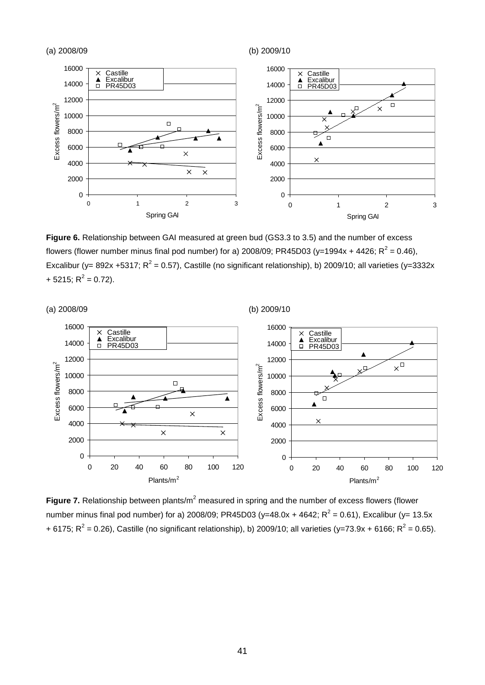

**Figure 6.** Relationship between GAI measured at green bud (GS3.3 to 3.5) and the number of excess flowers (flower number minus final pod number) for a) 2008/09; PR45D03 (y=1994x + 4426;  $R^2 = 0.46$ ), Excalibur (y= 892x +5317;  $R^2$  = 0.57), Castille (no significant relationship), b) 2009/10; all varieties (y=3332x + 5215;  $R^2$  = 0.72).



**Figure 7.** Relationship between plants/m<sup>2</sup> measured in spring and the number of excess flowers (flower number minus final pod number) for a) 2008/09; PR45D03 (y=48.0x + 4642;  $R^2$  = 0.61), Excalibur (y= 13.5x + 6175;  $R^2$  = 0.26), Castille (no significant relationship), b) 2009/10; all varieties (y=73.9x + 6166;  $R^2$  = 0.65).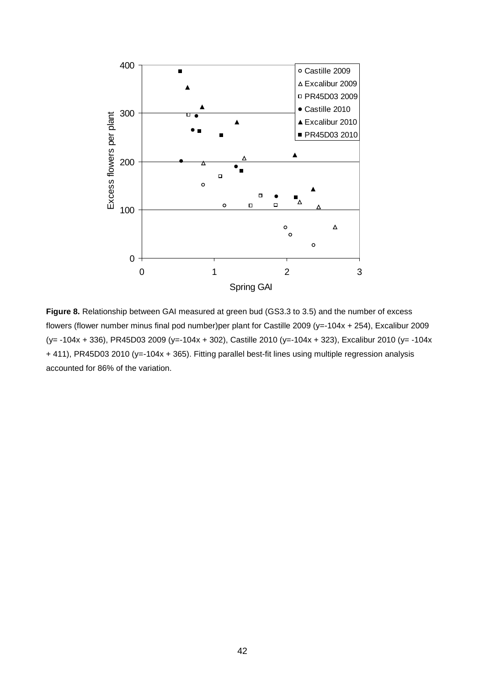

**Figure 8.** Relationship between GAI measured at green bud (GS3.3 to 3.5) and the number of excess flowers (flower number minus final pod number)per plant for Castille 2009 (y=-104x + 254), Excalibur 2009 (y= -104x + 336), PR45D03 2009 (y=-104x + 302), Castille 2010 (y=-104x + 323), Excalibur 2010 (y= -104x + 411), PR45D03 2010 (y=-104x + 365). Fitting parallel best-fit lines using multiple regression analysis accounted for 86% of the variation.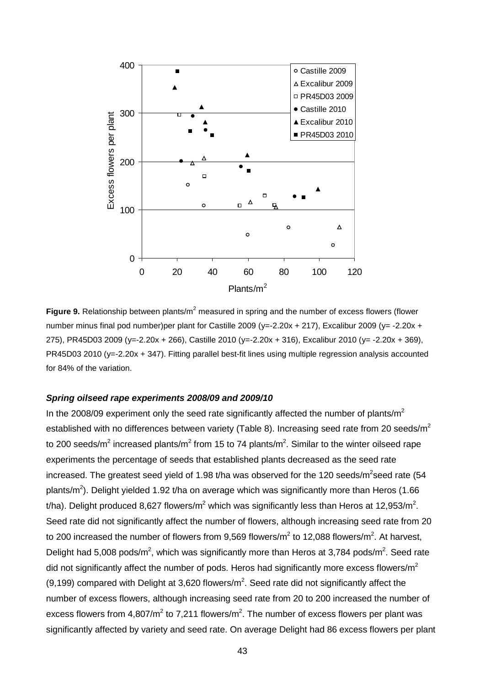

**Figure 9.** Relationship between plants/m<sup>2</sup> measured in spring and the number of excess flowers (flower number minus final pod number)per plant for Castille 2009 (y=-2.20x + 217), Excalibur 2009 (y= -2.20x + 275), PR45D03 2009 (y=-2.20x + 266), Castille 2010 (y=-2.20x + 316), Excalibur 2010 (y= -2.20x + 369), PR45D03 2010 (y=-2.20x + 347). Fitting parallel best-fit lines using multiple regression analysis accounted for 84% of the variation.

#### *Spring oilseed rape experiments 2008/09 and 2009/10*

In the 2008/09 experiment only the seed rate significantly affected the number of plants/ $m<sup>2</sup>$ established with no differences between variety (Table 8). Increasing seed rate from 20 seeds/m<sup>2</sup> to 200 seeds/m<sup>2</sup> increased plants/m<sup>2</sup> from 15 to 74 plants/m<sup>2</sup>. Similar to the winter oilseed rape experiments the percentage of seeds that established plants decreased as the seed rate increased. The greatest seed yield of 1.98 t/ha was observed for the 120 seeds/m<sup>2</sup>seed rate (54 plants/m<sup>2</sup>). Delight yielded 1.92 t/ha on average which was significantly more than Heros (1.66 t/ha). Delight produced 8,627 flowers/m<sup>2</sup> which was significantly less than Heros at 12,953/m<sup>2</sup>. Seed rate did not significantly affect the number of flowers, although increasing seed rate from 20 to 200 increased the number of flowers from 9,569 flowers/m<sup>2</sup> to 12,088 flowers/m<sup>2</sup>. At harvest, Delight had 5,008 pods/m<sup>2</sup>, which was significantly more than Heros at 3,784 pods/m<sup>2</sup>. Seed rate did not significantly affect the number of pods. Heros had significantly more excess flowers/ $m^2$  $(9,199)$  compared with Delight at 3,620 flowers/m<sup>2</sup>. Seed rate did not significantly affect the number of excess flowers, although increasing seed rate from 20 to 200 increased the number of excess flowers from 4,807/ $m^2$  to 7,211 flowers/ $m^2$ . The number of excess flowers per plant was significantly affected by variety and seed rate. On average Delight had 86 excess flowers per plant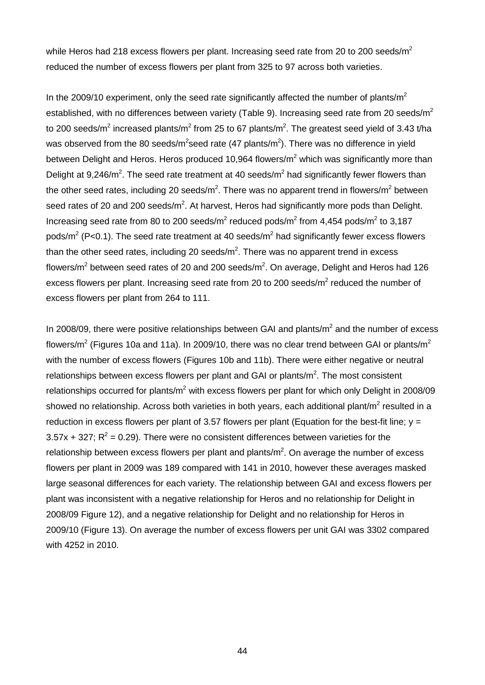while Heros had 218 excess flowers per plant. Increasing seed rate from 20 to 200 seeds/ $m^2$ reduced the number of excess flowers per plant from 325 to 97 across both varieties.

In the 2009/10 experiment, only the seed rate significantly affected the number of plants/ $m<sup>2</sup>$ established, with no differences between variety (Table 9). Increasing seed rate from 20 seeds/ $m^2$ to 200 seeds/m<sup>2</sup> increased plants/m<sup>2</sup> from 25 to 67 plants/m<sup>2</sup>. The greatest seed yield of 3.43 t/ha was observed from the 80 seeds/m<sup>2</sup>seed rate (47 plants/m<sup>2</sup>). There was no difference in yield between Delight and Heros. Heros produced 10,964 flowers/ $m^2$  which was significantly more than Delight at 9,246/ $m^2$ . The seed rate treatment at 40 seeds/ $m^2$  had significantly fewer flowers than the other seed rates, including 20 seeds/m<sup>2</sup>. There was no apparent trend in flowers/m<sup>2</sup> between seed rates of 20 and 200 seeds/m<sup>2</sup>. At harvest, Heros had significantly more pods than Delight. Increasing seed rate from 80 to 200 seeds/ $m^2$  reduced pods/ $m^2$  from 4,454 pods/ $m^2$  to 3,187 pods/ $m^2$  (P<0.1). The seed rate treatment at 40 seeds/ $m^2$  had significantly fewer excess flowers than the other seed rates, including 20 seeds/ $m^2$ . There was no apparent trend in excess flowers/m<sup>2</sup> between seed rates of 20 and 200 seeds/m<sup>2</sup>. On average, Delight and Heros had 126 excess flowers per plant. Increasing seed rate from 20 to 200 seeds/ $m^2$  reduced the number of excess flowers per plant from 264 to 111.

In 2008/09, there were positive relationships between GAI and plants/ $m^2$  and the number of excess flowers/ $m^2$  (Figures 10a and 11a). In 2009/10, there was no clear trend between GAI or plants/ $m^2$ with the number of excess flowers (Figures 10b and 11b). There were either negative or neutral relationships between excess flowers per plant and GAI or plants/ $m<sup>2</sup>$ . The most consistent relationships occurred for plants/m<sup>2</sup> with excess flowers per plant for which only Delight in 2008/09 showed no relationship. Across both varieties in both years, each additional plant/ $m^2$  resulted in a reduction in excess flowers per plant of 3.57 flowers per plant (Equation for the best-fit line;  $y =$ 3.57x + 327;  $R^2$  = 0.29). There were no consistent differences between varieties for the relationship between excess flowers per plant and plants/ $m^2$ . On average the number of excess flowers per plant in 2009 was 189 compared with 141 in 2010, however these averages masked large seasonal differences for each variety. The relationship between GAI and excess flowers per plant was inconsistent with a negative relationship for Heros and no relationship for Delight in 2008/09 Figure 12), and a negative relationship for Delight and no relationship for Heros in 2009/10 (Figure 13). On average the number of excess flowers per unit GAI was 3302 compared with 4252 in 2010.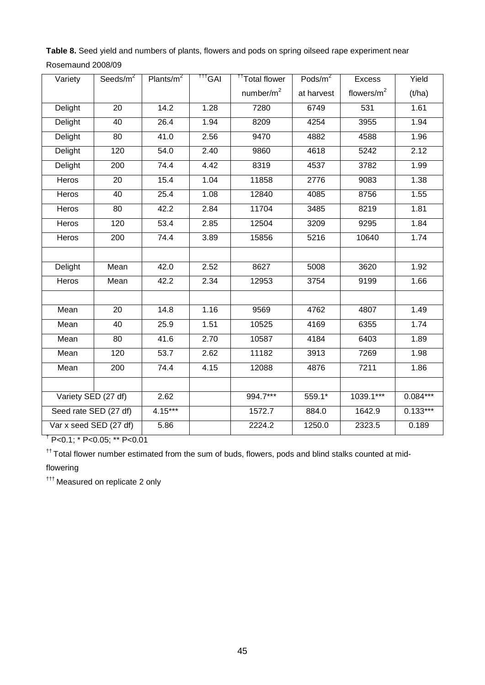**Table 8.** Seed yield and numbers of plants, flowers and pods on spring oilseed rape experiment near Rosemaund 2008/09

| Variety                | Seeds/m <sup>2</sup> | Plants/ $m^2$     | <sup>TTT</sup> GAI | <sup>††</sup> Total flower | Pods/m <sup>2</sup> | <b>Excess</b> | Yield      |
|------------------------|----------------------|-------------------|--------------------|----------------------------|---------------------|---------------|------------|
|                        |                      |                   |                    | number/ $m2$               | at harvest          | flowers/ $m2$ | (t/ha)     |
| Delight                | 20                   | 14.2              | 1.28               | 7280                       | 6749                | 531           | 1.61       |
| Delight                | 40                   | 26.4              | 1.94               | 8209                       | 4254                | 3955          | 1.94       |
| Delight                | 80                   | 41.0              | 2.56               | 9470                       | 4882                | 4588          | 1.96       |
| Delight                | 120                  | 54.0              | 2.40               | 9860                       | 4618                | 5242          | 2.12       |
| Delight                | 200                  | 74.4              | 4.42               | 8319                       | 4537                | 3782          | 1.99       |
| <b>Heros</b>           | 20                   | 15.4              | 1.04               | 11858                      | 2776                | 9083          | 1.38       |
| Heros                  | 40                   | 25.4              | 1.08               | 12840                      | 4085                | 8756          | 1.55       |
| Heros                  | 80                   | 42.2              | 2.84               | 11704                      | 3485                | 8219          | 1.81       |
| Heros                  | 120                  | 53.4              | 2.85               | 12504                      | 3209                | 9295          | 1.84       |
| Heros                  | 200                  | 74.4              | 3.89               | 15856                      | 5216                | 10640         | 1.74       |
|                        |                      |                   |                    |                            |                     |               |            |
| Delight                | Mean                 | 42.0              | 2.52               | 8627                       | 5008                | 3620          | 1.92       |
| Heros                  | Mean                 | 42.2              | 2.34               | 12953                      | 3754                | 9199          | 1.66       |
|                        |                      |                   |                    |                            |                     |               |            |
| Mean                   | 20                   | 14.8              | 1.16               | 9569                       | 4762                | 4807          | 1.49       |
| Mean                   | 40                   | 25.9              | 1.51               | 10525                      | 4169                | 6355          | 1.74       |
| Mean                   | 80                   | 41.6              | 2.70               | 10587                      | 4184                | 6403          | 1.89       |
| Mean                   | 120                  | $\overline{53.7}$ | 2.62               | 11182                      | 3913                | 7269          | 1.98       |
| Mean                   | 200                  | 74.4              | 4.15               | 12088                      | 4876                | 7211          | 1.86       |
|                        |                      |                   |                    |                            |                     |               |            |
| Variety SED (27 df)    |                      | 2.62              |                    | 994.7***                   | 559.1*              | 1039.1***     | $0.084***$ |
| Seed rate SED (27 df)  |                      | $4.15***$         |                    | 1572.7                     | 884.0               | 1642.9        | $0.133***$ |
| Var x seed SED (27 df) |                      | 5.86              |                    | 2224.2                     | 1250.0              | 2323.5        | 0.189      |

 $\frac{1}{1}P<0.1$ ; \* P<0.05; \*\* P<0.01

 $<sup>††</sup>$  Total flower number estimated from the sum of buds, flowers, pods and blind stalks counted at mid-</sup>

flowering

††† Measured on replicate 2 only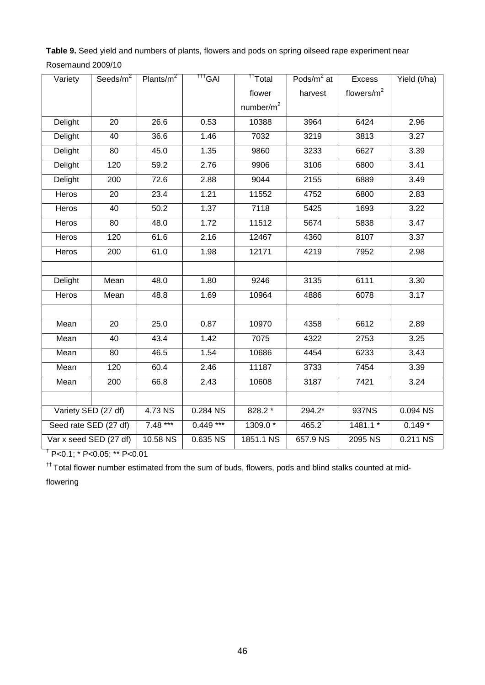**Table 9.** Seed yield and numbers of plants, flowers and pods on spring oilseed rape experiment near Rosemaund 2009/10

| Variety                | Seeds/ $m^2$    | Plants/ $m^2$ | <sup>†††</sup> GAI | <sup>††</sup> Total | Pods/ $m^2$ at | <b>Excess</b> | Yield (t/ha) |
|------------------------|-----------------|---------------|--------------------|---------------------|----------------|---------------|--------------|
|                        |                 |               |                    | flower              | harvest        | flowers/ $m2$ |              |
|                        |                 |               |                    | number/ $m2$        |                |               |              |
| Delight                | 20              | 26.6          | 0.53               | 10388               | 3964           | 6424          | 2.96         |
| Delight                | 40              | 36.6          | 1.46               | 7032                | 3219           | 3813          | 3.27         |
| Delight                | 80              | 45.0          | 1.35               | 9860                | 3233           | 6627          | 3.39         |
| Delight                | 120             | 59.2          | 2.76               | 9906                | 3106           | 6800          | 3.41         |
| Delight                | 200             | 72.6          | 2.88               | 9044                | 2155           | 6889          | 3.49         |
| Heros                  | 20              | 23.4          | 1.21               | 11552               | 4752           | 6800          | 2.83         |
| Heros                  | 40              | 50.2          | 1.37               | 7118                | 5425           | 1693          | 3.22         |
| Heros                  | 80              | 48.0          | 1.72               | 11512               | 5674           | 5838          | 3.47         |
| Heros                  | 120             | 61.6          | 2.16               | 12467               | 4360           | 8107          | 3.37         |
| Heros                  | 200             | 61.0          | 1.98               | 12171               | 4219           | 7952          | 2.98         |
|                        |                 |               |                    |                     |                |               |              |
| Delight                | Mean            | 48.0          | 1.80               | 9246                | 3135           | 6111          | 3.30         |
| Heros                  | Mean            | 48.8          | 1.69               | 10964               | 4886           | 6078          | 3.17         |
|                        |                 |               |                    |                     |                |               |              |
| Mean                   | $\overline{20}$ | 25.0          | 0.87               | 10970               | 4358           | 6612          | 2.89         |
| Mean                   | 40              | 43.4          | 1.42               | 7075                | 4322           | 2753          | 3.25         |
| Mean                   | 80              | 46.5          | 1.54               | 10686               | 4454           | 6233          | 3.43         |
| Mean                   | 120             | 60.4          | 2.46               | 11187               | 3733           | 7454          | 3.39         |
| Mean                   | 200             | 66.8          | 2.43               | 10608               | 3187           | 7421          | 3.24         |
|                        |                 |               |                    |                     |                |               |              |
| Variety SED (27 df)    |                 | 4.73 NS       | $0.284$ NS         | 828.2 *             | $294.2*$       | 937NS         | $0.094$ NS   |
| Seed rate SED (27 df)  |                 | $7.48***$     | $0.449***$         | 1309.0 *            | $465.2^{†}$    | 1481.1 *      | $0.149*$     |
| Var x seed SED (27 df) |                 | 10.58 NS      | 0.635 NS           | 1851.1 NS           | 657.9 NS       | 2095 NS       | 0.211 NS     |

† P<0.1; \* P<0.05; \*\* P<0.01

 $<sup>††</sup>$  Total flower number estimated from the sum of buds, flowers, pods and blind stalks counted at mid-</sup>

flowering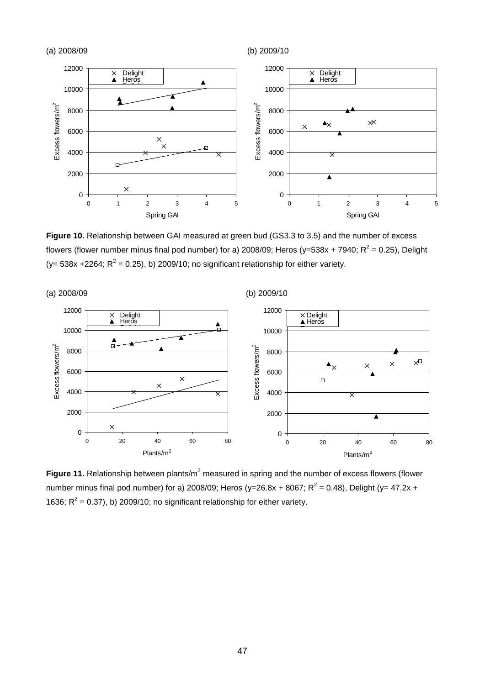

**Figure 10.** Relationship between GAI measured at green bud (GS3.3 to 3.5) and the number of excess flowers (flower number minus final pod number) for a) 2008/09; Heros ( $y=538x + 7940$ ;  $R^2 = 0.25$ ), Delight (y= 538x +2264;  $R^2$  = 0.25), b) 2009/10; no significant relationship for either variety.



**Figure 11.** Relationship between plants/m<sup>2</sup> measured in spring and the number of excess flowers (flower number minus final pod number) for a) 2008/09; Heros (y=26.8x + 8067;  $R^2 = 0.48$ ), Delight (y= 47.2x + 1636;  $R^2$  = 0.37), b) 2009/10; no significant relationship for either variety.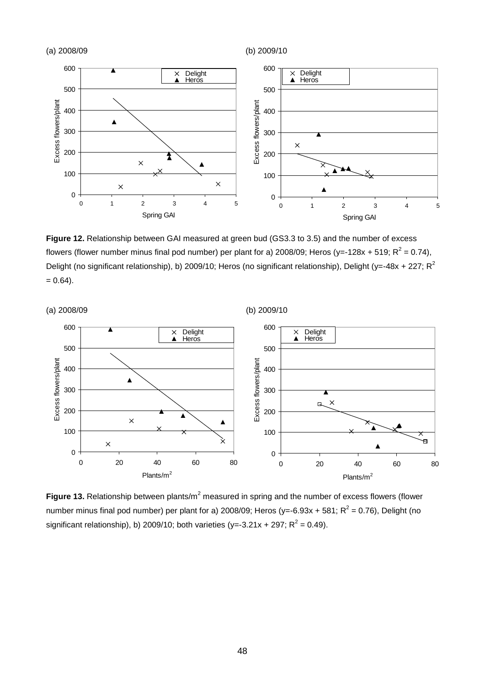

**Figure 12.** Relationship between GAI measured at green bud (GS3.3 to 3.5) and the number of excess flowers (flower number minus final pod number) per plant for a) 2008/09; Heros (y=-128x + 519;  $R^2 = 0.74$ ), Delight (no significant relationship), b) 2009/10; Heros (no significant relationship), Delight (y=-48x + 227;  $R^2$  $= 0.64$ ).



**Figure 13.** Relationship between plants/m<sup>2</sup> measured in spring and the number of excess flowers (flower number minus final pod number) per plant for a) 2008/09; Heros (y=-6.93x + 581;  $R^2$  = 0.76), Delight (no significant relationship), b) 2009/10; both varieties (y=-3.21x + 297;  $R^2$  = 0.49).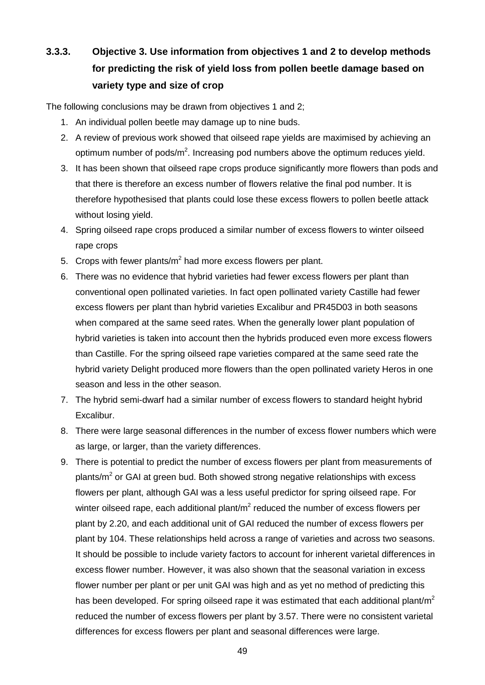# **3.3.3. Objective 3. Use information from objectives 1 and 2 to develop methods for predicting the risk of yield loss from pollen beetle damage based on variety type and size of crop**

The following conclusions may be drawn from objectives 1 and 2;

- 1. An individual pollen beetle may damage up to nine buds.
- 2. A review of previous work showed that oilseed rape yields are maximised by achieving an optimum number of pods/m<sup>2</sup>. Increasing pod numbers above the optimum reduces yield.
- 3. It has been shown that oilseed rape crops produce significantly more flowers than pods and that there is therefore an excess number of flowers relative the final pod number. It is therefore hypothesised that plants could lose these excess flowers to pollen beetle attack without losing yield.
- 4. Spring oilseed rape crops produced a similar number of excess flowers to winter oilseed rape crops
- 5. Crops with fewer plants/ $m<sup>2</sup>$  had more excess flowers per plant.
- 6. There was no evidence that hybrid varieties had fewer excess flowers per plant than conventional open pollinated varieties. In fact open pollinated variety Castille had fewer excess flowers per plant than hybrid varieties Excalibur and PR45D03 in both seasons when compared at the same seed rates. When the generally lower plant population of hybrid varieties is taken into account then the hybrids produced even more excess flowers than Castille. For the spring oilseed rape varieties compared at the same seed rate the hybrid variety Delight produced more flowers than the open pollinated variety Heros in one season and less in the other season.
- 7. The hybrid semi-dwarf had a similar number of excess flowers to standard height hybrid Excalibur.
- 8. There were large seasonal differences in the number of excess flower numbers which were as large, or larger, than the variety differences.
- 9. There is potential to predict the number of excess flowers per plant from measurements of plants/ $m<sup>2</sup>$  or GAI at green bud. Both showed strong negative relationships with excess flowers per plant, although GAI was a less useful predictor for spring oilseed rape. For winter oilseed rape, each additional plant/ $m<sup>2</sup>$  reduced the number of excess flowers per plant by 2.20, and each additional unit of GAI reduced the number of excess flowers per plant by 104. These relationships held across a range of varieties and across two seasons. It should be possible to include variety factors to account for inherent varietal differences in excess flower number. However, it was also shown that the seasonal variation in excess flower number per plant or per unit GAI was high and as yet no method of predicting this has been developed. For spring oilseed rape it was estimated that each additional plant/ $m<sup>2</sup>$ reduced the number of excess flowers per plant by 3.57. There were no consistent varietal differences for excess flowers per plant and seasonal differences were large.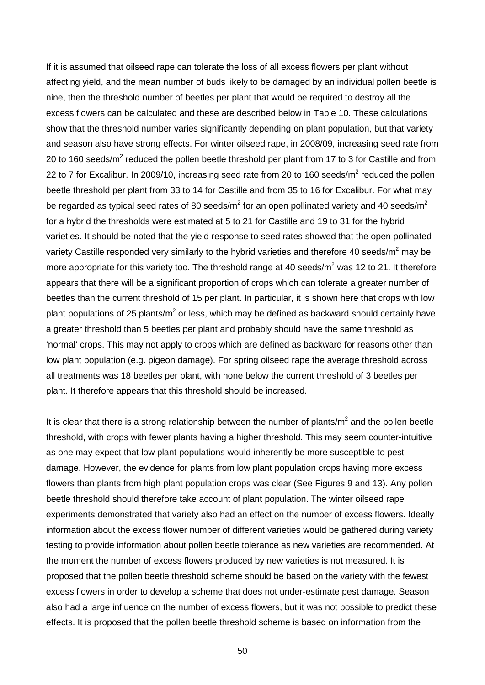If it is assumed that oilseed rape can tolerate the loss of all excess flowers per plant without affecting yield, and the mean number of buds likely to be damaged by an individual pollen beetle is nine, then the threshold number of beetles per plant that would be required to destroy all the excess flowers can be calculated and these are described below in Table 10. These calculations show that the threshold number varies significantly depending on plant population, but that variety and season also have strong effects. For winter oilseed rape, in 2008/09, increasing seed rate from 20 to 160 seeds/ $m^2$  reduced the pollen beetle threshold per plant from 17 to 3 for Castille and from 22 to 7 for Excalibur. In 2009/10, increasing seed rate from 20 to 160 seeds/ $m^2$  reduced the pollen beetle threshold per plant from 33 to 14 for Castille and from 35 to 16 for Excalibur. For what may be regarded as typical seed rates of 80 seeds/ $m^2$  for an open pollinated variety and 40 seeds/ $m^2$ for a hybrid the thresholds were estimated at 5 to 21 for Castille and 19 to 31 for the hybrid varieties. It should be noted that the yield response to seed rates showed that the open pollinated variety Castille responded very similarly to the hybrid varieties and therefore 40 seeds/m<sup>2</sup> may be more appropriate for this variety too. The threshold range at 40 seeds/ $m^2$  was 12 to 21. It therefore appears that there will be a significant proportion of crops which can tolerate a greater number of beetles than the current threshold of 15 per plant. In particular, it is shown here that crops with low plant populations of 25 plants/ $m^2$  or less, which may be defined as backward should certainly have a greater threshold than 5 beetles per plant and probably should have the same threshold as 'normal' crops. This may not apply to crops which are defined as backward for reasons other than low plant population (e.g. pigeon damage). For spring oilseed rape the average threshold across all treatments was 18 beetles per plant, with none below the current threshold of 3 beetles per plant. It therefore appears that this threshold should be increased.

It is clear that there is a strong relationship between the number of plants/ $m<sup>2</sup>$  and the pollen beetle threshold, with crops with fewer plants having a higher threshold. This may seem counter-intuitive as one may expect that low plant populations would inherently be more susceptible to pest damage. However, the evidence for plants from low plant population crops having more excess flowers than plants from high plant population crops was clear (See Figures 9 and 13). Any pollen beetle threshold should therefore take account of plant population. The winter oilseed rape experiments demonstrated that variety also had an effect on the number of excess flowers. Ideally information about the excess flower number of different varieties would be gathered during variety testing to provide information about pollen beetle tolerance as new varieties are recommended. At the moment the number of excess flowers produced by new varieties is not measured. It is proposed that the pollen beetle threshold scheme should be based on the variety with the fewest excess flowers in order to develop a scheme that does not under-estimate pest damage. Season also had a large influence on the number of excess flowers, but it was not possible to predict these effects. It is proposed that the pollen beetle threshold scheme is based on information from the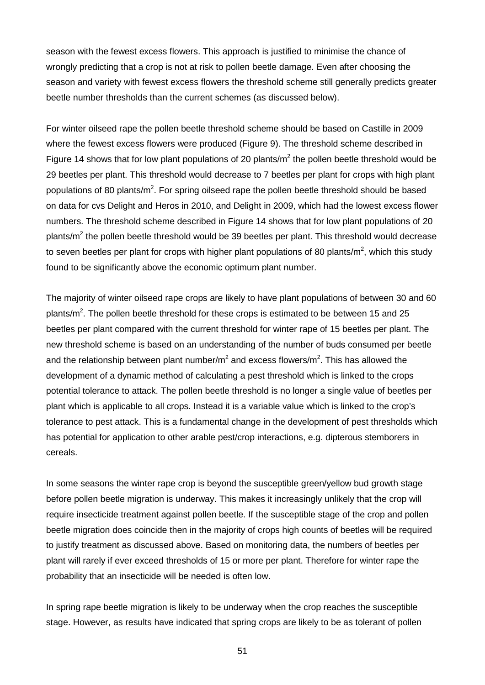season with the fewest excess flowers. This approach is justified to minimise the chance of wrongly predicting that a crop is not at risk to pollen beetle damage. Even after choosing the season and variety with fewest excess flowers the threshold scheme still generally predicts greater beetle number thresholds than the current schemes (as discussed below).

For winter oilseed rape the pollen beetle threshold scheme should be based on Castille in 2009 where the fewest excess flowers were produced (Figure 9). The threshold scheme described in Figure 14 shows that for low plant populations of 20 plants/ $m^2$  the pollen beetle threshold would be 29 beetles per plant. This threshold would decrease to 7 beetles per plant for crops with high plant populations of 80 plants/ $m^2$ . For spring oilseed rape the pollen beetle threshold should be based on data for cvs Delight and Heros in 2010, and Delight in 2009, which had the lowest excess flower numbers. The threshold scheme described in Figure 14 shows that for low plant populations of 20 plants/ $m^2$  the pollen beetle threshold would be 39 beetles per plant. This threshold would decrease to seven beetles per plant for crops with higher plant populations of 80 plants/m<sup>2</sup>, which this study found to be significantly above the economic optimum plant number.

The majority of winter oilseed rape crops are likely to have plant populations of between 30 and 60 plants/ $m^2$ . The pollen beetle threshold for these crops is estimated to be between 15 and 25 beetles per plant compared with the current threshold for winter rape of 15 beetles per plant. The new threshold scheme is based on an understanding of the number of buds consumed per beetle and the relationship between plant number/m<sup>2</sup> and excess flowers/m<sup>2</sup>. This has allowed the development of a dynamic method of calculating a pest threshold which is linked to the crops potential tolerance to attack. The pollen beetle threshold is no longer a single value of beetles per plant which is applicable to all crops. Instead it is a variable value which is linked to the crop's tolerance to pest attack. This is a fundamental change in the development of pest thresholds which has potential for application to other arable pest/crop interactions, e.g. dipterous stemborers in cereals.

In some seasons the winter rape crop is beyond the susceptible green/yellow bud growth stage before pollen beetle migration is underway. This makes it increasingly unlikely that the crop will require insecticide treatment against pollen beetle. If the susceptible stage of the crop and pollen beetle migration does coincide then in the majority of crops high counts of beetles will be required to justify treatment as discussed above. Based on monitoring data, the numbers of beetles per plant will rarely if ever exceed thresholds of 15 or more per plant. Therefore for winter rape the probability that an insecticide will be needed is often low.

In spring rape beetle migration is likely to be underway when the crop reaches the susceptible stage. However, as results have indicated that spring crops are likely to be as tolerant of pollen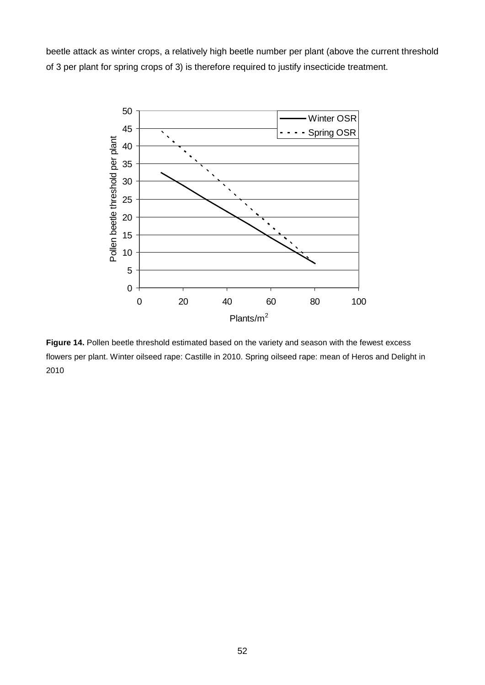beetle attack as winter crops, a relatively high beetle number per plant (above the current threshold of 3 per plant for spring crops of 3) is therefore required to justify insecticide treatment.



**Figure 14.** Pollen beetle threshold estimated based on the variety and season with the fewest excess flowers per plant. Winter oilseed rape: Castille in 2010. Spring oilseed rape: mean of Heros and Delight in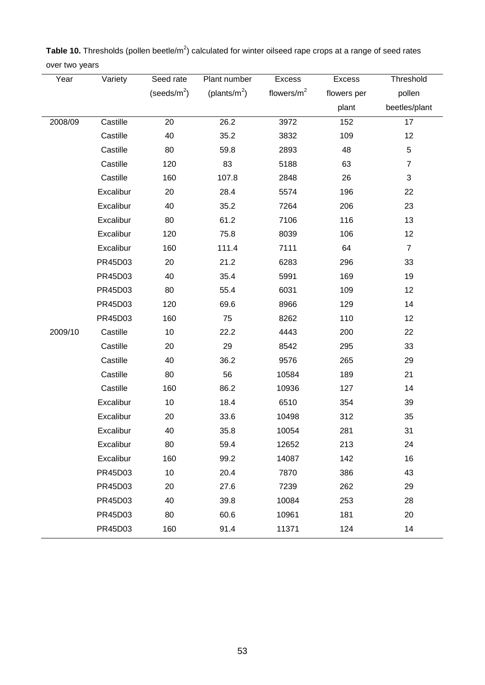| Year    | Variety   | Seed rate       | Plant number     | Excess        | <b>Excess</b> | Threshold      |
|---------|-----------|-----------------|------------------|---------------|---------------|----------------|
|         |           | (seeds/ $m^2$ ) | (plants/ $m^2$ ) | flowers/ $m2$ | flowers per   | pollen         |
|         |           |                 |                  |               | plant         | beetles/plant  |
| 2008/09 | Castille  | 20              | 26.2             | 3972          | 152           | 17             |
|         | Castille  | 40              | 35.2             | 3832          | 109           | 12             |
|         | Castille  | 80              | 59.8             | 2893          | 48            | 5              |
|         | Castille  | 120             | 83               | 5188          | 63            | $\overline{7}$ |
|         | Castille  | 160             | 107.8            | 2848          | 26            | $\mathbf{3}$   |
|         | Excalibur | 20              | 28.4             | 5574          | 196           | 22             |
|         | Excalibur | 40              | 35.2             | 7264          | 206           | 23             |
|         | Excalibur | 80              | 61.2             | 7106          | 116           | 13             |
|         | Excalibur | 120             | 75.8             | 8039          | 106           | 12             |
|         | Excalibur | 160             | 111.4            | 7111          | 64            | $\overline{7}$ |
|         | PR45D03   | 20              | 21.2             | 6283          | 296           | 33             |
|         | PR45D03   | 40              | 35.4             | 5991          | 169           | 19             |
|         | PR45D03   | 80              | 55.4             | 6031          | 109           | 12             |
|         | PR45D03   | 120             | 69.6             | 8966          | 129           | 14             |
|         | PR45D03   | 160             | 75               | 8262          | 110           | 12             |
| 2009/10 | Castille  | 10              | 22.2             | 4443          | 200           | 22             |
|         | Castille  | 20              | 29               | 8542          | 295           | 33             |
|         | Castille  | 40              | 36.2             | 9576          | 265           | 29             |
|         | Castille  | 80              | 56               | 10584         | 189           | 21             |
|         | Castille  | 160             | 86.2             | 10936         | 127           | 14             |
|         | Excalibur | 10              | 18.4             | 6510          | 354           | 39             |
|         | Excalibur | 20              | 33.6             | 10498         | 312           | 35             |
|         | Excalibur | 40              | 35.8             | 10054         | 281           | 31             |
|         | Excalibur | 80              | 59.4             | 12652         | 213           | 24             |
|         | Excalibur | 160             | 99.2             | 14087         | 142           | 16             |
|         | PR45D03   | 10              | 20.4             | 7870          | 386           | 43             |
|         | PR45D03   | 20              | 27.6             | 7239          | 262           | 29             |
|         | PR45D03   | 40              | 39.8             | 10084         | 253           | 28             |
|         | PR45D03   | 80              | 60.6             | 10961         | 181           | 20             |
|         | PR45D03   | 160             | 91.4             | 11371         | 124           | 14             |

Table 10. Thresholds (pollen beetle/m<sup>2</sup>) calculated for winter oilseed rape crops at a range of seed rates over two years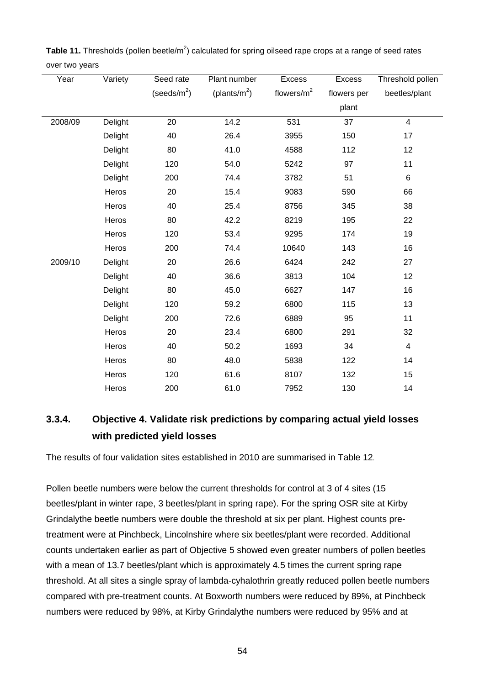| Year    | Variety | Seed rate       | Plant number     | Excess        | Excess      | Threshold pollen |
|---------|---------|-----------------|------------------|---------------|-------------|------------------|
|         |         | (seeds/ $m^2$ ) | (plants/ $m^2$ ) | flowers/ $m2$ | flowers per | beetles/plant    |
|         |         |                 |                  |               | plant       |                  |
| 2008/09 | Delight | 20              | 14.2             | 531           | 37          | $\overline{4}$   |
|         | Delight | 40              | 26.4             | 3955          | 150         | 17               |
|         | Delight | 80              | 41.0             | 4588          | 112         | 12               |
|         | Delight | 120             | 54.0             | 5242          | 97          | 11               |
|         | Delight | 200             | 74.4             | 3782          | 51          | $\,6\,$          |
|         | Heros   | 20              | 15.4             | 9083          | 590         | 66               |
|         | Heros   | 40              | 25.4             | 8756          | 345         | 38               |
|         | Heros   | 80              | 42.2             | 8219          | 195         | 22               |
|         | Heros   | 120             | 53.4             | 9295          | 174         | 19               |
|         | Heros   | 200             | 74.4             | 10640         | 143         | 16               |
| 2009/10 | Delight | 20              | 26.6             | 6424          | 242         | 27               |
|         | Delight | 40              | 36.6             | 3813          | 104         | 12               |
|         | Delight | 80              | 45.0             | 6627          | 147         | 16               |
|         | Delight | 120             | 59.2             | 6800          | 115         | 13               |
|         | Delight | 200             | 72.6             | 6889          | 95          | 11               |
|         | Heros   | 20              | 23.4             | 6800          | 291         | 32               |
|         | Heros   | 40              | 50.2             | 1693          | 34          | $\overline{4}$   |
|         | Heros   | 80              | 48.0             | 5838          | 122         | 14               |
|         | Heros   | 120             | 61.6             | 8107          | 132         | 15               |
|         | Heros   | 200             | 61.0             | 7952          | 130         | 14               |

Table 11. Thresholds (pollen beetle/m<sup>2</sup>) calculated for spring oilseed rape crops at a range of seed rates over two years

## **3.3.4. Objective 4. Validate risk predictions by comparing actual yield losses with predicted yield losses**

The results of four validation sites established in 2010 are summarised in Table 12.

Pollen beetle numbers were below the current thresholds for control at 3 of 4 sites (15 beetles/plant in winter rape, 3 beetles/plant in spring rape). For the spring OSR site at Kirby Grindalythe beetle numbers were double the threshold at six per plant. Highest counts pretreatment were at Pinchbeck, Lincolnshire where six beetles/plant were recorded. Additional counts undertaken earlier as part of Objective 5 showed even greater numbers of pollen beetles with a mean of 13.7 beetles/plant which is approximately 4.5 times the current spring rape threshold. At all sites a single spray of lambda-cyhalothrin greatly reduced pollen beetle numbers compared with pre-treatment counts. At Boxworth numbers were reduced by 89%, at Pinchbeck numbers were reduced by 98%, at Kirby Grindalythe numbers were reduced by 95% and at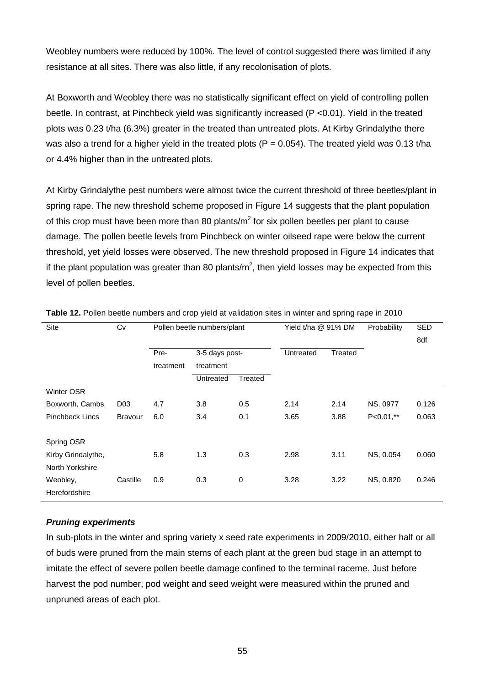Weobley numbers were reduced by 100%. The level of control suggested there was limited if any resistance at all sites. There was also little, if any recolonisation of plots.

At Boxworth and Weobley there was no statistically significant effect on yield of controlling pollen beetle. In contrast, at Pinchbeck yield was significantly increased (P <0.01). Yield in the treated plots was 0.23 t/ha (6.3%) greater in the treated than untreated plots. At Kirby Grindalythe there was also a trend for a higher yield in the treated plots ( $P = 0.054$ ). The treated yield was 0.13 t/ha or 4.4% higher than in the untreated plots.

At Kirby Grindalythe pest numbers were almost twice the current threshold of three beetles/plant in spring rape. The new threshold scheme proposed in Figure 14 suggests that the plant population of this crop must have been more than 80 plants/ $m^2$  for six pollen beetles per plant to cause damage. The pollen beetle levels from Pinchbeck on winter oilseed rape were below the current threshold, yet yield losses were observed. The new threshold proposed in Figure 14 indicates that if the plant population was greater than 80 plants/m<sup>2</sup>, then yield losses may be expected from this level of pollen beetles.

| Site                   | Cv              |           | Pollen beetle numbers/plant |             | Yield t/ha @ 91% DM |         | Probability  | SED<br>8df |
|------------------------|-----------------|-----------|-----------------------------|-------------|---------------------|---------|--------------|------------|
|                        |                 | Pre-      | 3-5 days post-              |             | Untreated           | Treated |              |            |
|                        |                 | treatment | treatment                   |             |                     |         |              |            |
|                        |                 |           | Untreated                   | Treated     |                     |         |              |            |
| <b>Winter OSR</b>      |                 |           |                             |             |                     |         |              |            |
| Boxworth, Cambs        | D <sub>03</sub> | 4.7       | 3.8                         | 0.5         | 2.14                | 2.14    | NS, 0977     | 0.126      |
| <b>Pinchbeck Lincs</b> | <b>Bravour</b>  | 6.0       | 3.4                         | 0.1         | 3.65                | 3.88    | $P<0.01$ ,** | 0.063      |
| Spring OSR             |                 |           |                             |             |                     |         |              |            |
| Kirby Grindalythe,     |                 | 5.8       | 1.3                         | 0.3         | 2.98                | 3.11    | NS, 0.054    | 0.060      |
| North Yorkshire        |                 |           |                             |             |                     |         |              |            |
| Weobley,               | Castille        | 0.9       | 0.3                         | $\mathbf 0$ | 3.28                | 3.22    | NS, 0.820    | 0.246      |
| Herefordshire          |                 |           |                             |             |                     |         |              |            |

**Table 12.** Pollen beetle numbers and crop yield at validation sites in winter and spring rape in 2010

#### *Pruning experiments*

In sub-plots in the winter and spring variety x seed rate experiments in 2009/2010, either half or all of buds were pruned from the main stems of each plant at the green bud stage in an attempt to imitate the effect of severe pollen beetle damage confined to the terminal raceme. Just before harvest the pod number, pod weight and seed weight were measured within the pruned and unpruned areas of each plot.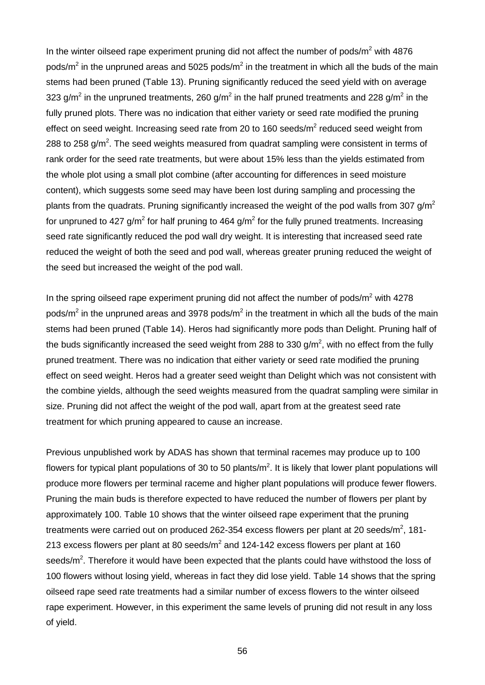In the winter oilseed rape experiment pruning did not affect the number of pods/ $m<sup>2</sup>$  with 4876 pods/ $m^2$  in the unpruned areas and 5025 pods/ $m^2$  in the treatment in which all the buds of the main stems had been pruned (Table 13). Pruning significantly reduced the seed yield with on average 323 g/m<sup>2</sup> in the unpruned treatments, 260 g/m<sup>2</sup> in the half pruned treatments and 228 g/m<sup>2</sup> in the fully pruned plots. There was no indication that either variety or seed rate modified the pruning effect on seed weight. Increasing seed rate from 20 to 160 seeds/ $m^2$  reduced seed weight from 288 to 258 g/m<sup>2</sup>. The seed weights measured from quadrat sampling were consistent in terms of rank order for the seed rate treatments, but were about 15% less than the yields estimated from the whole plot using a small plot combine (after accounting for differences in seed moisture content), which suggests some seed may have been lost during sampling and processing the plants from the quadrats. Pruning significantly increased the weight of the pod walls from 307 g/m<sup>2</sup> for unpruned to 427  $\alpha/m^2$  for half pruning to 464  $\alpha/m^2$  for the fully pruned treatments. Increasing seed rate significantly reduced the pod wall dry weight. It is interesting that increased seed rate reduced the weight of both the seed and pod wall, whereas greater pruning reduced the weight of the seed but increased the weight of the pod wall.

In the spring oilseed rape experiment pruning did not affect the number of pods/ $m<sup>2</sup>$  with 4278 pods/ $m^2$  in the unpruned areas and 3978 pods/ $m^2$  in the treatment in which all the buds of the main stems had been pruned (Table 14). Heros had significantly more pods than Delight. Pruning half of the buds significantly increased the seed weight from 288 to 330 g/m<sup>2</sup>, with no effect from the fully pruned treatment. There was no indication that either variety or seed rate modified the pruning effect on seed weight. Heros had a greater seed weight than Delight which was not consistent with the combine yields, although the seed weights measured from the quadrat sampling were similar in size. Pruning did not affect the weight of the pod wall, apart from at the greatest seed rate treatment for which pruning appeared to cause an increase.

Previous unpublished work by ADAS has shown that terminal racemes may produce up to 100 flowers for typical plant populations of 30 to 50 plants/m<sup>2</sup>. It is likely that lower plant populations will produce more flowers per terminal raceme and higher plant populations will produce fewer flowers. Pruning the main buds is therefore expected to have reduced the number of flowers per plant by approximately 100. Table 10 shows that the winter oilseed rape experiment that the pruning treatments were carried out on produced 262-354 excess flowers per plant at 20 seeds/m<sup>2</sup>, 181-213 excess flowers per plant at 80 seeds/ $m^2$  and 124-142 excess flowers per plant at 160 seeds/ $m^2$ . Therefore it would have been expected that the plants could have withstood the loss of 100 flowers without losing yield, whereas in fact they did lose yield. Table 14 shows that the spring oilseed rape seed rate treatments had a similar number of excess flowers to the winter oilseed rape experiment. However, in this experiment the same levels of pruning did not result in any loss of yield.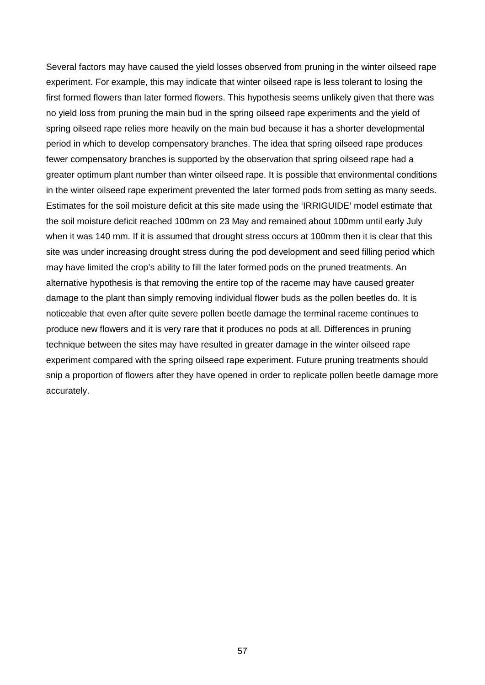Several factors may have caused the yield losses observed from pruning in the winter oilseed rape experiment. For example, this may indicate that winter oilseed rape is less tolerant to losing the first formed flowers than later formed flowers. This hypothesis seems unlikely given that there was no yield loss from pruning the main bud in the spring oilseed rape experiments and the yield of spring oilseed rape relies more heavily on the main bud because it has a shorter developmental period in which to develop compensatory branches. The idea that spring oilseed rape produces fewer compensatory branches is supported by the observation that spring oilseed rape had a greater optimum plant number than winter oilseed rape. It is possible that environmental conditions in the winter oilseed rape experiment prevented the later formed pods from setting as many seeds. Estimates for the soil moisture deficit at this site made using the 'IRRIGUIDE' model estimate that the soil moisture deficit reached 100mm on 23 May and remained about 100mm until early July when it was 140 mm. If it is assumed that drought stress occurs at 100mm then it is clear that this site was under increasing drought stress during the pod development and seed filling period which may have limited the crop's ability to fill the later formed pods on the pruned treatments. An alternative hypothesis is that removing the entire top of the raceme may have caused greater damage to the plant than simply removing individual flower buds as the pollen beetles do. It is noticeable that even after quite severe pollen beetle damage the terminal raceme continues to produce new flowers and it is very rare that it produces no pods at all. Differences in pruning technique between the sites may have resulted in greater damage in the winter oilseed rape experiment compared with the spring oilseed rape experiment. Future pruning treatments should snip a proportion of flowers after they have opened in order to replicate pollen beetle damage more accurately.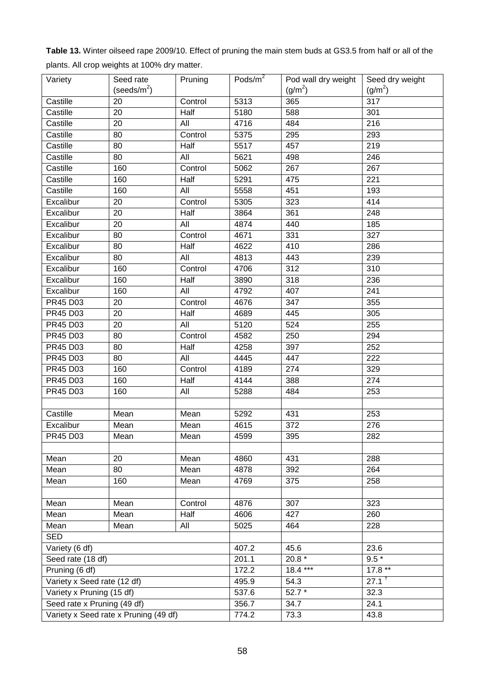| Variety                     | Seed rate                             | Pruning | Pods/m <sup>2</sup> | Pod wall dry weight | Seed dry weight     |
|-----------------------------|---------------------------------------|---------|---------------------|---------------------|---------------------|
|                             | (seeds/ $m^2$ )                       |         |                     | (g/m <sup>2</sup> ) | (g/m <sup>2</sup> ) |
| Castille                    | 20                                    | Control | 5313                | 365                 | $\overline{317}$    |
| Castille                    | 20                                    | Half    | 5180                | 588                 | 301                 |
| Castille                    | 20                                    | All     | 4716                | 484                 | 216                 |
| Castille                    | 80                                    | Control | 5375                | 295                 | 293                 |
| Castille                    | 80                                    | Half    | 5517                | 457                 | 219                 |
| Castille                    | 80                                    | All     | 5621                | 498                 | 246                 |
| Castille                    | 160                                   | Control | 5062                | 267                 | 267                 |
| Castille                    | 160                                   | Half    | 5291                | 475                 | 221                 |
| Castille                    | 160                                   | All     | 5558                | 451                 | 193                 |
| Excalibur                   | 20                                    | Control | 5305                | 323                 | 414                 |
| Excalibur                   | 20                                    | Half    | 3864                | 361                 | 248                 |
| Excalibur                   | 20                                    | All     | 4874                | 440                 | 185                 |
| Excalibur                   | 80                                    | Control | 4671                | 331                 | 327                 |
| Excalibur                   | 80                                    | Half    | 4622                | 410                 | 286                 |
| Excalibur                   | 80                                    | All     | 4813                | 443                 | 239                 |
| Excalibur                   | 160                                   | Control | 4706                | 312                 | 310                 |
| Excalibur                   | 160                                   | Half    | 3890                | 318                 | 236                 |
| Excalibur                   | 160                                   | All     | 4792                | 407                 | 241                 |
| PR45 D03                    | 20                                    | Control | 4676                | $\overline{347}$    | 355                 |
| PR45 D03                    | 20                                    | Half    | 4689                | 445                 | 305                 |
| PR45 D03                    | 20                                    | All     | 5120                | 524                 | 255                 |
| <b>PR45 D03</b>             | 80                                    | Control | 4582                | 250                 | 294                 |
| PR45 D03                    | 80                                    | Half    | 4258                | 397                 | 252                 |
| PR45 D03                    | 80                                    | All     | 4445                | 447                 | 222                 |
| PR45 D03                    | 160                                   | Control | 4189                | 274                 | 329                 |
| PR45 D03                    | 160                                   | Half    | 4144                | 388                 | 274                 |
| <b>PR45 D03</b>             | 160                                   | All     | 5288                | 484                 | 253                 |
|                             |                                       |         |                     |                     |                     |
| Castille                    | Mean                                  | Mean    | 5292                | 431                 | 253                 |
| Excalibur                   | Mean                                  | Mean    | 4615                | 372                 | 276                 |
| <b>PR45 D03</b>             | Mean                                  | Mean    | 4599                | 395                 | 282                 |
|                             |                                       |         |                     |                     |                     |
| Mean                        | 20                                    | Mean    | 4860                | 431                 | 288                 |
| Mean                        | 80                                    | Mean    | 4878                | 392                 | 264                 |
| Mean                        | 160                                   | Mean    | 4769                | 375                 | 258                 |
|                             |                                       |         |                     |                     |                     |
| Mean                        | Mean                                  | Control | 4876                | 307                 | 323                 |
| Mean                        | Mean                                  | Half    | 4606                | 427                 | 260                 |
| Mean                        | Mean                                  | All     | 5025                | 464                 | 228                 |
| <b>SED</b>                  |                                       |         |                     |                     |                     |
| Variety (6 df)              |                                       |         | 407.2               | 45.6                | 23.6                |
| Seed rate (18 df)           |                                       |         | 201.1               | 20.8 $*$            | $9.5*$              |
| Pruning (6 df)              |                                       |         | 172.2               | 18.4 ***            | $17.8**$            |
| Variety x Seed rate (12 df) |                                       |         | 495.9               | 54.3                | $27.1^{\text{t}}$   |
| Variety x Pruning (15 df)   |                                       |         | 537.6               | $52.7*$             | 32.3                |
| Seed rate x Pruning (49 df) |                                       |         | 356.7               | 34.7                | 24.1                |
|                             | Variety x Seed rate x Pruning (49 df) |         | 774.2               | 73.3                | 43.8                |
|                             |                                       |         |                     |                     |                     |

**Table 13.** Winter oilseed rape 2009/10. Effect of pruning the main stem buds at GS3.5 from half or all of the plants. All crop weights at 100% dry matter.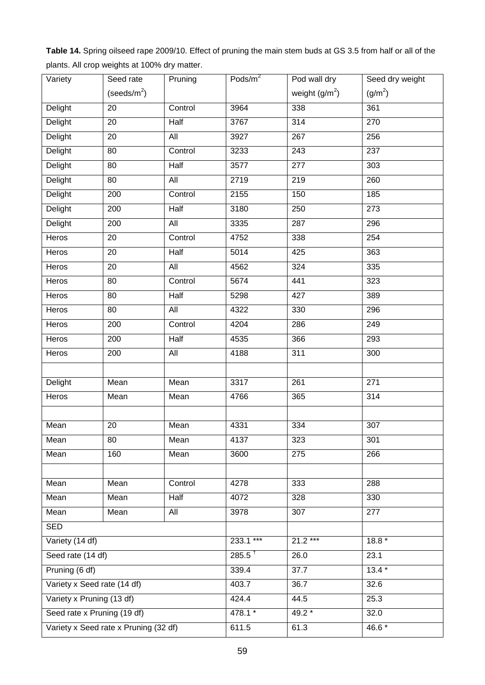**Table 14.** Spring oilseed rape 2009/10. Effect of pruning the main stem buds at GS 3.5 from half or all of the plants. All crop weights at 100% dry matter.

| Variety                     | Seed rate                             | Pruning     | Pods/ $m^2$        | Pod wall dry     | Seed dry weight  |
|-----------------------------|---------------------------------------|-------------|--------------------|------------------|------------------|
|                             | (seeds/ $m^2$ )                       |             |                    | weight $(g/m^2)$ | $(g/m^{2})$      |
| Delight                     | 20                                    | Control     | 3964               | 338              | 361              |
| <b>Delight</b>              | $\overline{20}$                       | Half        | 3767               | 314              | 270              |
| <b>Delight</b>              | 20                                    | All         | 3927               | 267              | 256              |
| Delight                     | 80                                    | Control     | 3233               | 243              | 237              |
| <b>Delight</b>              | 80                                    | Half        | 3577               | 277              | 303              |
| Delight                     | 80                                    | All         | 2719               | $\overline{219}$ | 260              |
| Delight                     | 200                                   | Control     | 2155               | 150              | 185              |
| Delight                     | 200                                   | Half        | 3180               | 250              | 273              |
| Delight                     | 200                                   | All         | 3335               | 287              | 296              |
| Heros                       | 20                                    | Control     | 4752               | 338              | 254              |
| Heros                       | 20                                    | <b>Half</b> | 5014               | 425              | 363              |
| Heros                       | 20                                    | All         | 4562               | 324              | 335              |
| Heros                       | 80                                    | Control     | 5674               | 441              | 323              |
| Heros                       | 80                                    | Half        | 5298               | 427              | 389              |
| Heros                       | 80                                    | All         | 4322               | 330              | 296              |
| Heros                       | 200                                   | Control     | 4204               | 286              | 249              |
| Heros                       | 200                                   | Half        | 4535               | 366              | 293              |
| Heros                       | 200                                   | All         | 4188               | 311              | 300              |
|                             |                                       |             |                    |                  |                  |
| <b>Delight</b>              | Mean                                  | Mean        | 3317               | $\overline{261}$ | $\overline{271}$ |
| Heros                       | Mean                                  | Mean        | 4766               | 365              | 314              |
|                             |                                       |             |                    |                  |                  |
| Mean                        | 20                                    | Mean        | 4331               | 334              | $\overline{307}$ |
| Mean                        | 80                                    | Mean        | 4137               | 323              | 301              |
| Mean                        | 160                                   | Mean        | 3600               | 275              | 266              |
|                             |                                       |             |                    |                  |                  |
| Mean                        | Mean                                  | Control     | 4278               | 333              | 288              |
| Mean                        | Mean                                  | Half        | 4072               | 328              | 330              |
| Mean                        | Mean                                  | All         | 3978               | 307              | 277              |
| <b>SED</b>                  |                                       |             |                    |                  |                  |
| Variety (14 df)             |                                       |             | 233.1 ***          | $21.2***$        | $18.8*$          |
| Seed rate (14 df)           |                                       |             | $285.5^{\text{+}}$ | 26.0             | 23.1             |
| Pruning (6 df)              |                                       |             | 339.4              | 37.7             | $13.4*$          |
| Variety x Seed rate (14 df) |                                       |             | 403.7              | 36.7             | 32.6             |
| Variety x Pruning (13 df)   |                                       |             | 424.4              | 44.5             | 25.3             |
| Seed rate x Pruning (19 df) |                                       | 478.1 *     | 49.2 *             | 32.0             |                  |
|                             | Variety x Seed rate x Pruning (32 df) |             | 611.5              | 61.3             | 46.6 *           |
|                             |                                       |             |                    |                  |                  |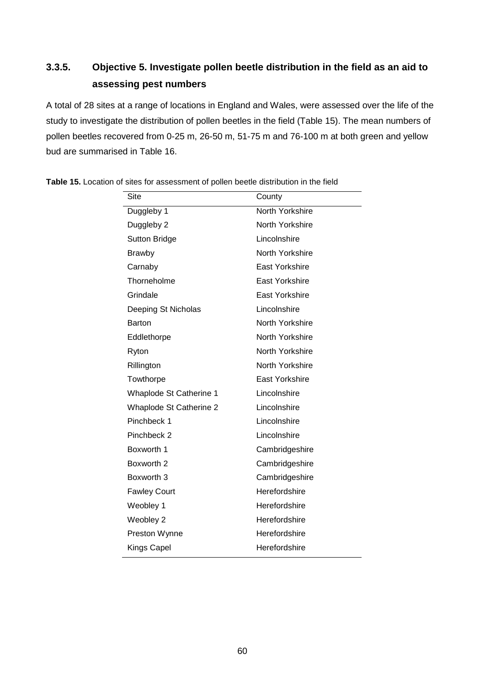## **3.3.5. Objective 5. Investigate pollen beetle distribution in the field as an aid to assessing pest numbers**

A total of 28 sites at a range of locations in England and Wales, were assessed over the life of the study to investigate the distribution of pollen beetles in the field (Table 15). The mean numbers of pollen beetles recovered from 0-25 m, 26-50 m, 51-75 m and 76-100 m at both green and yellow bud are summarised in Table 16.

| Site                           | County                |
|--------------------------------|-----------------------|
| Duggleby 1                     | North Yorkshire       |
| Duggleby 2                     | North Yorkshire       |
| <b>Sutton Bridge</b>           | Lincolnshire          |
| <b>Brawby</b>                  | North Yorkshire       |
| Carnaby                        | East Yorkshire        |
| Thorneholme                    | East Yorkshire        |
| Grindale                       | East Yorkshire        |
| Deeping St Nicholas            | Lincolnshire          |
| <b>Barton</b>                  | North Yorkshire       |
| Eddlethorpe                    | North Yorkshire       |
| Ryton                          | North Yorkshire       |
| Rillington                     | North Yorkshire       |
| Towthorpe                      | <b>East Yorkshire</b> |
| Whaplode St Catherine 1        | Lincolnshire          |
| <b>Whaplode St Catherine 2</b> | Lincolnshire          |
| Pinchbeck 1                    | Lincolnshire          |
| Pinchbeck 2                    | Lincolnshire          |
| Boxworth 1                     | Cambridgeshire        |
| Boxworth 2                     | Cambridgeshire        |
| Boxworth 3                     | Cambridgeshire        |
| <b>Fawley Court</b>            | Herefordshire         |
| Weobley 1                      | Herefordshire         |
| Weobley 2                      | Herefordshire         |
| Preston Wynne                  | Herefordshire         |
| <b>Kings Capel</b>             | Herefordshire         |

**Table 15.** Location of sites for assessment of pollen beetle distribution in the field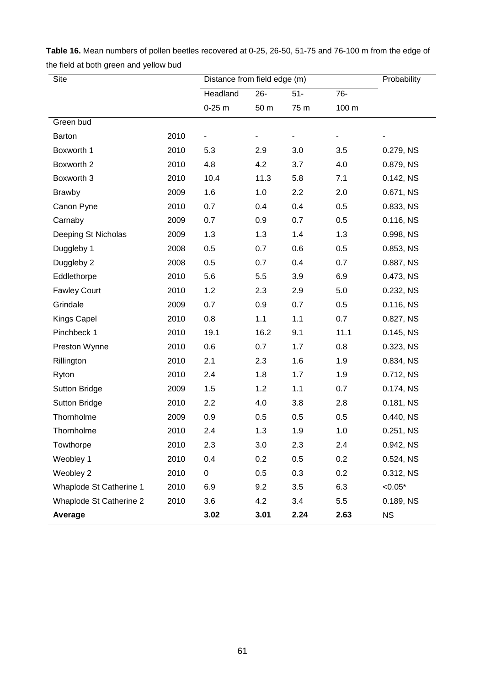| Site                    |      | Distance from field edge (m) | Probability |       |       |           |
|-------------------------|------|------------------------------|-------------|-------|-------|-----------|
|                         |      | Headland                     | $26 -$      | $51-$ | 76-   |           |
|                         |      | $0-25$ m                     | 50 m        | 75 m  | 100 m |           |
| Green bud               |      |                              |             |       |       |           |
| <b>Barton</b>           | 2010 |                              |             |       |       |           |
| Boxworth 1              | 2010 | 5.3                          | 2.9         | 3.0   | 3.5   | 0.279, NS |
| Boxworth 2              | 2010 | 4.8                          | 4.2         | 3.7   | 4.0   | 0.879, NS |
| Boxworth 3              | 2010 | 10.4                         | 11.3        | 5.8   | 7.1   | 0.142, NS |
| <b>Brawby</b>           | 2009 | 1.6                          | 1.0         | 2.2   | 2.0   | 0.671, NS |
| Canon Pyne              | 2010 | 0.7                          | 0.4         | 0.4   | 0.5   | 0.833, NS |
| Carnaby                 | 2009 | 0.7                          | 0.9         | 0.7   | 0.5   | 0.116, NS |
| Deeping St Nicholas     | 2009 | 1.3                          | 1.3         | 1.4   | 1.3   | 0.998, NS |
| Duggleby 1              | 2008 | 0.5                          | 0.7         | 0.6   | 0.5   | 0.853, NS |
| Duggleby 2              | 2008 | 0.5                          | 0.7         | 0.4   | 0.7   | 0.887, NS |
| Eddlethorpe             | 2010 | 5.6                          | 5.5         | 3.9   | 6.9   | 0.473, NS |
| <b>Fawley Court</b>     | 2010 | 1.2                          | 2.3         | 2.9   | 5.0   | 0.232, NS |
| Grindale                | 2009 | 0.7                          | 0.9         | 0.7   | 0.5   | 0.116, NS |
| Kings Capel             | 2010 | 0.8                          | 1.1         | 1.1   | 0.7   | 0.827, NS |
| Pinchbeck 1             | 2010 | 19.1                         | 16.2        | 9.1   | 11.1  | 0.145, NS |
| Preston Wynne           | 2010 | 0.6                          | 0.7         | 1.7   | 0.8   | 0.323, NS |
| Rillington              | 2010 | 2.1                          | 2.3         | 1.6   | 1.9   | 0.834, NS |
| Ryton                   | 2010 | 2.4                          | 1.8         | 1.7   | 1.9   | 0.712, NS |
| <b>Sutton Bridge</b>    | 2009 | 1.5                          | 1.2         | 1.1   | 0.7   | 0.174, NS |
| <b>Sutton Bridge</b>    | 2010 | 2.2                          | 4.0         | 3.8   | 2.8   | 0.181, NS |
| Thornholme              | 2009 | 0.9                          | 0.5         | 0.5   | 0.5   | 0.440, NS |
| Thornholme              | 2010 | 2.4                          | 1.3         | 1.9   | 1.0   | 0.251, NS |
| Towthorpe               | 2010 | 2.3                          | 3.0         | 2.3   | 2.4   | 0.942, NS |
| Weobley 1               | 2010 | 0.4                          | 0.2         | 0.5   | 0.2   | 0.524, NS |
| Weobley 2               | 2010 | $\overline{0}$               | 0.5         | 0.3   | 0.2   | 0.312, NS |
| Whaplode St Catherine 1 | 2010 | 6.9                          | 9.2         | 3.5   | 6.3   | $< 0.05*$ |
| Whaplode St Catherine 2 | 2010 | 3.6                          | 4.2         | 3.4   | 5.5   | 0.189, NS |
| Average                 |      | 3.02                         | 3.01        | 2.24  | 2.63  | <b>NS</b> |

**Table 16.** Mean numbers of pollen beetles recovered at 0-25, 26-50, 51-75 and 76-100 m from the edge of the field at both green and yellow bud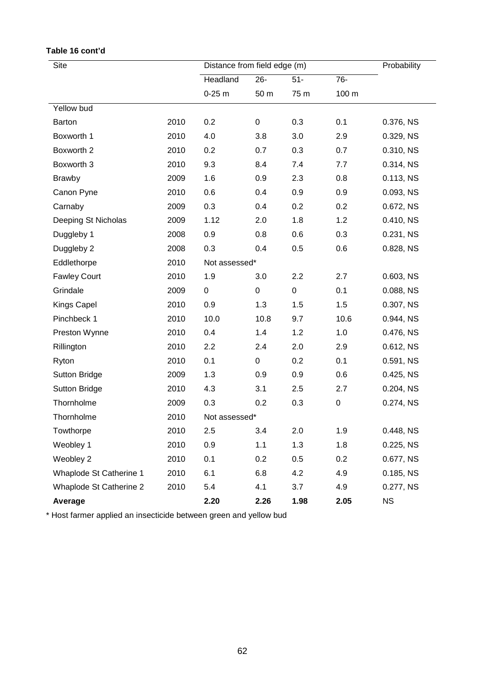| Site                    | Distance from field edge (m) |               |           |           | Probability |              |
|-------------------------|------------------------------|---------------|-----------|-----------|-------------|--------------|
|                         |                              | Headland      | $26 -$    | $51-$     | 76-         |              |
|                         |                              | $0-25$ m      | 50 m      | 75 m      | 100 m       |              |
| Yellow bud              |                              |               |           |           |             |              |
| <b>Barton</b>           | 2010                         | 0.2           | $\pmb{0}$ | 0.3       | 0.1         | 0.376, NS    |
| Boxworth 1              | 2010                         | 4.0           | 3.8       | 3.0       | 2.9         | 0.329, NS    |
| Boxworth 2              | 2010                         | 0.2           | 0.7       | 0.3       | 0.7         | 0.310, NS    |
| Boxworth 3              | 2010                         | 9.3           | 8.4       | 7.4       | 7.7         | 0.314, NS    |
| <b>Brawby</b>           | 2009                         | 1.6           | 0.9       | 2.3       | 0.8         | 0.113, NS    |
| Canon Pyne              | 2010                         | 0.6           | 0.4       | 0.9       | 0.9         | 0.093, NS    |
| Carnaby                 | 2009                         | 0.3           | 0.4       | 0.2       | 0.2         | 0.672, NS    |
| Deeping St Nicholas     | 2009                         | 1.12          | 2.0       | 1.8       | 1.2         | 0.410, NS    |
| Duggleby 1              | 2008                         | 0.9           | 0.8       | 0.6       | 0.3         | 0.231, NS    |
| Duggleby 2              | 2008                         | 0.3           | 0.4       | 0.5       | 0.6         | 0.828, NS    |
| Eddlethorpe             | 2010                         | Not assessed* |           |           |             |              |
| <b>Fawley Court</b>     | 2010                         | 1.9           | 3.0       | 2.2       | 2.7         | $0.603$ , NS |
| Grindale                | 2009                         | $\pmb{0}$     | $\pmb{0}$ | $\pmb{0}$ | 0.1         | 0.088, NS    |
| <b>Kings Capel</b>      | 2010                         | 0.9           | 1.3       | 1.5       | 1.5         | 0.307, NS    |
| Pinchbeck 1             | 2010                         | 10.0          | 10.8      | 9.7       | 10.6        | 0.944, NS    |
| Preston Wynne           | 2010                         | 0.4           | 1.4       | 1.2       | 1.0         | 0.476, NS    |
| Rillington              | 2010                         | 2.2           | 2.4       | 2.0       | 2.9         | 0.612, NS    |
| Ryton                   | 2010                         | 0.1           | $\pmb{0}$ | 0.2       | 0.1         | 0.591, NS    |
| <b>Sutton Bridge</b>    | 2009                         | 1.3           | 0.9       | 0.9       | 0.6         | 0.425, NS    |
| <b>Sutton Bridge</b>    | 2010                         | 4.3           | 3.1       | 2.5       | 2.7         | 0.204, NS    |
| Thornholme              | 2009                         | 0.3           | 0.2       | 0.3       | $\pmb{0}$   | 0.274, NS    |
| Thornholme              | 2010                         | Not assessed* |           |           |             |              |
| Towthorpe               | 2010                         | 2.5           | 3.4       | 2.0       | 1.9         | 0.448, NS    |
| Weobley 1               | 2010                         | 0.9           | 1.1       | 1.3       | 1.8         | 0.225, NS    |
| Weobley 2               | 2010                         | 0.1           | 0.2       | 0.5       | 0.2         | 0.677, NS    |
| Whaplode St Catherine 1 | 2010                         | 6.1           | 6.8       | 4.2       | 4.9         | 0.185, NS    |
| Whaplode St Catherine 2 | 2010                         | 5.4           | 4.1       | 3.7       | 4.9         | 0.277, NS    |
| Average                 |                              | 2.20          | 2.26      | 1.98      | 2.05        | <b>NS</b>    |

### **Table 16 cont'd**

\* Host farmer applied an insecticide between green and yellow bud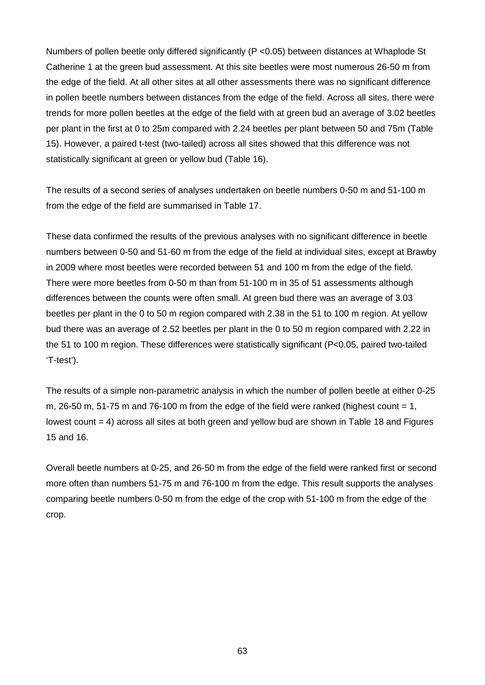Numbers of pollen beetle only differed significantly (P <0.05) between distances at Whaplode St Catherine 1 at the green bud assessment. At this site beetles were most numerous 26-50 m from the edge of the field. At all other sites at all other assessments there was no significant difference in pollen beetle numbers between distances from the edge of the field. Across all sites, there were trends for more pollen beetles at the edge of the field with at green bud an average of 3.02 beetles per plant in the first at 0 to 25m compared with 2.24 beetles per plant between 50 and 75m (Table 15). However, a paired t-test (two-tailed) across all sites showed that this difference was not statistically significant at green or yellow bud (Table 16).

The results of a second series of analyses undertaken on beetle numbers 0-50 m and 51-100 m from the edge of the field are summarised in Table 17.

These data confirmed the results of the previous analyses with no significant difference in beetle numbers between 0-50 and 51-60 m from the edge of the field at individual sites, except at Brawby in 2009 where most beetles were recorded between 51 and 100 m from the edge of the field. There were more beetles from 0-50 m than from 51-100 m in 35 of 51 assessments although differences between the counts were often small. At green bud there was an average of 3.03 beetles per plant in the 0 to 50 m region compared with 2.38 in the 51 to 100 m region. At yellow bud there was an average of 2.52 beetles per plant in the 0 to 50 m region compared with 2.22 in the 51 to 100 m region. These differences were statistically significant (P<0.05, paired two-tailed 'T-test').

The results of a simple non-parametric analysis in which the number of pollen beetle at either 0-25 m, 26-50 m, 51-75 m and 76-100 m from the edge of the field were ranked (highest count  $= 1$ , lowest count = 4) across all sites at both green and yellow bud are shown in Table 18 and Figures 15 and 16.

Overall beetle numbers at 0-25, and 26-50 m from the edge of the field were ranked first or second more often than numbers 51-75 m and 76-100 m from the edge. This result supports the analyses comparing beetle numbers 0-50 m from the edge of the crop with 51-100 m from the edge of the crop.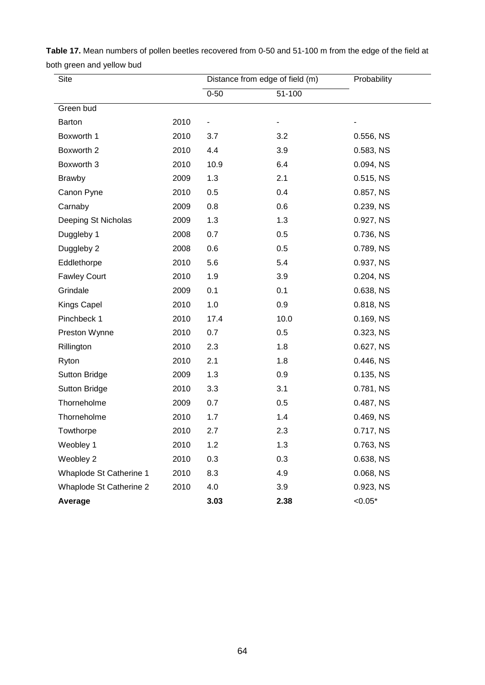| Site                    |      | Distance from edge of field (m) |        | Probability |  |
|-------------------------|------|---------------------------------|--------|-------------|--|
|                         |      | $0 - 50$                        | 51-100 |             |  |
| Green bud               |      |                                 |        |             |  |
| Barton                  | 2010 | -                               | -      |             |  |
| Boxworth 1              | 2010 | 3.7                             | 3.2    | 0.556, NS   |  |
| Boxworth 2              | 2010 | 4.4                             | 3.9    | 0.583, NS   |  |
| Boxworth 3              | 2010 | 10.9                            | 6.4    | 0.094, NS   |  |
| <b>Brawby</b>           | 2009 | 1.3                             | 2.1    | 0.515, NS   |  |
| Canon Pyne              | 2010 | 0.5                             | 0.4    | 0.857, NS   |  |
| Carnaby                 | 2009 | 0.8                             | 0.6    | 0.239, NS   |  |
| Deeping St Nicholas     | 2009 | 1.3                             | 1.3    | 0.927, NS   |  |
| Duggleby 1              | 2008 | 0.7                             | 0.5    | 0.736, NS   |  |
| Duggleby 2              | 2008 | 0.6                             | 0.5    | 0.789, NS   |  |
| Eddlethorpe             | 2010 | 5.6                             | 5.4    | 0.937, NS   |  |
| <b>Fawley Court</b>     | 2010 | 1.9                             | 3.9    | 0.204, NS   |  |
| Grindale                | 2009 | 0.1                             | 0.1    | 0.638, NS   |  |
| <b>Kings Capel</b>      | 2010 | 1.0                             | 0.9    | 0.818, NS   |  |
| Pinchbeck 1             | 2010 | 17.4                            | 10.0   | 0.169, NS   |  |
| Preston Wynne           | 2010 | 0.7                             | 0.5    | 0.323, NS   |  |
| Rillington              | 2010 | 2.3                             | 1.8    | 0.627, NS   |  |
| Ryton                   | 2010 | 2.1                             | 1.8    | 0.446, NS   |  |
| <b>Sutton Bridge</b>    | 2009 | 1.3                             | 0.9    | 0.135, NS   |  |
| <b>Sutton Bridge</b>    | 2010 | 3.3                             | 3.1    | 0.781, NS   |  |
| Thorneholme             | 2009 | 0.7                             | 0.5    | 0.487, NS   |  |
| Thorneholme             | 2010 | 1.7                             | 1.4    | 0.469, NS   |  |
| Towthorpe               | 2010 | 2.7                             | 2.3    | 0.717, NS   |  |
| Weobley 1               | 2010 | 1.2                             | 1.3    | 0.763, NS   |  |
| Weobley 2               | 2010 | 0.3                             | 0.3    | 0.638, NS   |  |
| Whaplode St Catherine 1 | 2010 | 8.3                             | 4.9    | 0.068, NS   |  |
| Whaplode St Catherine 2 | 2010 | 4.0                             | 3.9    | 0.923, NS   |  |
| Average                 |      | 3.03                            | 2.38   | $< 0.05*$   |  |

**Table 17.** Mean numbers of pollen beetles recovered from 0-50 and 51-100 m from the edge of the field at both green and yellow bud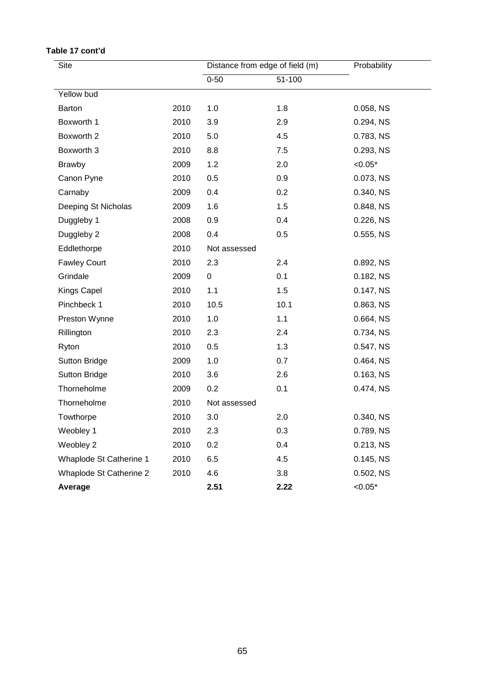| Site                    |      | Distance from edge of field (m) |      | Probability |  |
|-------------------------|------|---------------------------------|------|-------------|--|
|                         |      | $0 - 50$<br>51-100              |      |             |  |
| Yellow bud              |      |                                 |      |             |  |
| Barton                  | 2010 | 1.0                             | 1.8  | 0.058, NS   |  |
| Boxworth 1              | 2010 | 3.9                             | 2.9  | 0.294, NS   |  |
| Boxworth 2              | 2010 | 5.0                             | 4.5  | 0.783, NS   |  |
| Boxworth 3              | 2010 | 8.8                             | 7.5  | 0.293, NS   |  |
| <b>Brawby</b>           | 2009 | 1.2                             | 2.0  | $< 0.05*$   |  |
| Canon Pyne              | 2010 | 0.5                             | 0.9  | 0.073, NS   |  |
| Carnaby                 | 2009 | 0.4                             | 0.2  | 0.340, NS   |  |
| Deeping St Nicholas     | 2009 | 1.6                             | 1.5  | 0.848, NS   |  |
| Duggleby 1              | 2008 | 0.9                             | 0.4  | 0.226, NS   |  |
| Duggleby 2              | 2008 | 0.4                             | 0.5  | 0.555, NS   |  |
| Eddlethorpe             | 2010 | Not assessed                    |      |             |  |
| <b>Fawley Court</b>     | 2010 | 2.3                             | 2.4  | 0.892, NS   |  |
| Grindale                | 2009 | 0                               | 0.1  | 0.182, NS   |  |
| Kings Capel             | 2010 | 1.1                             | 1.5  | 0.147, NS   |  |
| Pinchbeck 1             | 2010 | 10.5                            | 10.1 | 0.863, NS   |  |
| Preston Wynne           | 2010 | 1.0                             | 1.1  | 0.664, NS   |  |
| Rillington              | 2010 | 2.3                             | 2.4  | 0.734, NS   |  |
| Ryton                   | 2010 | 0.5                             | 1.3  | 0.547, NS   |  |
| <b>Sutton Bridge</b>    | 2009 | 1.0                             | 0.7  | 0.464, NS   |  |
| <b>Sutton Bridge</b>    | 2010 | 3.6                             | 2.6  | 0.163, NS   |  |
| Thorneholme             | 2009 | 0.2                             | 0.1  | 0.474, NS   |  |
| Thorneholme             | 2010 | Not assessed                    |      |             |  |
| Towthorpe               | 2010 | 3.0                             | 2.0  | 0.340, NS   |  |
| Weobley 1               | 2010 | 2.3                             | 0.3  | 0.789, NS   |  |
| Weobley 2               | 2010 | 0.2                             | 0.4  | 0.213, NS   |  |
| Whaplode St Catherine 1 | 2010 | 6.5                             | 4.5  | 0.145, NS   |  |
| Whaplode St Catherine 2 | 2010 | 4.6                             | 3.8  | 0.502, NS   |  |
| Average                 |      | 2.51                            | 2.22 | $< 0.05*$   |  |

### **Table 17 cont'd**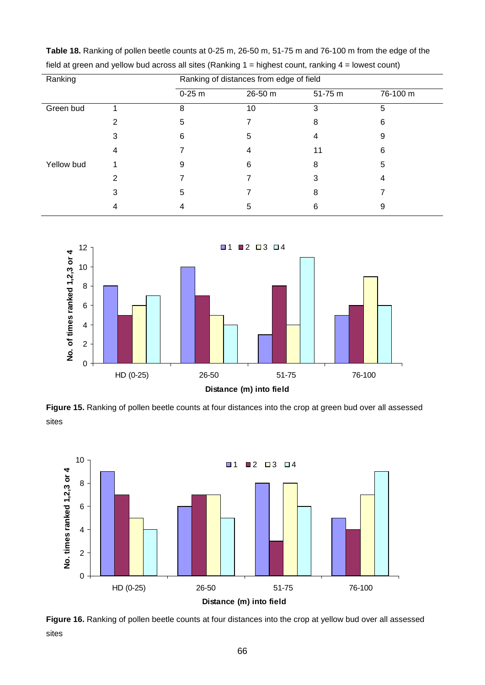| Ranking    |   |          | Ranking of distances from edge of field |         |          |  |  |
|------------|---|----------|-----------------------------------------|---------|----------|--|--|
|            |   | $0-25$ m | 26-50 m                                 | 51-75 m | 76-100 m |  |  |
| Green bud  |   | 8        | 10                                      | 3       | 5        |  |  |
|            | 2 | 5        |                                         | 8       | 6        |  |  |
|            | 3 | 6        | 5                                       |         | 9        |  |  |
|            | 4 |          | 4                                       | 11      | 6        |  |  |
| Yellow bud |   | 9        | 6                                       | 8       | 5        |  |  |
|            | 2 |          |                                         |         |          |  |  |
|            | 3 | 5        |                                         | 8       |          |  |  |
|            |   |          | 5                                       | 6       | 9        |  |  |

**Table 18.** Ranking of pollen beetle counts at 0-25 m, 26-50 m, 51-75 m and 76-100 m from the edge of the field at green and yellow bud across all sites (Ranking 1 = highest count, ranking 4 = lowest count)



Figure 15. Ranking of pollen beetle counts at four distances into the crop at green bud over all assessed sites



Figure 16. Ranking of pollen beetle counts at four distances into the crop at yellow bud over all assessed sites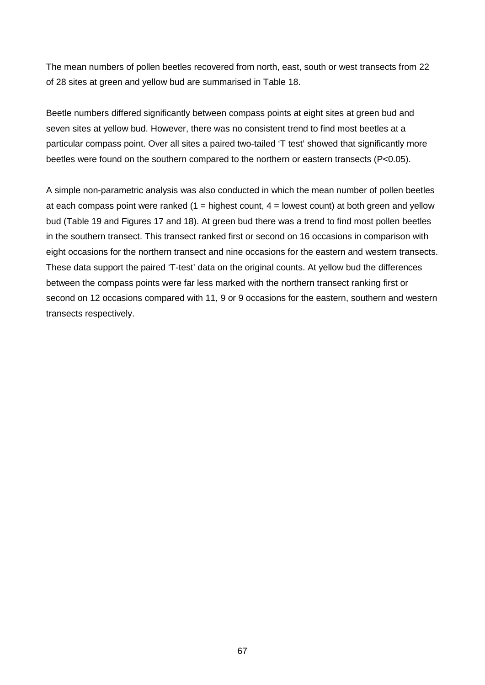The mean numbers of pollen beetles recovered from north, east, south or west transects from 22 of 28 sites at green and yellow bud are summarised in Table 18.

Beetle numbers differed significantly between compass points at eight sites at green bud and seven sites at yellow bud. However, there was no consistent trend to find most beetles at a particular compass point. Over all sites a paired two-tailed 'T test' showed that significantly more beetles were found on the southern compared to the northern or eastern transects (P<0.05).

A simple non-parametric analysis was also conducted in which the mean number of pollen beetles at each compass point were ranked  $(1 =$  highest count,  $4 =$  lowest count) at both green and yellow bud (Table 19 and Figures 17 and 18). At green bud there was a trend to find most pollen beetles in the southern transect. This transect ranked first or second on 16 occasions in comparison with eight occasions for the northern transect and nine occasions for the eastern and western transects. These data support the paired 'T-test' data on the original counts. At yellow bud the differences between the compass points were far less marked with the northern transect ranking first or second on 12 occasions compared with 11, 9 or 9 occasions for the eastern, southern and western transects respectively.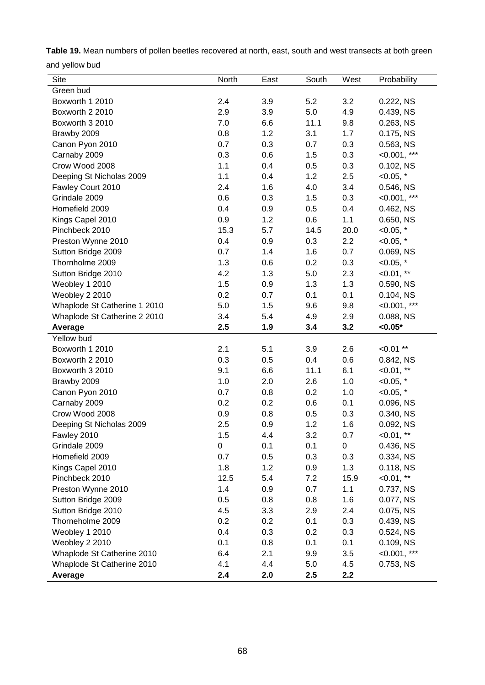**Table 19.** Mean numbers of pollen beetles recovered at north, east, south and west transects at both green and yellow bud

| Site                         | North | East | South | West | Probability    |
|------------------------------|-------|------|-------|------|----------------|
| Green bud                    |       |      |       |      |                |
| Boxworth 1 2010              | 2.4   | 3.9  | 5.2   | 3.2  | 0.222, NS      |
| Boxworth 2 2010              | 2.9   | 3.9  | 5.0   | 4.9  | 0.439, NS      |
| Boxworth 3 2010              | 7.0   | 6.6  | 11.1  | 9.8  | 0.263, NS      |
| Brawby 2009                  | 0.8   | 1.2  | 3.1   | 1.7  | 0.175, NS      |
| Canon Pyon 2010              | 0.7   | 0.3  | 0.7   | 0.3  | 0.563, NS      |
| Carnaby 2009                 | 0.3   | 0.6  | 1.5   | 0.3  | $<0.001$ , *** |
| Crow Wood 2008               | 1.1   | 0.4  | 0.5   | 0.3  | 0.102, NS      |
| Deeping St Nicholas 2009     | 1.1   | 0.4  | 1.2   | 2.5  | $< 0.05,$ *    |
| Fawley Court 2010            | 2.4   | 1.6  | 4.0   | 3.4  | 0.546, NS      |
| Grindale 2009                | 0.6   | 0.3  | 1.5   | 0.3  | $<0.001$ , *** |
| Homefield 2009               | 0.4   | 0.9  | 0.5   | 0.4  | 0.462, NS      |
| Kings Capel 2010             | 0.9   | 1.2  | 0.6   | 1.1  | 0.650, NS      |
| Pinchbeck 2010               | 15.3  | 5.7  | 14.5  | 20.0 | $< 0.05,$ *    |
| Preston Wynne 2010           | 0.4   | 0.9  | 0.3   | 2.2  | $< 0.05,$ *    |
| Sutton Bridge 2009           | 0.7   | 1.4  | 1.6   | 0.7  | 0.069, NS      |
| Thornholme 2009              | 1.3   | 0.6  | 0.2   | 0.3  | $< 0.05, *$    |
| Sutton Bridge 2010           | 4.2   | 1.3  | 5.0   | 2.3  | $<0.01$ , **   |
| Weobley 1 2010               | 1.5   | 0.9  | 1.3   | 1.3  | 0.590, NS      |
| Weobley 2 2010               | 0.2   | 0.7  | 0.1   | 0.1  | 0.104, NS      |
| Whaplode St Catherine 1 2010 | 5.0   | 1.5  | 9.6   | 9.8  | $<0.001$ , *** |
| Whaplode St Catherine 2 2010 | 3.4   | 5.4  | 4.9   | 2.9  | 0.088, NS      |
| Average                      | 2.5   | 1.9  | 3.4   | 3.2  | $< 0.05*$      |
| Yellow bud                   |       |      |       |      |                |
| Boxworth 1 2010              | 2.1   | 5.1  | 3.9   | 2.6  | $< 0.01$ **    |
| Boxworth 2 2010              | 0.3   | 0.5  | 0.4   | 0.6  | 0.842, NS      |
| Boxworth 3 2010              | 9.1   | 6.6  | 11.1  | 6.1  | $0.01$ , **    |
| Brawby 2009                  | 1.0   | 2.0  | 2.6   | 1.0  | $< 0.05,$ *    |
| Canon Pyon 2010              | 0.7   | 0.8  | 0.2   | 1.0  | $< 0.05,$ *    |
| Carnaby 2009                 | 0.2   | 0.2  | 0.6   | 0.1  | 0.096, NS      |
| Crow Wood 2008               | 0.9   | 0.8  | 0.5   | 0.3  | 0.340, NS      |
| Deeping St Nicholas 2009     | 2.5   | 0.9  | 1.2   | 1.6  | 0.092, NS      |
| Fawley 2010                  | 1.5   | 4.4  | 3.2   | 0.7  | $0.01$ , **    |
| Grindale 2009                | 0     | 0.1  | 0.1   | 0    | 0.436, NS      |
| Homefield 2009               | 0.7   | 0.5  | 0.3   | 0.3  | 0.334, NS      |
| Kings Capel 2010             | 1.8   | 1.2  | 0.9   | 1.3  | 0.118, NS      |
| Pinchbeck 2010               | 12.5  | 5.4  | 7.2   | 15.9 | $< 0.01, **$   |
| Preston Wynne 2010           | 1.4   | 0.9  | 0.7   | 1.1  | 0.737, NS      |
| Sutton Bridge 2009           | 0.5   | 0.8  | 0.8   | 1.6  | 0.077, NS      |
| Sutton Bridge 2010           | 4.5   | 3.3  | 2.9   | 2.4  | 0.075, NS      |
| Thorneholme 2009             | 0.2   | 0.2  | 0.1   | 0.3  | 0.439, NS      |
| Weobley 1 2010               | 0.4   | 0.3  | 0.2   | 0.3  | 0.524, NS      |
| Weobley 2 2010               | 0.1   | 0.8  | 0.1   | 0.1  | 0.109, NS      |
| Whaplode St Catherine 2010   | 6.4   | 2.1  | 9.9   | 3.5  | $<0.001$ , *** |
| Whaplode St Catherine 2010   | 4.1   | 4.4  | 5.0   | 4.5  | 0.753, NS      |
| Average                      | 2.4   | 2.0  | 2.5   | 2.2  |                |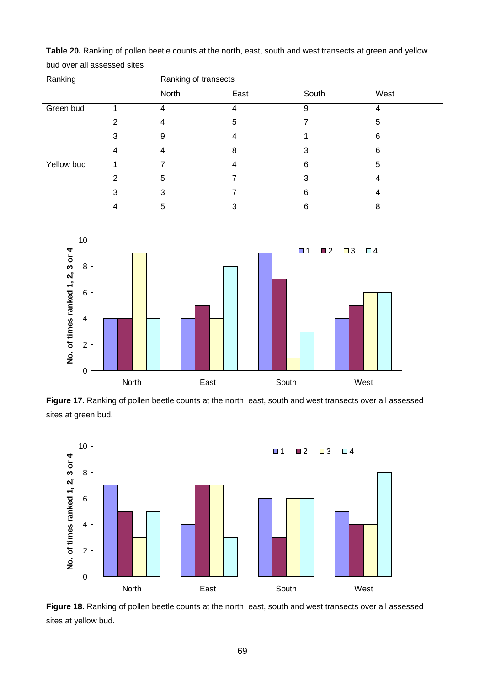| Ranking    |   | Ranking of transects |      |       |      |  |
|------------|---|----------------------|------|-------|------|--|
|            |   | North                | East | South | West |  |
| Green bud  |   | 4                    | 4    | 9     | 4    |  |
|            | 2 | 4                    | 5    |       | 5    |  |
|            | 3 | 9                    |      |       | 6    |  |
|            | 4 | 4                    | 8    | З     | 6    |  |
| Yellow bud |   |                      |      | 6     | 5    |  |
|            | 2 | 5                    |      | 3     | 4    |  |
|            | 3 | 3                    |      | 6     | 4    |  |
|            | 4 | 5                    | 3    | 6     | 8    |  |

**Table 20.** Ranking of pollen beetle counts at the north, east, south and west transects at green and yellow bud over all assessed sites



Figure 17. Ranking of pollen beetle counts at the north, east, south and west transects over all assessed sites at green bud.



Figure 18. Ranking of pollen beetle counts at the north, east, south and west transects over all assessed sites at yellow bud.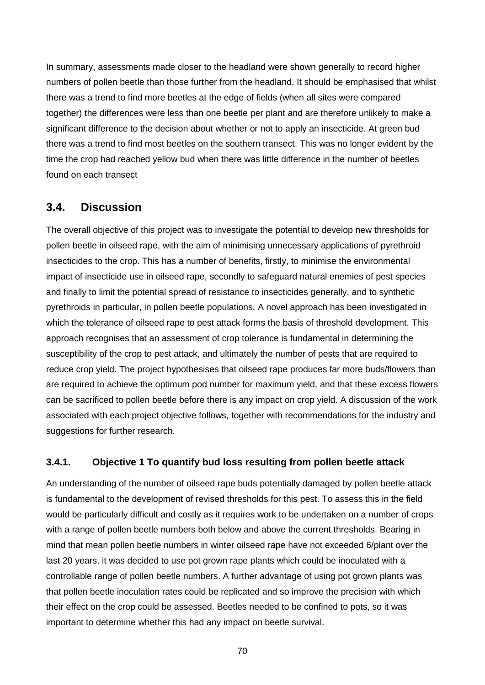In summary, assessments made closer to the headland were shown generally to record higher numbers of pollen beetle than those further from the headland. It should be emphasised that whilst there was a trend to find more beetles at the edge of fields (when all sites were compared together) the differences were less than one beetle per plant and are therefore unlikely to make a significant difference to the decision about whether or not to apply an insecticide. At green bud there was a trend to find most beetles on the southern transect. This was no longer evident by the time the crop had reached yellow bud when there was little difference in the number of beetles found on each transect

### **3.4. Discussion**

The overall objective of this project was to investigate the potential to develop new thresholds for pollen beetle in oilseed rape, with the aim of minimising unnecessary applications of pyrethroid insecticides to the crop. This has a number of benefits, firstly, to minimise the environmental impact of insecticide use in oilseed rape, secondly to safeguard natural enemies of pest species and finally to limit the potential spread of resistance to insecticides generally, and to synthetic pyrethroids in particular, in pollen beetle populations. A novel approach has been investigated in which the tolerance of oilseed rape to pest attack forms the basis of threshold development. This approach recognises that an assessment of crop tolerance is fundamental in determining the susceptibility of the crop to pest attack, and ultimately the number of pests that are required to reduce crop yield. The project hypothesises that oilseed rape produces far more buds/flowers than are required to achieve the optimum pod number for maximum yield, and that these excess flowers can be sacrificed to pollen beetle before there is any impact on crop yield. A discussion of the work associated with each project objective follows, together with recommendations for the industry and suggestions for further research.

### **3.4.1. Objective 1 To quantify bud loss resulting from pollen beetle attack**

An understanding of the number of oilseed rape buds potentially damaged by pollen beetle attack is fundamental to the development of revised thresholds for this pest. To assess this in the field would be particularly difficult and costly as it requires work to be undertaken on a number of crops with a range of pollen beetle numbers both below and above the current thresholds. Bearing in mind that mean pollen beetle numbers in winter oilseed rape have not exceeded 6/plant over the last 20 years, it was decided to use pot grown rape plants which could be inoculated with a controllable range of pollen beetle numbers. A further advantage of using pot grown plants was that pollen beetle inoculation rates could be replicated and so improve the precision with which their effect on the crop could be assessed. Beetles needed to be confined to pots, so it was important to determine whether this had any impact on beetle survival.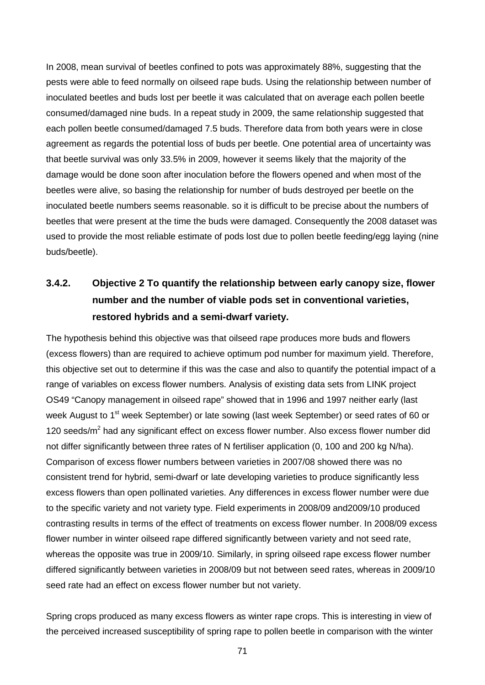In 2008, mean survival of beetles confined to pots was approximately 88%, suggesting that the pests were able to feed normally on oilseed rape buds. Using the relationship between number of inoculated beetles and buds lost per beetle it was calculated that on average each pollen beetle consumed/damaged nine buds. In a repeat study in 2009, the same relationship suggested that each pollen beetle consumed/damaged 7.5 buds. Therefore data from both years were in close agreement as regards the potential loss of buds per beetle. One potential area of uncertainty was that beetle survival was only 33.5% in 2009, however it seems likely that the majority of the damage would be done soon after inoculation before the flowers opened and when most of the beetles were alive, so basing the relationship for number of buds destroyed per beetle on the inoculated beetle numbers seems reasonable. so it is difficult to be precise about the numbers of beetles that were present at the time the buds were damaged. Consequently the 2008 dataset was used to provide the most reliable estimate of pods lost due to pollen beetle feeding/egg laying (nine buds/beetle).

# **3.4.2. Objective 2 To quantify the relationship between early canopy size, flower number and the number of viable pods set in conventional varieties, restored hybrids and a semi-dwarf variety.**

The hypothesis behind this objective was that oilseed rape produces more buds and flowers (excess flowers) than are required to achieve optimum pod number for maximum yield. Therefore, this objective set out to determine if this was the case and also to quantify the potential impact of a range of variables on excess flower numbers. Analysis of existing data sets from LINK project OS49 "Canopy management in oilseed rape" showed that in 1996 and 1997 neither early (last week August to 1<sup>st</sup> week September) or late sowing (last week September) or seed rates of 60 or 120 seeds/ $m<sup>2</sup>$  had any significant effect on excess flower number. Also excess flower number did not differ significantly between three rates of N fertiliser application (0, 100 and 200 kg N/ha). Comparison of excess flower numbers between varieties in 2007/08 showed there was no consistent trend for hybrid, semi-dwarf or late developing varieties to produce significantly less excess flowers than open pollinated varieties. Any differences in excess flower number were due to the specific variety and not variety type. Field experiments in 2008/09 and2009/10 produced contrasting results in terms of the effect of treatments on excess flower number. In 2008/09 excess flower number in winter oilseed rape differed significantly between variety and not seed rate, whereas the opposite was true in 2009/10. Similarly, in spring oilseed rape excess flower number differed significantly between varieties in 2008/09 but not between seed rates, whereas in 2009/10 seed rate had an effect on excess flower number but not variety.

Spring crops produced as many excess flowers as winter rape crops. This is interesting in view of the perceived increased susceptibility of spring rape to pollen beetle in comparison with the winter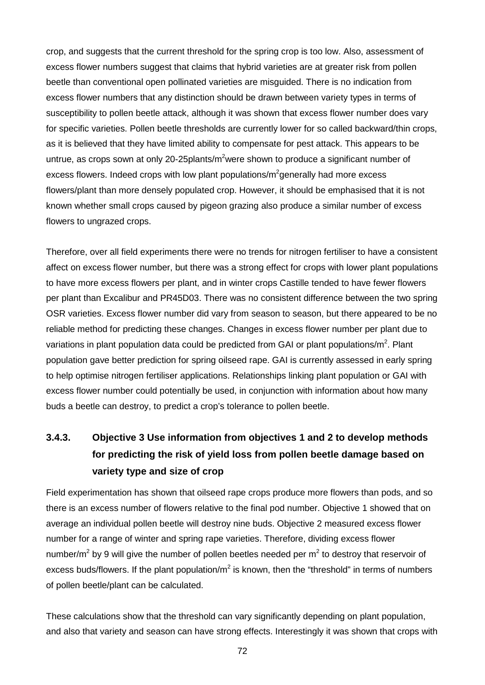crop, and suggests that the current threshold for the spring crop is too low. Also, assessment of excess flower numbers suggest that claims that hybrid varieties are at greater risk from pollen beetle than conventional open pollinated varieties are misguided. There is no indication from excess flower numbers that any distinction should be drawn between variety types in terms of susceptibility to pollen beetle attack, although it was shown that excess flower number does vary for specific varieties. Pollen beetle thresholds are currently lower for so called backward/thin crops, as it is believed that they have limited ability to compensate for pest attack. This appears to be untrue, as crops sown at only 20-25plants/m<sup>2</sup>were shown to produce a significant number of excess flowers. Indeed crops with low plant populations/m<sup>2</sup>generally had more excess flowers/plant than more densely populated crop. However, it should be emphasised that it is not known whether small crops caused by pigeon grazing also produce a similar number of excess flowers to ungrazed crops.

Therefore, over all field experiments there were no trends for nitrogen fertiliser to have a consistent affect on excess flower number, but there was a strong effect for crops with lower plant populations to have more excess flowers per plant, and in winter crops Castille tended to have fewer flowers per plant than Excalibur and PR45D03. There was no consistent difference between the two spring OSR varieties. Excess flower number did vary from season to season, but there appeared to be no reliable method for predicting these changes. Changes in excess flower number per plant due to variations in plant population data could be predicted from GAI or plant populations/ $m^2$ . Plant population gave better prediction for spring oilseed rape. GAI is currently assessed in early spring to help optimise nitrogen fertiliser applications. Relationships linking plant population or GAI with excess flower number could potentially be used, in conjunction with information about how many buds a beetle can destroy, to predict a crop's tolerance to pollen beetle.

## **3.4.3. Objective 3 Use information from objectives 1 and 2 to develop methods for predicting the risk of yield loss from pollen beetle damage based on variety type and size of crop**

Field experimentation has shown that oilseed rape crops produce more flowers than pods, and so there is an excess number of flowers relative to the final pod number. Objective 1 showed that on average an individual pollen beetle will destroy nine buds. Objective 2 measured excess flower number for a range of winter and spring rape varieties. Therefore, dividing excess flower number/ $m^2$  by 9 will give the number of pollen beetles needed per  $m^2$  to destroy that reservoir of excess buds/flowers. If the plant population/ $m^2$  is known, then the "threshold" in terms of numbers of pollen beetle/plant can be calculated.

These calculations show that the threshold can vary significantly depending on plant population, and also that variety and season can have strong effects. Interestingly it was shown that crops with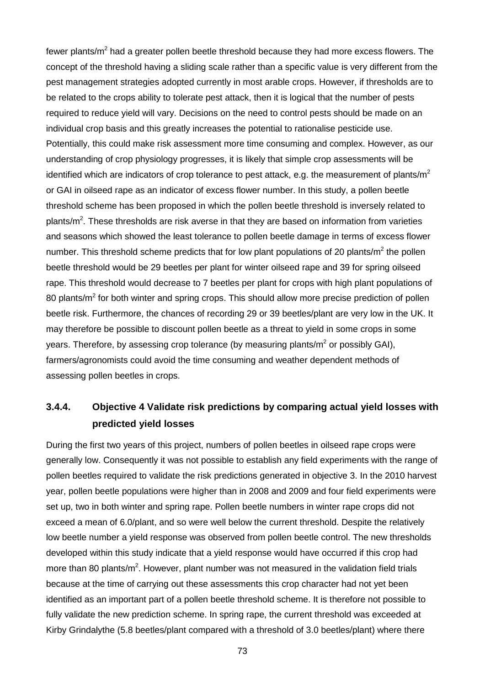fewer plants/ $m<sup>2</sup>$  had a greater pollen beetle threshold because they had more excess flowers. The concept of the threshold having a sliding scale rather than a specific value is very different from the pest management strategies adopted currently in most arable crops. However, if thresholds are to be related to the crops ability to tolerate pest attack, then it is logical that the number of pests required to reduce yield will vary. Decisions on the need to control pests should be made on an individual crop basis and this greatly increases the potential to rationalise pesticide use. Potentially, this could make risk assessment more time consuming and complex. However, as our understanding of crop physiology progresses, it is likely that simple crop assessments will be identified which are indicators of crop tolerance to pest attack, e.g. the measurement of plants/ $m<sup>2</sup>$ or GAI in oilseed rape as an indicator of excess flower number. In this study, a pollen beetle threshold scheme has been proposed in which the pollen beetle threshold is inversely related to plants/ $m^2$ . These thresholds are risk averse in that they are based on information from varieties and seasons which showed the least tolerance to pollen beetle damage in terms of excess flower number. This threshold scheme predicts that for low plant populations of 20 plants/ $m<sup>2</sup>$  the pollen beetle threshold would be 29 beetles per plant for winter oilseed rape and 39 for spring oilseed rape. This threshold would decrease to 7 beetles per plant for crops with high plant populations of 80 plants/ $m^2$  for both winter and spring crops. This should allow more precise prediction of pollen beetle risk. Furthermore, the chances of recording 29 or 39 beetles/plant are very low in the UK. It may therefore be possible to discount pollen beetle as a threat to yield in some crops in some years. Therefore, by assessing crop tolerance (by measuring plants/ $m^2$  or possibly GAI). farmers/agronomists could avoid the time consuming and weather dependent methods of assessing pollen beetles in crops.

# **3.4.4. Objective 4 Validate risk predictions by comparing actual yield losses with predicted yield losses**

During the first two years of this project, numbers of pollen beetles in oilseed rape crops were generally low. Consequently it was not possible to establish any field experiments with the range of pollen beetles required to validate the risk predictions generated in objective 3. In the 2010 harvest year, pollen beetle populations were higher than in 2008 and 2009 and four field experiments were set up, two in both winter and spring rape. Pollen beetle numbers in winter rape crops did not exceed a mean of 6.0/plant, and so were well below the current threshold. Despite the relatively low beetle number a yield response was observed from pollen beetle control. The new thresholds developed within this study indicate that a yield response would have occurred if this crop had more than 80 plants/m<sup>2</sup>. However, plant number was not measured in the validation field trials because at the time of carrying out these assessments this crop character had not yet been identified as an important part of a pollen beetle threshold scheme. It is therefore not possible to fully validate the new prediction scheme. In spring rape, the current threshold was exceeded at Kirby Grindalythe (5.8 beetles/plant compared with a threshold of 3.0 beetles/plant) where there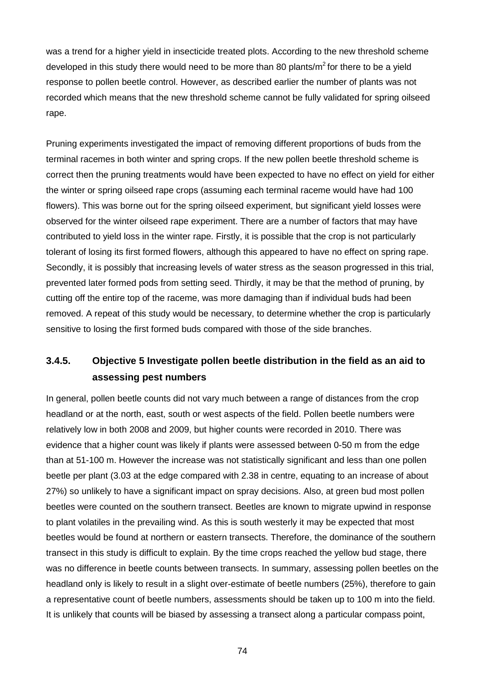was a trend for a higher yield in insecticide treated plots. According to the new threshold scheme developed in this study there would need to be more than 80 plants/ $m^2$  for there to be a yield response to pollen beetle control. However, as described earlier the number of plants was not recorded which means that the new threshold scheme cannot be fully validated for spring oilseed rape.

Pruning experiments investigated the impact of removing different proportions of buds from the terminal racemes in both winter and spring crops. If the new pollen beetle threshold scheme is correct then the pruning treatments would have been expected to have no effect on yield for either the winter or spring oilseed rape crops (assuming each terminal raceme would have had 100 flowers). This was borne out for the spring oilseed experiment, but significant yield losses were observed for the winter oilseed rape experiment. There are a number of factors that may have contributed to yield loss in the winter rape. Firstly, it is possible that the crop is not particularly tolerant of losing its first formed flowers, although this appeared to have no effect on spring rape. Secondly, it is possibly that increasing levels of water stress as the season progressed in this trial, prevented later formed pods from setting seed. Thirdly, it may be that the method of pruning, by cutting off the entire top of the raceme, was more damaging than if individual buds had been removed. A repeat of this study would be necessary, to determine whether the crop is particularly sensitive to losing the first formed buds compared with those of the side branches.

## **3.4.5. Objective 5 Investigate pollen beetle distribution in the field as an aid to assessing pest numbers**

In general, pollen beetle counts did not vary much between a range of distances from the crop headland or at the north, east, south or west aspects of the field. Pollen beetle numbers were relatively low in both 2008 and 2009, but higher counts were recorded in 2010. There was evidence that a higher count was likely if plants were assessed between 0-50 m from the edge than at 51-100 m. However the increase was not statistically significant and less than one pollen beetle per plant (3.03 at the edge compared with 2.38 in centre, equating to an increase of about 27%) so unlikely to have a significant impact on spray decisions. Also, at green bud most pollen beetles were counted on the southern transect. Beetles are known to migrate upwind in response to plant volatiles in the prevailing wind. As this is south westerly it may be expected that most beetles would be found at northern or eastern transects. Therefore, the dominance of the southern transect in this study is difficult to explain. By the time crops reached the yellow bud stage, there was no difference in beetle counts between transects. In summary, assessing pollen beetles on the headland only is likely to result in a slight over-estimate of beetle numbers (25%), therefore to gain a representative count of beetle numbers, assessments should be taken up to 100 m into the field. It is unlikely that counts will be biased by assessing a transect along a particular compass point,

74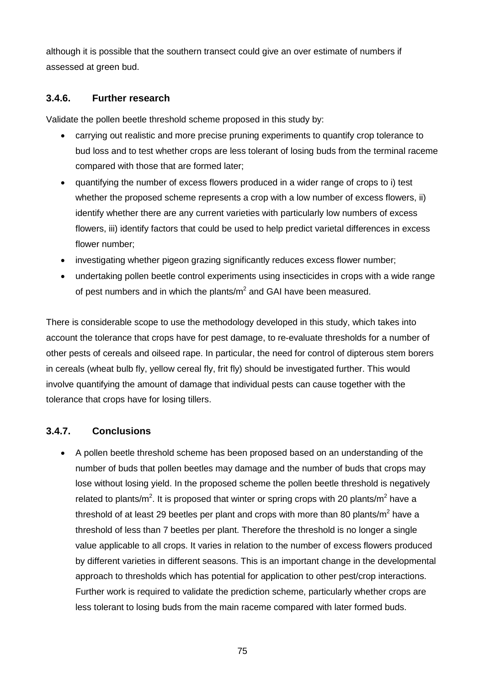although it is possible that the southern transect could give an over estimate of numbers if assessed at green bud.

#### **3.4.6. Further research**

Validate the pollen beetle threshold scheme proposed in this study by:

- carrying out realistic and more precise pruning experiments to quantify crop tolerance to bud loss and to test whether crops are less tolerant of losing buds from the terminal raceme compared with those that are formed later;
- quantifying the number of excess flowers produced in a wider range of crops to i) test whether the proposed scheme represents a crop with a low number of excess flowers, ii) identify whether there are any current varieties with particularly low numbers of excess flowers, iii) identify factors that could be used to help predict varietal differences in excess flower number;
- investigating whether pigeon grazing significantly reduces excess flower number;
- undertaking pollen beetle control experiments using insecticides in crops with a wide range of pest numbers and in which the plants/ $m<sup>2</sup>$  and GAI have been measured.

There is considerable scope to use the methodology developed in this study, which takes into account the tolerance that crops have for pest damage, to re-evaluate thresholds for a number of other pests of cereals and oilseed rape. In particular, the need for control of dipterous stem borers in cereals (wheat bulb fly, yellow cereal fly, frit fly) should be investigated further. This would involve quantifying the amount of damage that individual pests can cause together with the tolerance that crops have for losing tillers.

## **3.4.7. Conclusions**

• A pollen beetle threshold scheme has been proposed based on an understanding of the number of buds that pollen beetles may damage and the number of buds that crops may lose without losing yield. In the proposed scheme the pollen beetle threshold is negatively related to plants/m<sup>2</sup>. It is proposed that winter or spring crops with 20 plants/m<sup>2</sup> have a threshold of at least 29 beetles per plant and crops with more than 80 plants/ $m^2$  have a threshold of less than 7 beetles per plant. Therefore the threshold is no longer a single value applicable to all crops. It varies in relation to the number of excess flowers produced by different varieties in different seasons. This is an important change in the developmental approach to thresholds which has potential for application to other pest/crop interactions. Further work is required to validate the prediction scheme, particularly whether crops are less tolerant to losing buds from the main raceme compared with later formed buds.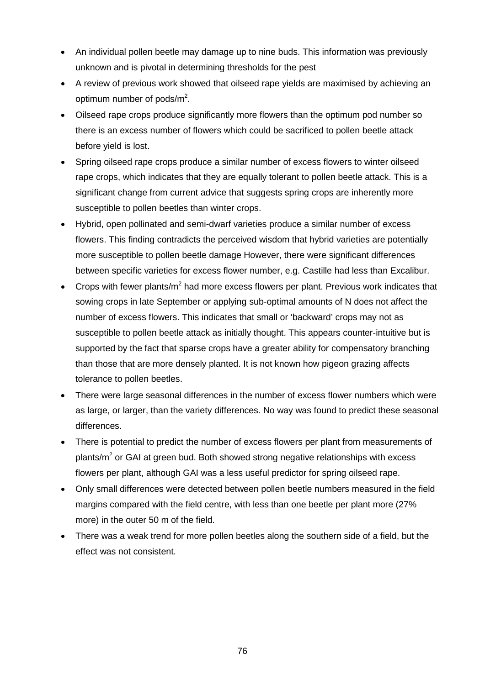- An individual pollen beetle may damage up to nine buds. This information was previously unknown and is pivotal in determining thresholds for the pest
- A review of previous work showed that oilseed rape yields are maximised by achieving an optimum number of pods/m<sup>2</sup>.
- Oilseed rape crops produce significantly more flowers than the optimum pod number so there is an excess number of flowers which could be sacrificed to pollen beetle attack before yield is lost.
- Spring oilseed rape crops produce a similar number of excess flowers to winter oilseed rape crops, which indicates that they are equally tolerant to pollen beetle attack. This is a significant change from current advice that suggests spring crops are inherently more susceptible to pollen beetles than winter crops.
- Hybrid, open pollinated and semi-dwarf varieties produce a similar number of excess flowers. This finding contradicts the perceived wisdom that hybrid varieties are potentially more susceptible to pollen beetle damage However, there were significant differences between specific varieties for excess flower number, e.g. Castille had less than Excalibur.
- Crops with fewer plants/ $m^2$  had more excess flowers per plant. Previous work indicates that sowing crops in late September or applying sub-optimal amounts of N does not affect the number of excess flowers. This indicates that small or 'backward' crops may not as susceptible to pollen beetle attack as initially thought. This appears counter-intuitive but is supported by the fact that sparse crops have a greater ability for compensatory branching than those that are more densely planted. It is not known how pigeon grazing affects tolerance to pollen beetles.
- There were large seasonal differences in the number of excess flower numbers which were as large, or larger, than the variety differences. No way was found to predict these seasonal differences.
- There is potential to predict the number of excess flowers per plant from measurements of plants/ $m<sup>2</sup>$  or GAI at green bud. Both showed strong negative relationships with excess flowers per plant, although GAI was a less useful predictor for spring oilseed rape.
- Only small differences were detected between pollen beetle numbers measured in the field margins compared with the field centre, with less than one beetle per plant more (27% more) in the outer 50 m of the field.
- There was a weak trend for more pollen beetles along the southern side of a field, but the effect was not consistent.